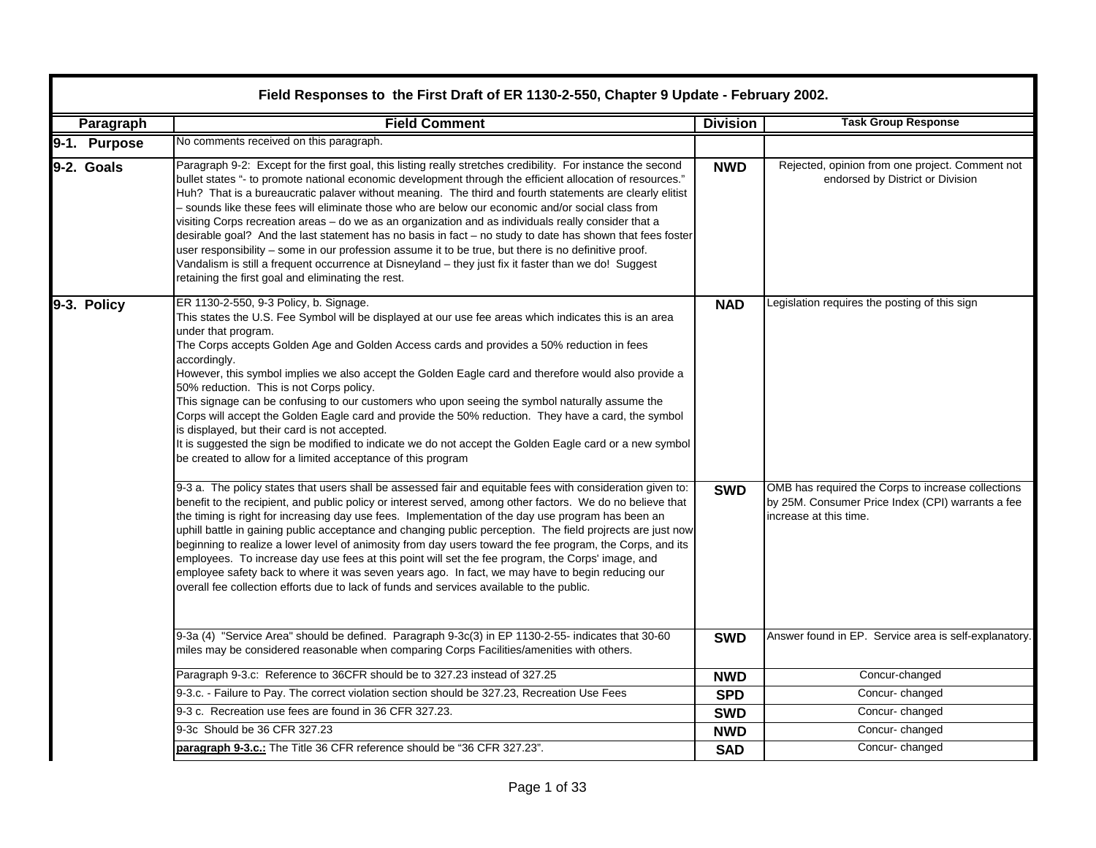|  | Field Responses to the First Draft of ER 1130-2-550, Chapter 9 Update - February 2002. |                                                                                                                                                                                                                                                                                                                                                                                                                                                                                                                                                                                                                                                                                                                                                                                                                                                                                                                                       |                 |                                                                                                                                   |  |  |
|--|----------------------------------------------------------------------------------------|---------------------------------------------------------------------------------------------------------------------------------------------------------------------------------------------------------------------------------------------------------------------------------------------------------------------------------------------------------------------------------------------------------------------------------------------------------------------------------------------------------------------------------------------------------------------------------------------------------------------------------------------------------------------------------------------------------------------------------------------------------------------------------------------------------------------------------------------------------------------------------------------------------------------------------------|-----------------|-----------------------------------------------------------------------------------------------------------------------------------|--|--|
|  | Paragraph                                                                              | <b>Field Comment</b>                                                                                                                                                                                                                                                                                                                                                                                                                                                                                                                                                                                                                                                                                                                                                                                                                                                                                                                  | <b>Division</b> | <b>Task Group Response</b>                                                                                                        |  |  |
|  | 9-1. Purpose                                                                           | No comments received on this paragraph.                                                                                                                                                                                                                                                                                                                                                                                                                                                                                                                                                                                                                                                                                                                                                                                                                                                                                               |                 |                                                                                                                                   |  |  |
|  | 9-2. Goals                                                                             | Paragraph 9-2: Except for the first goal, this listing really stretches credibility. For instance the second<br>bullet states "- to promote national economic development through the efficient allocation of resources."<br>Huh? That is a bureaucratic palaver without meaning. The third and fourth statements are clearly elitist<br>- sounds like these fees will eliminate those who are below our economic and/or social class from<br>visiting Corps recreation areas - do we as an organization and as individuals really consider that a<br>desirable goal? And the last statement has no basis in fact - no study to date has shown that fees foster<br>user responsibility – some in our profession assume it to be true, but there is no definitive proof.<br>Vandalism is still a frequent occurrence at Disneyland – they just fix it faster than we do! Suggest<br>retaining the first goal and eliminating the rest. | <b>NWD</b>      | Rejected, opinion from one project. Comment not<br>endorsed by District or Division                                               |  |  |
|  | 9-3. Policy                                                                            | ER 1130-2-550, 9-3 Policy, b. Signage.<br>This states the U.S. Fee Symbol will be displayed at our use fee areas which indicates this is an area<br>under that program.<br>The Corps accepts Golden Age and Golden Access cards and provides a 50% reduction in fees<br>accordingly.<br>However, this symbol implies we also accept the Golden Eagle card and therefore would also provide a<br>50% reduction. This is not Corps policy.<br>This signage can be confusing to our customers who upon seeing the symbol naturally assume the<br>Corps will accept the Golden Eagle card and provide the 50% reduction. They have a card, the symbol<br>is displayed, but their card is not accepted.<br>It is suggested the sign be modified to indicate we do not accept the Golden Eagle card or a new symbol<br>be created to allow for a limited acceptance of this program                                                         | <b>NAD</b>      | Legislation requires the posting of this sign                                                                                     |  |  |
|  |                                                                                        | 9-3 a. The policy states that users shall be assessed fair and equitable fees with consideration given to:<br>benefit to the recipient, and public policy or interest served, among other factors. We do no believe that<br>the timing is right for increasing day use fees. Implementation of the day use program has been an<br>uphill battle in gaining public acceptance and changing public perception. The field projrects are just now<br>beginning to realize a lower level of animosity from day users toward the fee program, the Corps, and its<br>employees. To increase day use fees at this point will set the fee program, the Corps' image, and<br>employee safety back to where it was seven years ago. In fact, we may have to begin reducing our<br>overall fee collection efforts due to lack of funds and services available to the public.                                                                      | <b>SWD</b>      | OMB has required the Corps to increase collections<br>by 25M. Consumer Price Index (CPI) warrants a fee<br>increase at this time. |  |  |
|  |                                                                                        | 9-3a (4) "Service Area" should be defined. Paragraph 9-3c(3) in EP 1130-2-55- indicates that 30-60<br>miles may be considered reasonable when comparing Corps Facilities/amenities with others.                                                                                                                                                                                                                                                                                                                                                                                                                                                                                                                                                                                                                                                                                                                                       | <b>SWD</b>      | Answer found in EP. Service area is self-explanatory.                                                                             |  |  |
|  |                                                                                        | Paragraph 9-3.c: Reference to 36CFR should be to 327.23 instead of 327.25                                                                                                                                                                                                                                                                                                                                                                                                                                                                                                                                                                                                                                                                                                                                                                                                                                                             | <b>NWD</b>      | Concur-changed                                                                                                                    |  |  |
|  |                                                                                        | 9-3.c. - Failure to Pay. The correct violation section should be 327.23, Recreation Use Fees                                                                                                                                                                                                                                                                                                                                                                                                                                                                                                                                                                                                                                                                                                                                                                                                                                          | <b>SPD</b>      | Concur-changed                                                                                                                    |  |  |
|  |                                                                                        | 9-3 c. Recreation use fees are found in 36 CFR 327.23.                                                                                                                                                                                                                                                                                                                                                                                                                                                                                                                                                                                                                                                                                                                                                                                                                                                                                | <b>SWD</b>      | Concur-changed                                                                                                                    |  |  |
|  |                                                                                        | 9-3c Should be 36 CFR 327.23                                                                                                                                                                                                                                                                                                                                                                                                                                                                                                                                                                                                                                                                                                                                                                                                                                                                                                          | <b>NWD</b>      | Concur-changed                                                                                                                    |  |  |
|  |                                                                                        | paragraph 9-3.c.: The Title 36 CFR reference should be "36 CFR 327.23".                                                                                                                                                                                                                                                                                                                                                                                                                                                                                                                                                                                                                                                                                                                                                                                                                                                               | <b>SAD</b>      | Concur-changed                                                                                                                    |  |  |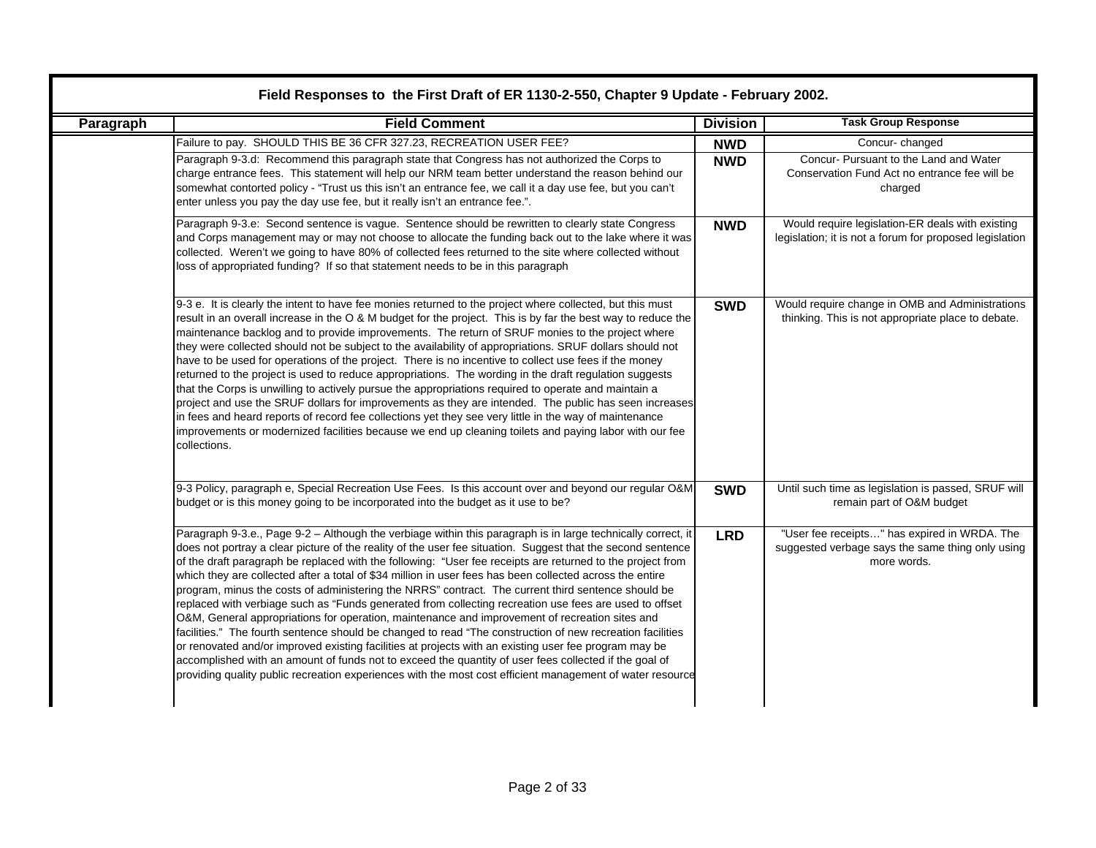| Paragraph | <b>Field Comment</b>                                                                                                                                                                                                                                                                                                                                                                                                                                                                                                                                                                                                                                                                                                                                                                                                                                                                                                                                                                                                                                                                                                                                                                                                | <b>Division</b> | <b>Task Group Response</b>                                                                                      |
|-----------|---------------------------------------------------------------------------------------------------------------------------------------------------------------------------------------------------------------------------------------------------------------------------------------------------------------------------------------------------------------------------------------------------------------------------------------------------------------------------------------------------------------------------------------------------------------------------------------------------------------------------------------------------------------------------------------------------------------------------------------------------------------------------------------------------------------------------------------------------------------------------------------------------------------------------------------------------------------------------------------------------------------------------------------------------------------------------------------------------------------------------------------------------------------------------------------------------------------------|-----------------|-----------------------------------------------------------------------------------------------------------------|
|           | Failure to pay. SHOULD THIS BE 36 CFR 327.23, RECREATION USER FEE?                                                                                                                                                                                                                                                                                                                                                                                                                                                                                                                                                                                                                                                                                                                                                                                                                                                                                                                                                                                                                                                                                                                                                  | <b>NWD</b>      | Concur-changed                                                                                                  |
|           | Paragraph 9-3.d: Recommend this paragraph state that Congress has not authorized the Corps to<br>charge entrance fees. This statement will help our NRM team better understand the reason behind our<br>somewhat contorted policy - "Trust us this isn't an entrance fee, we call it a day use fee, but you can't<br>enter unless you pay the day use fee, but it really isn't an entrance fee.".                                                                                                                                                                                                                                                                                                                                                                                                                                                                                                                                                                                                                                                                                                                                                                                                                   | <b>NWD</b>      | Concur- Pursuant to the Land and Water<br>Conservation Fund Act no entrance fee will be<br>charged              |
|           | Paragraph 9-3.e: Second sentence is vague. Sentence should be rewritten to clearly state Congress<br>and Corps management may or may not choose to allocate the funding back out to the lake where it was<br>collected. Weren't we going to have 80% of collected fees returned to the site where collected without<br>loss of appropriated funding? If so that statement needs to be in this paragraph                                                                                                                                                                                                                                                                                                                                                                                                                                                                                                                                                                                                                                                                                                                                                                                                             | <b>NWD</b>      | Would require legislation-ER deals with existing<br>legislation; it is not a forum for proposed legislation     |
|           | 9-3 e. It is clearly the intent to have fee monies returned to the project where collected, but this must<br>result in an overall increase in the O & M budget for the project. This is by far the best way to reduce the<br>maintenance backlog and to provide improvements. The return of SRUF monies to the project where<br>they were collected should not be subject to the availability of appropriations. SRUF dollars should not<br>have to be used for operations of the project. There is no incentive to collect use fees if the money<br>returned to the project is used to reduce appropriations. The wording in the draft regulation suggests<br>that the Corps is unwilling to actively pursue the appropriations required to operate and maintain a<br>project and use the SRUF dollars for improvements as they are intended. The public has seen increases<br>in fees and heard reports of record fee collections yet they see very little in the way of maintenance<br>improvements or modernized facilities because we end up cleaning toilets and paying labor with our fee<br>collections.                                                                                                    | <b>SWD</b>      | Would require change in OMB and Administrations<br>thinking. This is not appropriate place to debate.           |
|           | 9-3 Policy, paragraph e, Special Recreation Use Fees. Is this account over and beyond our regular O&M<br>budget or is this money going to be incorporated into the budget as it use to be?                                                                                                                                                                                                                                                                                                                                                                                                                                                                                                                                                                                                                                                                                                                                                                                                                                                                                                                                                                                                                          | <b>SWD</b>      | Until such time as legislation is passed, SRUF will<br>remain part of O&M budget                                |
|           | Paragraph 9-3.e., Page 9-2 - Although the verbiage within this paragraph is in large technically correct, it<br>does not portray a clear picture of the reality of the user fee situation. Suggest that the second sentence<br>of the draft paragraph be replaced with the following: "User fee receipts are returned to the project from<br>which they are collected after a total of \$34 million in user fees has been collected across the entire<br>program, minus the costs of administering the NRRS" contract. The current third sentence should be<br>replaced with verbiage such as "Funds generated from collecting recreation use fees are used to offset<br>O&M, General appropriations for operation, maintenance and improvement of recreation sites and<br>facilities." The fourth sentence should be changed to read "The construction of new recreation facilities<br>or renovated and/or improved existing facilities at projects with an existing user fee program may be<br>accomplished with an amount of funds not to exceed the quantity of user fees collected if the goal of<br>providing quality public recreation experiences with the most cost efficient management of water resource | <b>LRD</b>      | "User fee receipts" has expired in WRDA. The<br>suggested verbage says the same thing only using<br>more words. |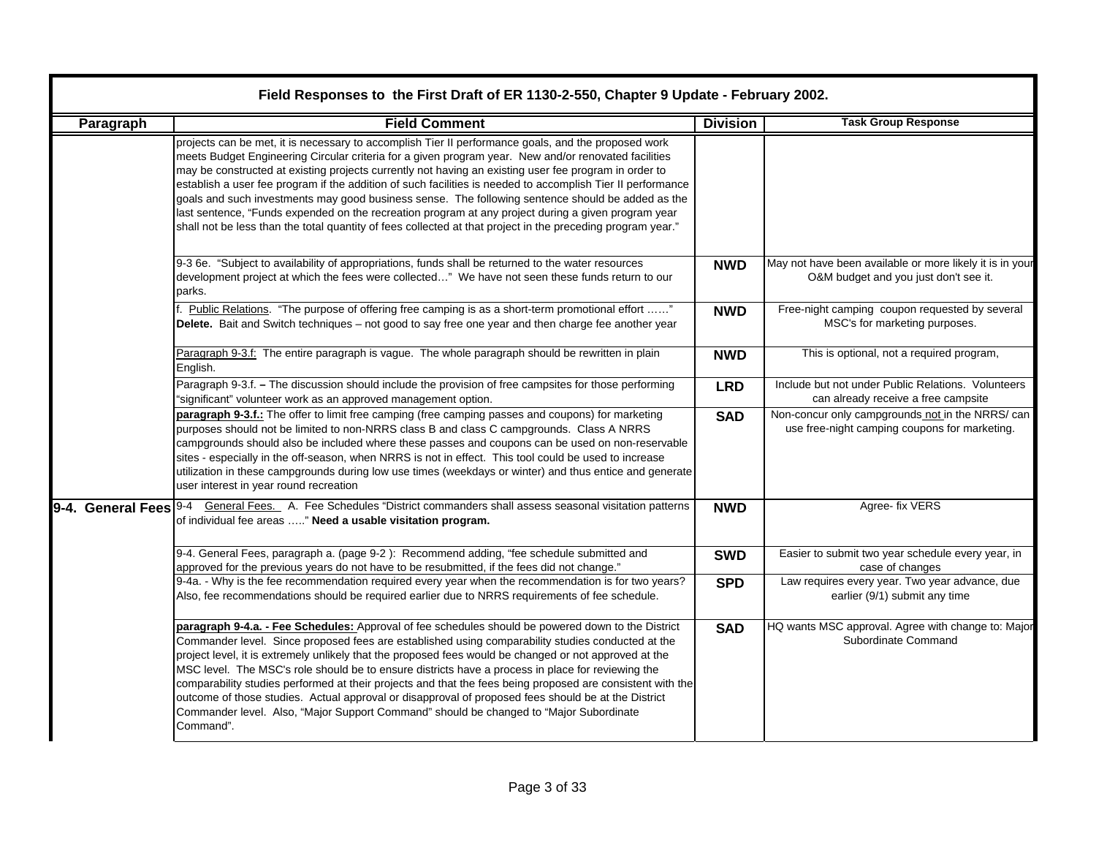|                   | Field Responses to the First Draft of ER 1130-2-550, Chapter 9 Update - February 2002.                                                                                                                                                                                                                                                                                                                                                                                                                                                                                                                                                                                                                                                                         |                 |                                                                                                   |  |  |  |
|-------------------|----------------------------------------------------------------------------------------------------------------------------------------------------------------------------------------------------------------------------------------------------------------------------------------------------------------------------------------------------------------------------------------------------------------------------------------------------------------------------------------------------------------------------------------------------------------------------------------------------------------------------------------------------------------------------------------------------------------------------------------------------------------|-----------------|---------------------------------------------------------------------------------------------------|--|--|--|
| Paragraph         | <b>Field Comment</b>                                                                                                                                                                                                                                                                                                                                                                                                                                                                                                                                                                                                                                                                                                                                           | <b>Division</b> | <b>Task Group Response</b>                                                                        |  |  |  |
|                   | projects can be met, it is necessary to accomplish Tier II performance goals, and the proposed work<br>meets Budget Engineering Circular criteria for a given program year. New and/or renovated facilities<br>may be constructed at existing projects currently not having an existing user fee program in order to<br>establish a user fee program if the addition of such facilities is needed to accomplish Tier II performance<br>goals and such investments may good business sense. The following sentence should be added as the<br>last sentence, "Funds expended on the recreation program at any project during a given program year<br>shall not be less than the total quantity of fees collected at that project in the preceding program year." |                 |                                                                                                   |  |  |  |
|                   | 9-3 6e. "Subject to availability of appropriations, funds shall be returned to the water resources<br>development project at which the fees were collected" We have not seen these funds return to our<br>parks.                                                                                                                                                                                                                                                                                                                                                                                                                                                                                                                                               | <b>NWD</b>      | May not have been available or more likely it is in your<br>O&M budget and you just don't see it. |  |  |  |
|                   | F. Public Relations. "The purpose of offering free camping is as a short-term promotional effort "<br>Delete. Bait and Switch techniques - not good to say free one year and then charge fee another year                                                                                                                                                                                                                                                                                                                                                                                                                                                                                                                                                      | <b>NWD</b>      | Free-night camping coupon requested by several<br>MSC's for marketing purposes.                   |  |  |  |
|                   | Paragraph 9-3.f: The entire paragraph is vague. The whole paragraph should be rewritten in plain<br>English.                                                                                                                                                                                                                                                                                                                                                                                                                                                                                                                                                                                                                                                   | <b>NWD</b>      | This is optional, not a required program,                                                         |  |  |  |
|                   | Paragraph 9-3.f. - The discussion should include the provision of free campsites for those performing<br>"significant" volunteer work as an approved management option.                                                                                                                                                                                                                                                                                                                                                                                                                                                                                                                                                                                        | <b>LRD</b>      | Include but not under Public Relations. Volunteers<br>can already receive a free campsite         |  |  |  |
|                   | paragraph 9-3.f.: The offer to limit free camping (free camping passes and coupons) for marketing<br>purposes should not be limited to non-NRRS class B and class C campgrounds. Class A NRRS<br>campgrounds should also be included where these passes and coupons can be used on non-reservable<br>sites - especially in the off-season, when NRRS is not in effect. This tool could be used to increase<br>utilization in these campgrounds during low use times (weekdays or winter) and thus entice and generate<br>user interest in year round recreation                                                                                                                                                                                                | <b>SAD</b>      | Non-concur only campgrounds not in the NRRS/ can<br>use free-night camping coupons for marketing. |  |  |  |
| 9-4. General Fees | General Fees. A. Fee Schedules "District commanders shall assess seasonal visitation patterns<br>9-4<br>of individual fee areas " Need a usable visitation program.                                                                                                                                                                                                                                                                                                                                                                                                                                                                                                                                                                                            | <b>NWD</b>      | Agree- fix VERS                                                                                   |  |  |  |
|                   | 9-4. General Fees, paragraph a. (page 9-2): Recommend adding, "fee schedule submitted and<br>approved for the previous years do not have to be resubmitted, if the fees did not change."                                                                                                                                                                                                                                                                                                                                                                                                                                                                                                                                                                       | <b>SWD</b>      | Easier to submit two year schedule every year, in<br>case of changes                              |  |  |  |
|                   | 9-4a. - Why is the fee recommendation required every year when the recommendation is for two years?<br>Also, fee recommendations should be required earlier due to NRRS requirements of fee schedule.                                                                                                                                                                                                                                                                                                                                                                                                                                                                                                                                                          | <b>SPD</b>      | Law requires every year. Two year advance, due<br>earlier (9/1) submit any time                   |  |  |  |
|                   | paragraph 9-4.a. - Fee Schedules: Approval of fee schedules should be powered down to the District<br>Commander level. Since proposed fees are established using comparability studies conducted at the<br>project level, it is extremely unlikely that the proposed fees would be changed or not approved at the<br>MSC level. The MSC's role should be to ensure districts have a process in place for reviewing the<br>comparability studies performed at their projects and that the fees being proposed are consistent with the<br>outcome of those studies. Actual approval or disapproval of proposed fees should be at the District<br>Commander level. Also, "Major Support Command" should be changed to "Major Subordinate<br>Command".             | <b>SAD</b>      | HQ wants MSC approval. Agree with change to: Major<br>Subordinate Command                         |  |  |  |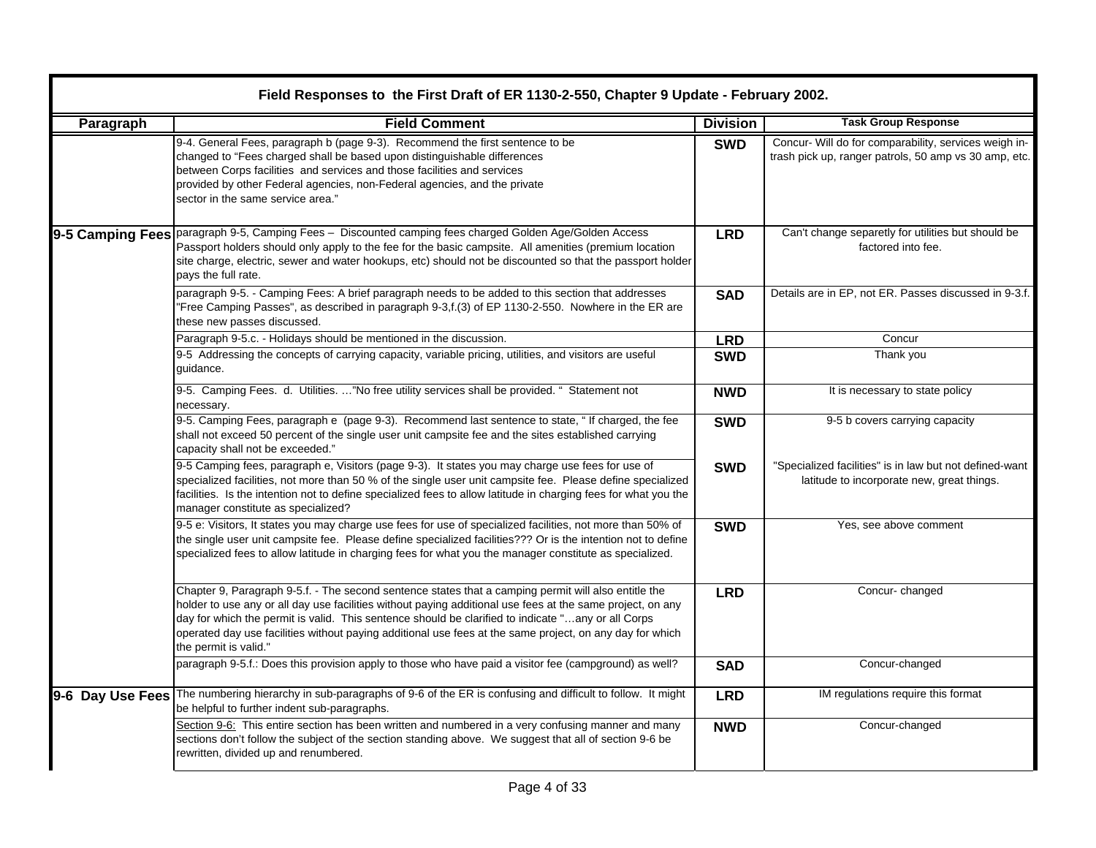| Paragraph | <b>Field Comment</b>                                                                                                                                                                                                                                                                                                                                                                                                                                          | <b>Division</b> | <b>Task Group Response</b>                                                                                     |
|-----------|---------------------------------------------------------------------------------------------------------------------------------------------------------------------------------------------------------------------------------------------------------------------------------------------------------------------------------------------------------------------------------------------------------------------------------------------------------------|-----------------|----------------------------------------------------------------------------------------------------------------|
|           | 9-4. General Fees, paragraph b (page 9-3). Recommend the first sentence to be<br>changed to "Fees charged shall be based upon distinguishable differences<br>between Corps facilities and services and those facilities and services<br>provided by other Federal agencies, non-Federal agencies, and the private<br>sector in the same service area."                                                                                                        | <b>SWD</b>      | Concur- Will do for comparability, services weigh in-<br>trash pick up, ranger patrols, 50 amp vs 30 amp, etc. |
|           | 9-5 Camping Fees   paragraph 9-5, Camping Fees - Discounted camping fees charged Golden Age/Golden Access<br>Passport holders should only apply to the fee for the basic campsite. All amenities (premium location<br>site charge, electric, sewer and water hookups, etc) should not be discounted so that the passport holder<br>pays the full rate.                                                                                                        | <b>LRD</b>      | Can't change separetly for utilities but should be<br>factored into fee.                                       |
|           | paragraph 9-5. - Camping Fees: A brief paragraph needs to be added to this section that addresses<br>"Free Camping Passes", as described in paragraph 9-3,f.(3) of EP 1130-2-550. Nowhere in the ER are<br>these new passes discussed.                                                                                                                                                                                                                        | <b>SAD</b>      | Details are in EP, not ER. Passes discussed in 9-3.f.                                                          |
|           | Paragraph 9-5.c. - Holidays should be mentioned in the discussion.                                                                                                                                                                                                                                                                                                                                                                                            | <b>LRD</b>      | Concur                                                                                                         |
|           | 9-5 Addressing the concepts of carrying capacity, variable pricing, utilities, and visitors are useful<br>guidance.                                                                                                                                                                                                                                                                                                                                           | <b>SWD</b>      | Thank you                                                                                                      |
|           | 9-5. Camping Fees. d. Utilities. "No free utility services shall be provided. " Statement not<br>necessary.                                                                                                                                                                                                                                                                                                                                                   | <b>NWD</b>      | It is necessary to state policy                                                                                |
|           | 9-5. Camping Fees, paragraph e (page 9-3). Recommend last sentence to state, "If charged, the fee<br>shall not exceed 50 percent of the single user unit campsite fee and the sites established carrying<br>capacity shall not be exceeded."                                                                                                                                                                                                                  | <b>SWD</b>      | 9-5 b covers carrying capacity                                                                                 |
|           | 9-5 Camping fees, paragraph e, Visitors (page 9-3). It states you may charge use fees for use of<br>specialized facilities, not more than 50 % of the single user unit campsite fee. Please define specialized<br>facilities. Is the intention not to define specialized fees to allow latitude in charging fees for what you the<br>manager constitute as specialized?                                                                                       | <b>SWD</b>      | "Specialized facilities" is in law but not defined-want<br>latitude to incorporate new, great things.          |
|           | 9-5 e: Visitors, It states you may charge use fees for use of specialized facilities, not more than 50% of<br>the single user unit campsite fee. Please define specialized facilities??? Or is the intention not to define<br>specialized fees to allow latitude in charging fees for what you the manager constitute as specialized.                                                                                                                         | <b>SWD</b>      | Yes, see above comment                                                                                         |
|           | Chapter 9, Paragraph 9-5.f. - The second sentence states that a camping permit will also entitle the<br>holder to use any or all day use facilities without paying additional use fees at the same project, on any<br>day for which the permit is valid. This sentence should be clarified to indicate "any or all Corps<br>operated day use facilities without paying additional use fees at the same project, on any day for which<br>the permit is valid." | <b>LRD</b>      | Concur-changed                                                                                                 |
|           | paragraph 9-5.f.: Does this provision apply to those who have paid a visitor fee (campground) as well?                                                                                                                                                                                                                                                                                                                                                        | <b>SAD</b>      | Concur-changed                                                                                                 |
|           | 9-6 Day Use Fees The numbering hierarchy in sub-paragraphs of 9-6 of the ER is confusing and difficult to follow. It might<br>be helpful to further indent sub-paragraphs.                                                                                                                                                                                                                                                                                    | <b>LRD</b>      | IM regulations require this format                                                                             |
|           | Section 9-6: This entire section has been written and numbered in a very confusing manner and many<br>sections don't follow the subject of the section standing above. We suggest that all of section 9-6 be<br>rewritten, divided up and renumbered.                                                                                                                                                                                                         | <b>NWD</b>      | Concur-changed                                                                                                 |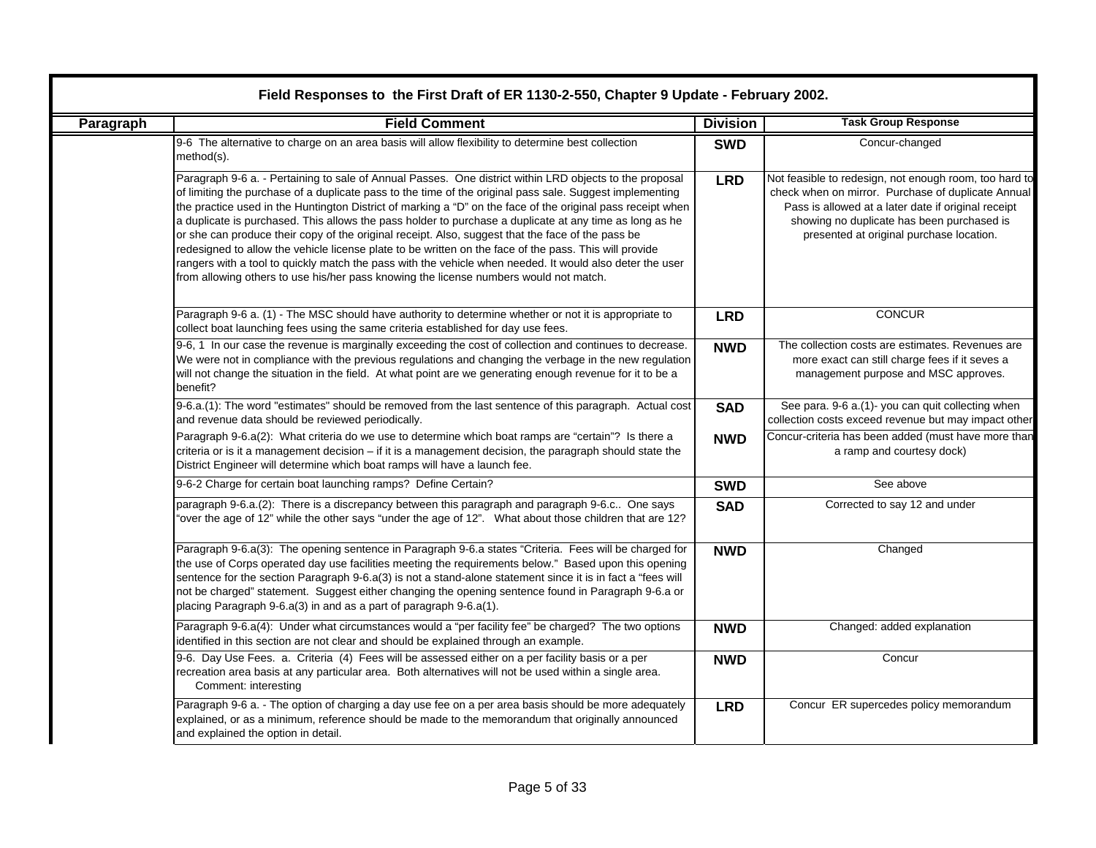|           | Field Responses to the First Draft of ER 1130-2-550, Chapter 9 Update - February 2002.                                                                                                                                                                                                                                                                                                                                                                                                                                                                                                                                                                                                                                                                                                                                                                            |                 |                                                                                                                                                                                                                                                               |  |  |
|-----------|-------------------------------------------------------------------------------------------------------------------------------------------------------------------------------------------------------------------------------------------------------------------------------------------------------------------------------------------------------------------------------------------------------------------------------------------------------------------------------------------------------------------------------------------------------------------------------------------------------------------------------------------------------------------------------------------------------------------------------------------------------------------------------------------------------------------------------------------------------------------|-----------------|---------------------------------------------------------------------------------------------------------------------------------------------------------------------------------------------------------------------------------------------------------------|--|--|
| Paragraph | <b>Field Comment</b>                                                                                                                                                                                                                                                                                                                                                                                                                                                                                                                                                                                                                                                                                                                                                                                                                                              | <b>Division</b> | <b>Task Group Response</b>                                                                                                                                                                                                                                    |  |  |
|           | 9-6 The alternative to charge on an area basis will allow flexibility to determine best collection<br>method(s).                                                                                                                                                                                                                                                                                                                                                                                                                                                                                                                                                                                                                                                                                                                                                  | <b>SWD</b>      | Concur-changed                                                                                                                                                                                                                                                |  |  |
|           | Paragraph 9-6 a. - Pertaining to sale of Annual Passes. One district within LRD objects to the proposal<br>of limiting the purchase of a duplicate pass to the time of the original pass sale. Suggest implementing<br>the practice used in the Huntington District of marking a "D" on the face of the original pass receipt when<br>a duplicate is purchased. This allows the pass holder to purchase a duplicate at any time as long as he<br>or she can produce their copy of the original receipt. Also, suggest that the face of the pass be<br>redesigned to allow the vehicle license plate to be written on the face of the pass. This will provide<br>rangers with a tool to quickly match the pass with the vehicle when needed. It would also deter the user<br>from allowing others to use his/her pass knowing the license numbers would not match. | <b>LRD</b>      | Not feasible to redesign, not enough room, too hard to<br>check when on mirror. Purchase of duplicate Annual<br>Pass is allowed at a later date if original receipt<br>showing no duplicate has been purchased is<br>presented at original purchase location. |  |  |
|           | Paragraph 9-6 a. (1) - The MSC should have authority to determine whether or not it is appropriate to<br>collect boat launching fees using the same criteria established for day use fees.                                                                                                                                                                                                                                                                                                                                                                                                                                                                                                                                                                                                                                                                        | <b>LRD</b>      | <b>CONCUR</b>                                                                                                                                                                                                                                                 |  |  |
|           | 9-6, 1 In our case the revenue is marginally exceeding the cost of collection and continues to decrease.<br>We were not in compliance with the previous regulations and changing the verbage in the new regulation<br>will not change the situation in the field. At what point are we generating enough revenue for it to be a<br>benefit?                                                                                                                                                                                                                                                                                                                                                                                                                                                                                                                       | <b>NWD</b>      | The collection costs are estimates. Revenues are<br>more exact can still charge fees if it seves a<br>management purpose and MSC approves.                                                                                                                    |  |  |
|           | 9-6.a.(1): The word "estimates" should be removed from the last sentence of this paragraph. Actual cost<br>and revenue data should be reviewed periodically.                                                                                                                                                                                                                                                                                                                                                                                                                                                                                                                                                                                                                                                                                                      | <b>SAD</b>      | See para. 9-6 a.(1)- you can quit collecting when<br>collection costs exceed revenue but may impact other                                                                                                                                                     |  |  |
|           | Paragraph 9-6.a(2): What criteria do we use to determine which boat ramps are "certain"? Is there a<br>criteria or is it a management decision – if it is a management decision, the paragraph should state the<br>District Engineer will determine which boat ramps will have a launch fee.                                                                                                                                                                                                                                                                                                                                                                                                                                                                                                                                                                      | <b>NWD</b>      | Concur-criteria has been added (must have more than<br>a ramp and courtesy dock)                                                                                                                                                                              |  |  |
|           | 9-6-2 Charge for certain boat launching ramps? Define Certain?                                                                                                                                                                                                                                                                                                                                                                                                                                                                                                                                                                                                                                                                                                                                                                                                    | <b>SWD</b>      | See above                                                                                                                                                                                                                                                     |  |  |
|           | paragraph 9-6.a.(2): There is a discrepancy between this paragraph and paragraph 9-6.c One says<br>"over the age of 12" while the other says "under the age of 12". What about those children that are 12?                                                                                                                                                                                                                                                                                                                                                                                                                                                                                                                                                                                                                                                        | <b>SAD</b>      | Corrected to say 12 and under                                                                                                                                                                                                                                 |  |  |
|           | Paragraph 9-6.a(3): The opening sentence in Paragraph 9-6.a states "Criteria. Fees will be charged for<br>the use of Corps operated day use facilities meeting the requirements below." Based upon this opening<br>sentence for the section Paragraph 9-6.a(3) is not a stand-alone statement since it is in fact a "fees will<br>not be charged" statement. Suggest either changing the opening sentence found in Paragraph 9-6.a or<br>placing Paragraph 9-6.a(3) in and as a part of paragraph 9-6.a(1).                                                                                                                                                                                                                                                                                                                                                       | <b>NWD</b>      | Changed                                                                                                                                                                                                                                                       |  |  |
|           | Paragraph 9-6.a(4): Under what circumstances would a "per facility fee" be charged? The two options<br>identified in this section are not clear and should be explained through an example.                                                                                                                                                                                                                                                                                                                                                                                                                                                                                                                                                                                                                                                                       | <b>NWD</b>      | Changed: added explanation                                                                                                                                                                                                                                    |  |  |
|           | 9-6. Day Use Fees. a. Criteria (4) Fees will be assessed either on a per facility basis or a per<br>recreation area basis at any particular area. Both alternatives will not be used within a single area.<br>Comment: interesting                                                                                                                                                                                                                                                                                                                                                                                                                                                                                                                                                                                                                                | <b>NWD</b>      | Concur                                                                                                                                                                                                                                                        |  |  |
|           | Paragraph 9-6 a. - The option of charging a day use fee on a per area basis should be more adequately<br>explained, or as a minimum, reference should be made to the memorandum that originally announced<br>and explained the option in detail.                                                                                                                                                                                                                                                                                                                                                                                                                                                                                                                                                                                                                  | <b>LRD</b>      | Concur ER supercedes policy memorandum                                                                                                                                                                                                                        |  |  |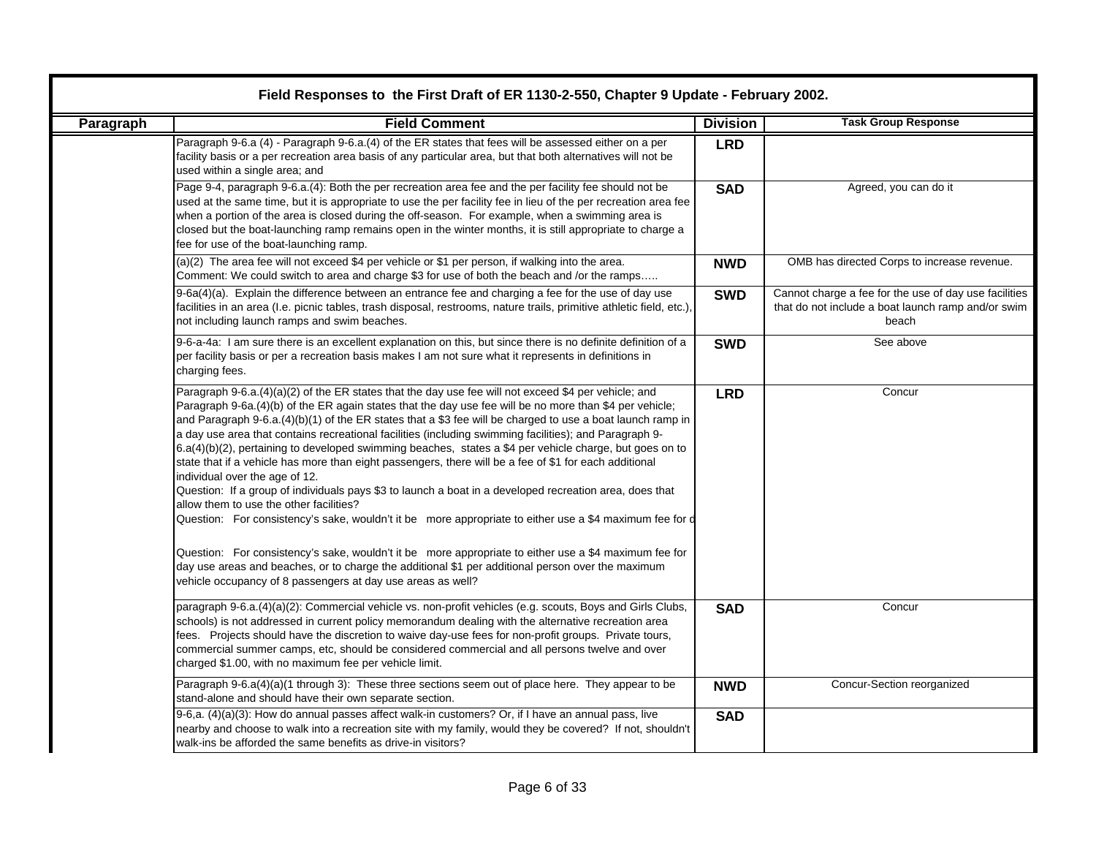| Paragraph | <b>Field Comment</b>                                                                                                                                                                                                                                                                                                                                                                                                                                                                                                                                                                                                                                                                                                                                                                                                                                                                                                                                                                                                                                                                                                                                                                                                                            | <b>Division</b> | <b>Task Group Response</b>                                                                                           |
|-----------|-------------------------------------------------------------------------------------------------------------------------------------------------------------------------------------------------------------------------------------------------------------------------------------------------------------------------------------------------------------------------------------------------------------------------------------------------------------------------------------------------------------------------------------------------------------------------------------------------------------------------------------------------------------------------------------------------------------------------------------------------------------------------------------------------------------------------------------------------------------------------------------------------------------------------------------------------------------------------------------------------------------------------------------------------------------------------------------------------------------------------------------------------------------------------------------------------------------------------------------------------|-----------------|----------------------------------------------------------------------------------------------------------------------|
|           | Paragraph 9-6.a (4) - Paragraph 9-6.a.(4) of the ER states that fees will be assessed either on a per<br>facility basis or a per recreation area basis of any particular area, but that both alternatives will not be<br>used within a single area; and                                                                                                                                                                                                                                                                                                                                                                                                                                                                                                                                                                                                                                                                                                                                                                                                                                                                                                                                                                                         | <b>LRD</b>      |                                                                                                                      |
|           | Page 9-4, paragraph 9-6.a.(4): Both the per recreation area fee and the per facility fee should not be<br>used at the same time, but it is appropriate to use the per facility fee in lieu of the per recreation area fee<br>when a portion of the area is closed during the off-season. For example, when a swimming area is<br>closed but the boat-launching ramp remains open in the winter months, it is still appropriate to charge a<br>fee for use of the boat-launching ramp.                                                                                                                                                                                                                                                                                                                                                                                                                                                                                                                                                                                                                                                                                                                                                           | <b>SAD</b>      | Agreed, you can do it                                                                                                |
|           | (a)(2) The area fee will not exceed \$4 per vehicle or \$1 per person, if walking into the area.<br>Comment: We could switch to area and charge \$3 for use of both the beach and /or the ramps                                                                                                                                                                                                                                                                                                                                                                                                                                                                                                                                                                                                                                                                                                                                                                                                                                                                                                                                                                                                                                                 | <b>NWD</b>      | OMB has directed Corps to increase revenue.                                                                          |
|           | 9-6a(4)(a). Explain the difference between an entrance fee and charging a fee for the use of day use<br>facilities in an area (I.e. picnic tables, trash disposal, restrooms, nature trails, primitive athletic field, etc.),<br>not including launch ramps and swim beaches.                                                                                                                                                                                                                                                                                                                                                                                                                                                                                                                                                                                                                                                                                                                                                                                                                                                                                                                                                                   | <b>SWD</b>      | Cannot charge a fee for the use of day use facilities<br>that do not include a boat launch ramp and/or swim<br>beach |
|           | 9-6-a-4a: I am sure there is an excellent explanation on this, but since there is no definite definition of a<br>per facility basis or per a recreation basis makes I am not sure what it represents in definitions in<br>charging fees.                                                                                                                                                                                                                                                                                                                                                                                                                                                                                                                                                                                                                                                                                                                                                                                                                                                                                                                                                                                                        | <b>SWD</b>      | See above                                                                                                            |
|           | Paragraph 9-6.a. $(4)(a)(2)$ of the ER states that the day use fee will not exceed \$4 per vehicle; and<br>Paragraph 9-6a.(4)(b) of the ER again states that the day use fee will be no more than \$4 per vehicle;<br>and Paragraph 9-6.a.(4)(b)(1) of the ER states that a \$3 fee will be charged to use a boat launch ramp in<br>a day use area that contains recreational facilities (including swimming facilities); and Paragraph 9-<br>6.a(4)(b)(2), pertaining to developed swimming beaches, states a \$4 per vehicle charge, but goes on to<br>state that if a vehicle has more than eight passengers, there will be a fee of \$1 for each additional<br>individual over the age of 12.<br>Question: If a group of individuals pays \$3 to launch a boat in a developed recreation area, does that<br>allow them to use the other facilities?<br>Question: For consistency's sake, wouldn't it be more appropriate to either use a \$4 maximum fee for d<br>Question: For consistency's sake, wouldn't it be more appropriate to either use a \$4 maximum fee for<br>day use areas and beaches, or to charge the additional \$1 per additional person over the maximum<br>vehicle occupancy of 8 passengers at day use areas as well? | <b>LRD</b>      | Concur                                                                                                               |
|           | paragraph 9-6.a.(4)(a)(2): Commercial vehicle vs. non-profit vehicles (e.g. scouts, Boys and Girls Clubs,<br>schools) is not addressed in current policy memorandum dealing with the alternative recreation area<br>fees. Projects should have the discretion to waive day-use fees for non-profit groups. Private tours,<br>commercial summer camps, etc, should be considered commercial and all persons twelve and over<br>charged \$1.00, with no maximum fee per vehicle limit.                                                                                                                                                                                                                                                                                                                                                                                                                                                                                                                                                                                                                                                                                                                                                            | <b>SAD</b>      | Concur                                                                                                               |
|           | Paragraph 9-6.a(4)(a)(1 through 3): These three sections seem out of place here. They appear to be<br>stand-alone and should have their own separate section.                                                                                                                                                                                                                                                                                                                                                                                                                                                                                                                                                                                                                                                                                                                                                                                                                                                                                                                                                                                                                                                                                   | <b>NWD</b>      | Concur-Section reorganized                                                                                           |
|           | 9-6,a. (4)(a)(3): How do annual passes affect walk-in customers? Or, if I have an annual pass, live<br>nearby and choose to walk into a recreation site with my family, would they be covered? If not, shouldn't<br>walk-ins be afforded the same benefits as drive-in visitors?                                                                                                                                                                                                                                                                                                                                                                                                                                                                                                                                                                                                                                                                                                                                                                                                                                                                                                                                                                | <b>SAD</b>      |                                                                                                                      |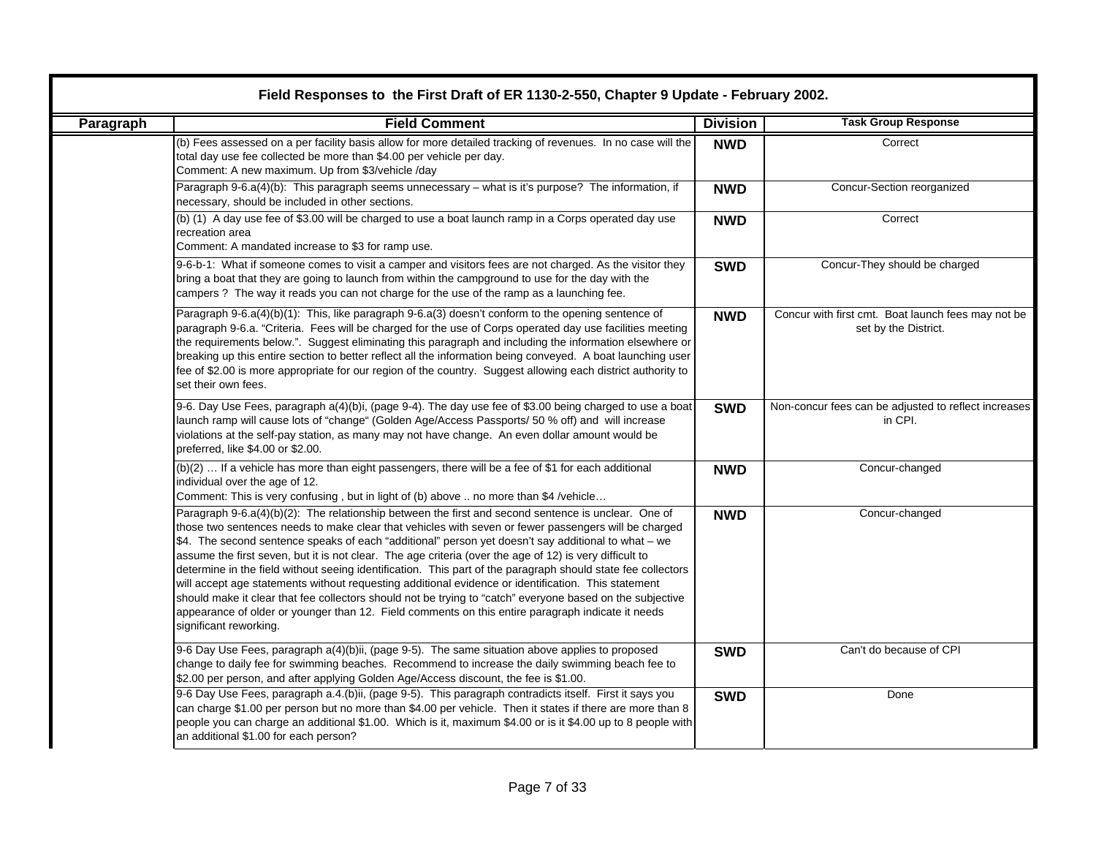|           | Field Responses to the First Draft of ER 1130-2-550, Chapter 9 Update - February 2002.                                                                                                                                                                                                                                                                                                                                                                                                                                                                                                                                                                                                                                                                                                                                                                                                           |                 |                                                                            |  |  |
|-----------|--------------------------------------------------------------------------------------------------------------------------------------------------------------------------------------------------------------------------------------------------------------------------------------------------------------------------------------------------------------------------------------------------------------------------------------------------------------------------------------------------------------------------------------------------------------------------------------------------------------------------------------------------------------------------------------------------------------------------------------------------------------------------------------------------------------------------------------------------------------------------------------------------|-----------------|----------------------------------------------------------------------------|--|--|
| Paragraph | <b>Field Comment</b>                                                                                                                                                                                                                                                                                                                                                                                                                                                                                                                                                                                                                                                                                                                                                                                                                                                                             | <b>Division</b> | <b>Task Group Response</b>                                                 |  |  |
|           | (b) Fees assessed on a per facility basis allow for more detailed tracking of revenues. In no case will the<br>total day use fee collected be more than \$4.00 per vehicle per day.<br>Comment: A new maximum. Up from \$3/vehicle /day                                                                                                                                                                                                                                                                                                                                                                                                                                                                                                                                                                                                                                                          | <b>NWD</b>      | Correct                                                                    |  |  |
|           | Paragraph 9-6.a(4)(b): This paragraph seems unnecessary - what is it's purpose? The information, if<br>necessary, should be included in other sections.                                                                                                                                                                                                                                                                                                                                                                                                                                                                                                                                                                                                                                                                                                                                          | <b>NWD</b>      | Concur-Section reorganized                                                 |  |  |
|           | (b) (1) A day use fee of \$3.00 will be charged to use a boat launch ramp in a Corps operated day use<br>recreation area<br>Comment: A mandated increase to \$3 for ramp use.                                                                                                                                                                                                                                                                                                                                                                                                                                                                                                                                                                                                                                                                                                                    | <b>NWD</b>      | Correct                                                                    |  |  |
|           | 9-6-b-1: What if someone comes to visit a camper and visitors fees are not charged. As the visitor they<br>bring a boat that they are going to launch from within the campground to use for the day with the<br>campers ? The way it reads you can not charge for the use of the ramp as a launching fee.                                                                                                                                                                                                                                                                                                                                                                                                                                                                                                                                                                                        | <b>SWD</b>      | Concur-They should be charged                                              |  |  |
|           | Paragraph 9-6.a(4)(b)(1): This, like paragraph 9-6.a(3) doesn't conform to the opening sentence of<br>paragraph 9-6.a. "Criteria. Fees will be charged for the use of Corps operated day use facilities meeting<br>the requirements below.". Suggest eliminating this paragraph and including the information elsewhere or<br>breaking up this entire section to better reflect all the information being conveyed. A boat launching user<br>fee of \$2.00 is more appropriate for our region of the country. Suggest allowing each district authority to<br>set their own fees.                                                                                                                                                                                                                                                                                                                 | <b>NWD</b>      | Concur with first cmt. Boat launch fees may not be<br>set by the District. |  |  |
|           | 9-6. Day Use Fees, paragraph a(4)(b)i, (page 9-4). The day use fee of \$3.00 being charged to use a boat<br>launch ramp will cause lots of "change" (Golden Age/Access Passports/ 50 % off) and will increase<br>violations at the self-pay station, as many may not have change. An even dollar amount would be<br>preferred, like \$4.00 or \$2.00.                                                                                                                                                                                                                                                                                                                                                                                                                                                                                                                                            | <b>SWD</b>      | Non-concur fees can be adjusted to reflect increases<br>in CPI.            |  |  |
|           | (b)(2)  If a vehicle has more than eight passengers, there will be a fee of \$1 for each additional<br>individual over the age of 12.<br>Comment: This is very confusing, but in light of (b) above  no more than \$4 /vehicle                                                                                                                                                                                                                                                                                                                                                                                                                                                                                                                                                                                                                                                                   | <b>NWD</b>      | Concur-changed                                                             |  |  |
|           | Paragraph 9-6.a(4)(b)(2): The relationship between the first and second sentence is unclear. One of<br>those two sentences needs to make clear that vehicles with seven or fewer passengers will be charged<br>\$4. The second sentence speaks of each "additional" person yet doesn't say additional to what – we<br>assume the first seven, but it is not clear. The age criteria (over the age of 12) is very difficult to<br>determine in the field without seeing identification. This part of the paragraph should state fee collectors<br>will accept age statements without requesting additional evidence or identification. This statement<br>should make it clear that fee collectors should not be trying to "catch" everyone based on the subjective<br>appearance of older or younger than 12. Field comments on this entire paragraph indicate it needs<br>significant reworking. | <b>NWD</b>      | Concur-changed                                                             |  |  |
|           | 9-6 Day Use Fees, paragraph a(4)(b)ii, (page 9-5). The same situation above applies to proposed<br>change to daily fee for swimming beaches. Recommend to increase the daily swimming beach fee to<br>\$2.00 per person, and after applying Golden Age/Access discount, the fee is \$1.00.                                                                                                                                                                                                                                                                                                                                                                                                                                                                                                                                                                                                       | <b>SWD</b>      | Can't do because of CPI                                                    |  |  |
|           | 9-6 Day Use Fees, paragraph a.4.(b)ii, (page 9-5). This paragraph contradicts itself. First it says you<br>can charge \$1.00 per person but no more than \$4.00 per vehicle. Then it states if there are more than 8<br>people you can charge an additional \$1.00. Which is it, maximum \$4.00 or is it \$4.00 up to 8 people with<br>an additional \$1.00 for each person?                                                                                                                                                                                                                                                                                                                                                                                                                                                                                                                     | <b>SWD</b>      | Done                                                                       |  |  |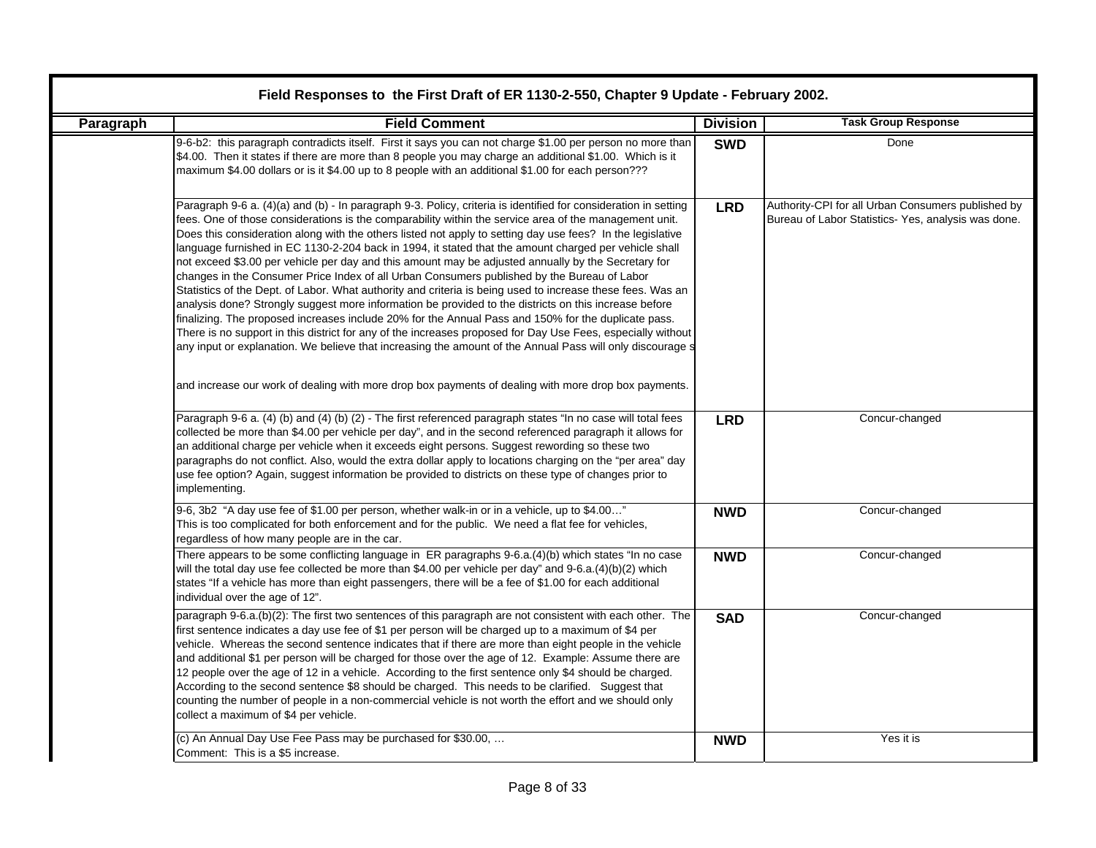|           | Field Responses to the First Draft of ER 1130-2-550, Chapter 9 Update - February 2002.                                                                                                                                                                                                                                                                                                                                                                                                                                                                                                                                                                                                                                                                                                                                                                                                                                                                                                                                                                                                                                                                                                                                                                                                                                   |                 |                                                                                                          |  |  |
|-----------|--------------------------------------------------------------------------------------------------------------------------------------------------------------------------------------------------------------------------------------------------------------------------------------------------------------------------------------------------------------------------------------------------------------------------------------------------------------------------------------------------------------------------------------------------------------------------------------------------------------------------------------------------------------------------------------------------------------------------------------------------------------------------------------------------------------------------------------------------------------------------------------------------------------------------------------------------------------------------------------------------------------------------------------------------------------------------------------------------------------------------------------------------------------------------------------------------------------------------------------------------------------------------------------------------------------------------|-----------------|----------------------------------------------------------------------------------------------------------|--|--|
| Paragraph | <b>Field Comment</b>                                                                                                                                                                                                                                                                                                                                                                                                                                                                                                                                                                                                                                                                                                                                                                                                                                                                                                                                                                                                                                                                                                                                                                                                                                                                                                     | <b>Division</b> | <b>Task Group Response</b>                                                                               |  |  |
|           | 9-6-b2: this paragraph contradicts itself. First it says you can not charge \$1.00 per person no more than<br>\$4.00. Then it states if there are more than 8 people you may charge an additional \$1.00. Which is it<br>maximum \$4.00 dollars or is it \$4.00 up to 8 people with an additional \$1.00 for each person???                                                                                                                                                                                                                                                                                                                                                                                                                                                                                                                                                                                                                                                                                                                                                                                                                                                                                                                                                                                              | <b>SWD</b>      | Done                                                                                                     |  |  |
|           | Paragraph 9-6 a. (4)(a) and (b) - In paragraph 9-3. Policy, criteria is identified for consideration in setting<br>fees. One of those considerations is the comparability within the service area of the management unit.<br>Does this consideration along with the others listed not apply to setting day use fees? In the legislative<br>language furnished in EC 1130-2-204 back in 1994, it stated that the amount charged per vehicle shall<br>not exceed \$3.00 per vehicle per day and this amount may be adjusted annually by the Secretary for<br>changes in the Consumer Price Index of all Urban Consumers published by the Bureau of Labor<br>Statistics of the Dept. of Labor. What authority and criteria is being used to increase these fees. Was an<br>analysis done? Strongly suggest more information be provided to the districts on this increase before<br>finalizing. The proposed increases include 20% for the Annual Pass and 150% for the duplicate pass.<br>There is no support in this district for any of the increases proposed for Day Use Fees, especially without<br>any input or explanation. We believe that increasing the amount of the Annual Pass will only discourage s<br>and increase our work of dealing with more drop box payments of dealing with more drop box payments. | <b>LRD</b>      | Authority-CPI for all Urban Consumers published by<br>Bureau of Labor Statistics-Yes, analysis was done. |  |  |
|           | Paragraph 9-6 a. (4) (b) and (4) (b) (2) - The first referenced paragraph states "In no case will total fees<br>collected be more than \$4.00 per vehicle per day", and in the second referenced paragraph it allows for<br>an additional charge per vehicle when it exceeds eight persons. Suggest rewording so these two<br>paragraphs do not conflict. Also, would the extra dollar apply to locations charging on the "per area" day<br>use fee option? Again, suggest information be provided to districts on these type of changes prior to<br>implementing.                                                                                                                                                                                                                                                                                                                                                                                                                                                                                                                                                                                                                                                                                                                                                       | <b>LRD</b>      | Concur-changed                                                                                           |  |  |
|           | 9-6, 3b2 "A day use fee of \$1.00 per person, whether walk-in or in a vehicle, up to \$4.00"<br>This is too complicated for both enforcement and for the public. We need a flat fee for vehicles,<br>regardless of how many people are in the car.                                                                                                                                                                                                                                                                                                                                                                                                                                                                                                                                                                                                                                                                                                                                                                                                                                                                                                                                                                                                                                                                       | <b>NWD</b>      | Concur-changed                                                                                           |  |  |
|           | There appears to be some conflicting language in ER paragraphs 9-6.a.(4)(b) which states "In no case<br>will the total day use fee collected be more than \$4.00 per vehicle per day" and 9-6.a.(4)(b)(2) which<br>states "If a vehicle has more than eight passengers, there will be a fee of \$1.00 for each additional<br>individual over the age of 12".                                                                                                                                                                                                                                                                                                                                                                                                                                                                                                                                                                                                                                                                                                                                                                                                                                                                                                                                                             | <b>NWD</b>      | Concur-changed                                                                                           |  |  |
|           | paragraph 9-6.a.(b)(2): The first two sentences of this paragraph are not consistent with each other. The<br>first sentence indicates a day use fee of \$1 per person will be charged up to a maximum of \$4 per<br>vehicle. Whereas the second sentence indicates that if there are more than eight people in the vehicle<br>and additional \$1 per person will be charged for those over the age of 12. Example: Assume there are<br>12 people over the age of 12 in a vehicle. According to the first sentence only \$4 should be charged.<br>According to the second sentence \$8 should be charged. This needs to be clarified. Suggest that<br>counting the number of people in a non-commercial vehicle is not worth the effort and we should only<br>collect a maximum of \$4 per vehicle.                                                                                                                                                                                                                                                                                                                                                                                                                                                                                                                       | <b>SAD</b>      | Concur-changed                                                                                           |  |  |
|           | (c) An Annual Day Use Fee Pass may be purchased for \$30.00,<br>Comment: This is a \$5 increase.                                                                                                                                                                                                                                                                                                                                                                                                                                                                                                                                                                                                                                                                                                                                                                                                                                                                                                                                                                                                                                                                                                                                                                                                                         | <b>NWD</b>      | Yes it is                                                                                                |  |  |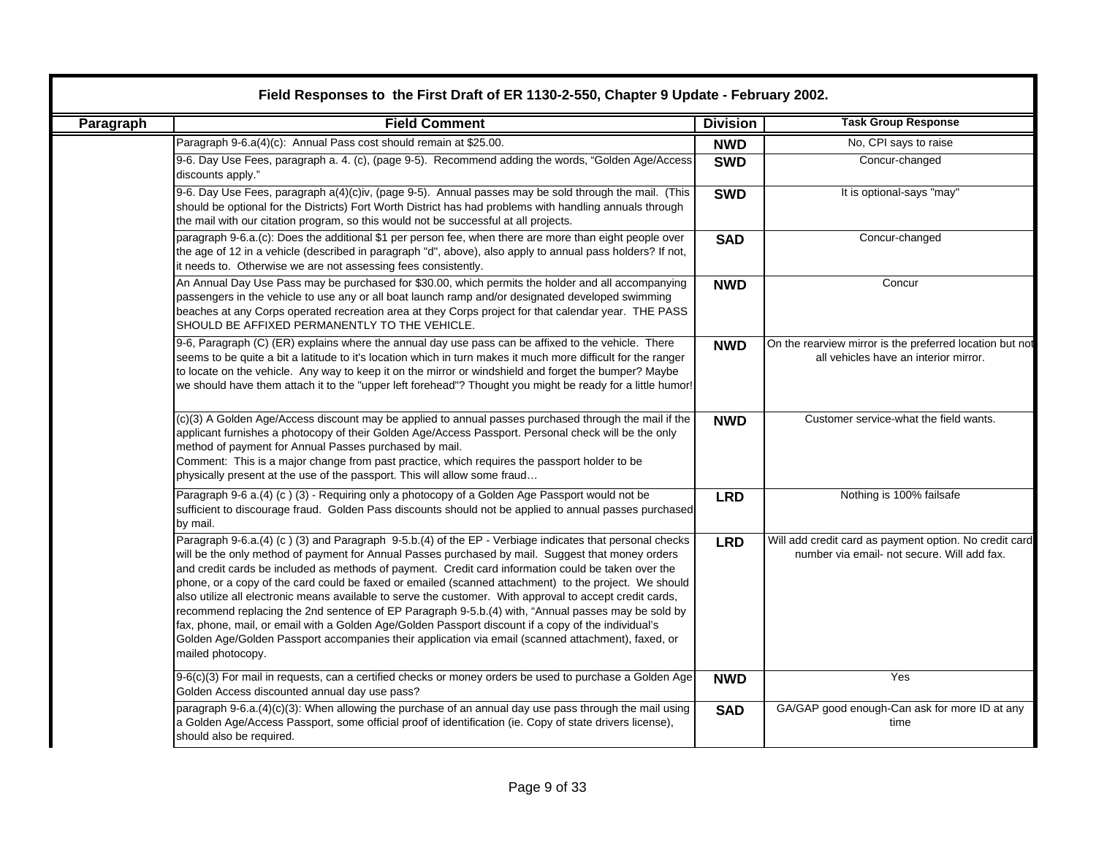|           | Field Responses to the First Draft of ER 1130-2-550, Chapter 9 Update - February 2002.                                                                                                                                                                                                                                                                                                                                                                                                                                                                                                                                                                                                                                                                                                                                                                                           |                 |                                                                                                       |  |  |
|-----------|----------------------------------------------------------------------------------------------------------------------------------------------------------------------------------------------------------------------------------------------------------------------------------------------------------------------------------------------------------------------------------------------------------------------------------------------------------------------------------------------------------------------------------------------------------------------------------------------------------------------------------------------------------------------------------------------------------------------------------------------------------------------------------------------------------------------------------------------------------------------------------|-----------------|-------------------------------------------------------------------------------------------------------|--|--|
| Paragraph | <b>Field Comment</b>                                                                                                                                                                                                                                                                                                                                                                                                                                                                                                                                                                                                                                                                                                                                                                                                                                                             | <b>Division</b> | <b>Task Group Response</b>                                                                            |  |  |
|           | Paragraph 9-6.a(4)(c): Annual Pass cost should remain at \$25.00.                                                                                                                                                                                                                                                                                                                                                                                                                                                                                                                                                                                                                                                                                                                                                                                                                | <b>NWD</b>      | No, CPI says to raise                                                                                 |  |  |
|           | 9-6. Day Use Fees, paragraph a. 4. (c), (page 9-5). Recommend adding the words, "Golden Age/Access<br>discounts apply."                                                                                                                                                                                                                                                                                                                                                                                                                                                                                                                                                                                                                                                                                                                                                          | <b>SWD</b>      | Concur-changed                                                                                        |  |  |
|           | 9-6. Day Use Fees, paragraph a(4)(c)iv, (page 9-5). Annual passes may be sold through the mail. (This<br>should be optional for the Districts) Fort Worth District has had problems with handling annuals through<br>the mail with our citation program, so this would not be successful at all projects.                                                                                                                                                                                                                                                                                                                                                                                                                                                                                                                                                                        | <b>SWD</b>      | It is optional-says "may"                                                                             |  |  |
|           | paragraph 9-6.a.(c): Does the additional \$1 per person fee, when there are more than eight people over<br>the age of 12 in a vehicle (described in paragraph "d", above), also apply to annual pass holders? If not,<br>it needs to. Otherwise we are not assessing fees consistently.                                                                                                                                                                                                                                                                                                                                                                                                                                                                                                                                                                                          | <b>SAD</b>      | Concur-changed                                                                                        |  |  |
|           | An Annual Day Use Pass may be purchased for \$30.00, which permits the holder and all accompanying<br>passengers in the vehicle to use any or all boat launch ramp and/or designated developed swimming<br>beaches at any Corps operated recreation area at they Corps project for that calendar year. THE PASS<br>SHOULD BE AFFIXED PERMANENTLY TO THE VEHICLE.                                                                                                                                                                                                                                                                                                                                                                                                                                                                                                                 | <b>NWD</b>      | Concur                                                                                                |  |  |
|           | 9-6, Paragraph (C) (ER) explains where the annual day use pass can be affixed to the vehicle. There<br>seems to be quite a bit a latitude to it's location which in turn makes it much more difficult for the ranger<br>to locate on the vehicle. Any way to keep it on the mirror or windshield and forget the bumper? Maybe<br>we should have them attach it to the "upper left forehead"? Thought you might be ready for a little humor!                                                                                                                                                                                                                                                                                                                                                                                                                                      | <b>NWD</b>      | On the rearview mirror is the preferred location but not<br>all vehicles have an interior mirror.     |  |  |
|           | (c)(3) A Golden Age/Access discount may be applied to annual passes purchased through the mail if the<br>applicant furnishes a photocopy of their Golden Age/Access Passport. Personal check will be the only<br>method of payment for Annual Passes purchased by mail.<br>Comment: This is a major change from past practice, which requires the passport holder to be<br>physically present at the use of the passport. This will allow some fraud                                                                                                                                                                                                                                                                                                                                                                                                                             | <b>NWD</b>      | Customer service-what the field wants.                                                                |  |  |
|           | Paragraph 9-6 a.(4) (c) (3) - Requiring only a photocopy of a Golden Age Passport would not be<br>sufficient to discourage fraud. Golden Pass discounts should not be applied to annual passes purchased<br>by mail.                                                                                                                                                                                                                                                                                                                                                                                                                                                                                                                                                                                                                                                             | <b>LRD</b>      | Nothing is 100% failsafe                                                                              |  |  |
|           | Paragraph 9-6.a.(4) (c) (3) and Paragraph 9-5.b.(4) of the EP - Verbiage indicates that personal checks<br>will be the only method of payment for Annual Passes purchased by mail. Suggest that money orders<br>and credit cards be included as methods of payment. Credit card information could be taken over the<br>phone, or a copy of the card could be faxed or emailed (scanned attachment) to the project. We should<br>also utilize all electronic means available to serve the customer. With approval to accept credit cards,<br>recommend replacing the 2nd sentence of EP Paragraph 9-5.b.(4) with, "Annual passes may be sold by<br>fax, phone, mail, or email with a Golden Age/Golden Passport discount if a copy of the individual's<br>Golden Age/Golden Passport accompanies their application via email (scanned attachment), faxed, or<br>mailed photocopy. | <b>LRD</b>      | Will add credit card as payment option. No credit card<br>number via email- not secure. Will add fax. |  |  |
|           | 9-6(c)(3) For mail in requests, can a certified checks or money orders be used to purchase a Golden Age<br>Golden Access discounted annual day use pass?                                                                                                                                                                                                                                                                                                                                                                                                                                                                                                                                                                                                                                                                                                                         | <b>NWD</b>      | Yes                                                                                                   |  |  |
|           | paragraph 9-6.a.(4)(c)(3): When allowing the purchase of an annual day use pass through the mail using<br>a Golden Age/Access Passport, some official proof of identification (ie. Copy of state drivers license),<br>should also be required.                                                                                                                                                                                                                                                                                                                                                                                                                                                                                                                                                                                                                                   | <b>SAD</b>      | GA/GAP good enough-Can ask for more ID at any<br>time                                                 |  |  |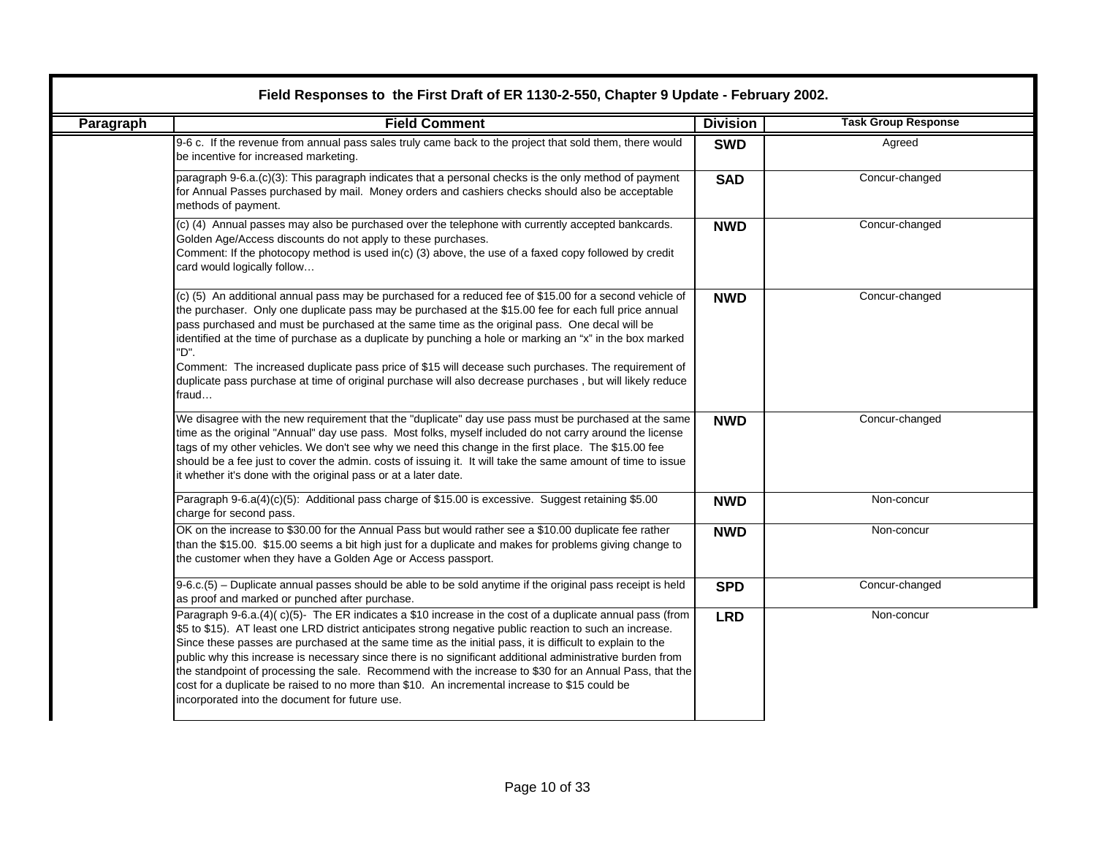| Paragraph | <b>Field Comment</b>                                                                                                                                                                                                                                                                                                                                                                                                                                                                                                                                                                                                                                                                                        | <b>Division</b> | <b>Task Group Response</b> |
|-----------|-------------------------------------------------------------------------------------------------------------------------------------------------------------------------------------------------------------------------------------------------------------------------------------------------------------------------------------------------------------------------------------------------------------------------------------------------------------------------------------------------------------------------------------------------------------------------------------------------------------------------------------------------------------------------------------------------------------|-----------------|----------------------------|
|           | 9-6 c. If the revenue from annual pass sales truly came back to the project that sold them, there would<br>be incentive for increased marketing.                                                                                                                                                                                                                                                                                                                                                                                                                                                                                                                                                            | <b>SWD</b>      | Agreed                     |
|           | paragraph 9-6.a.(c)(3): This paragraph indicates that a personal checks is the only method of payment<br>for Annual Passes purchased by mail. Money orders and cashiers checks should also be acceptable<br>methods of payment.                                                                                                                                                                                                                                                                                                                                                                                                                                                                             | <b>SAD</b>      | Concur-changed             |
|           | (c) (4) Annual passes may also be purchased over the telephone with currently accepted bankcards.<br>Golden Age/Access discounts do not apply to these purchases.<br>Comment: If the photocopy method is used in(c) (3) above, the use of a faxed copy followed by credit<br>card would logically follow                                                                                                                                                                                                                                                                                                                                                                                                    | <b>NWD</b>      | Concur-changed             |
|           | (c) (5) An additional annual pass may be purchased for a reduced fee of \$15.00 for a second vehicle of<br>the purchaser. Only one duplicate pass may be purchased at the \$15.00 fee for each full price annual<br>pass purchased and must be purchased at the same time as the original pass. One decal will be<br>identified at the time of purchase as a duplicate by punching a hole or marking an "x" in the box marked<br>"D".<br>Comment: The increased duplicate pass price of \$15 will decease such purchases. The requirement of<br>duplicate pass purchase at time of original purchase will also decrease purchases, but will likely reduce<br>fraud                                          | <b>NWD</b>      | Concur-changed             |
|           | We disagree with the new requirement that the "duplicate" day use pass must be purchased at the same<br>time as the original "Annual" day use pass. Most folks, myself included do not carry around the license<br>tags of my other vehicles. We don't see why we need this change in the first place. The \$15.00 fee<br>should be a fee just to cover the admin. costs of issuing it. It will take the same amount of time to issue<br>it whether it's done with the original pass or at a later date.                                                                                                                                                                                                    | <b>NWD</b>      | Concur-changed             |
|           | Paragraph 9-6.a(4)(c)(5): Additional pass charge of \$15.00 is excessive. Suggest retaining \$5.00<br>charge for second pass.                                                                                                                                                                                                                                                                                                                                                                                                                                                                                                                                                                               | <b>NWD</b>      | Non-concur                 |
|           | OK on the increase to \$30.00 for the Annual Pass but would rather see a \$10.00 duplicate fee rather<br>than the \$15.00. \$15.00 seems a bit high just for a duplicate and makes for problems giving change to<br>the customer when they have a Golden Age or Access passport.                                                                                                                                                                                                                                                                                                                                                                                                                            | <b>NWD</b>      | Non-concur                 |
|           | 9-6.c.(5) - Duplicate annual passes should be able to be sold anytime if the original pass receipt is held<br>as proof and marked or punched after purchase.                                                                                                                                                                                                                                                                                                                                                                                                                                                                                                                                                | <b>SPD</b>      | Concur-changed             |
|           | Paragraph 9-6.a.(4)(c)(5)- The ER indicates a \$10 increase in the cost of a duplicate annual pass (from<br>\$5 to \$15). AT least one LRD district anticipates strong negative public reaction to such an increase.<br>Since these passes are purchased at the same time as the initial pass, it is difficult to explain to the<br>public why this increase is necessary since there is no significant additional administrative burden from<br>the standpoint of processing the sale. Recommend with the increase to \$30 for an Annual Pass, that the<br>cost for a duplicate be raised to no more than \$10. An incremental increase to \$15 could be<br>incorporated into the document for future use. | <b>LRD</b>      | Non-concur                 |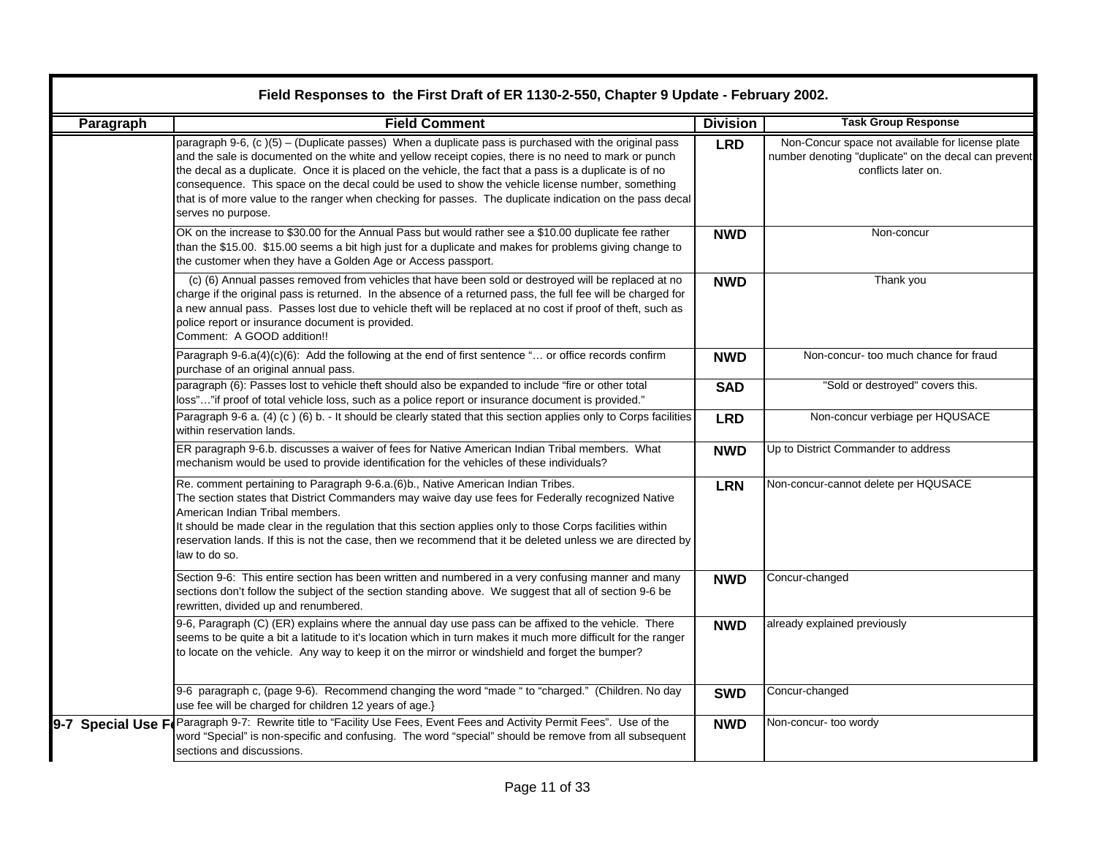|           | Field Responses to the First Draft of ER 1130-2-550, Chapter 9 Update - February 2002.                                                                                                                                                                                                                                                                                                                                                                                                                                                                         |                            |                                                                                                                                 |  |  |  |
|-----------|----------------------------------------------------------------------------------------------------------------------------------------------------------------------------------------------------------------------------------------------------------------------------------------------------------------------------------------------------------------------------------------------------------------------------------------------------------------------------------------------------------------------------------------------------------------|----------------------------|---------------------------------------------------------------------------------------------------------------------------------|--|--|--|
| Paragraph | <b>Field Comment</b>                                                                                                                                                                                                                                                                                                                                                                                                                                                                                                                                           | <b>Task Group Response</b> |                                                                                                                                 |  |  |  |
|           | paragraph 9-6, (c)(5) – (Duplicate passes) When a duplicate pass is purchased with the original pass<br>and the sale is documented on the white and yellow receipt copies, there is no need to mark or punch<br>the decal as a duplicate. Once it is placed on the vehicle, the fact that a pass is a duplicate is of no<br>consequence. This space on the decal could be used to show the vehicle license number, something<br>that is of more value to the ranger when checking for passes. The duplicate indication on the pass decal<br>serves no purpose. | <b>LRD</b>                 | Non-Concur space not available for license plate<br>number denoting "duplicate" on the decal can prevent<br>conflicts later on. |  |  |  |
|           | OK on the increase to \$30.00 for the Annual Pass but would rather see a \$10.00 duplicate fee rather<br>than the \$15.00. \$15.00 seems a bit high just for a duplicate and makes for problems giving change to<br>the customer when they have a Golden Age or Access passport.                                                                                                                                                                                                                                                                               | <b>NWD</b>                 | Non-concur                                                                                                                      |  |  |  |
|           | (c) (6) Annual passes removed from vehicles that have been sold or destroyed will be replaced at no<br>charge if the original pass is returned. In the absence of a returned pass, the full fee will be charged for<br>a new annual pass. Passes lost due to vehicle theft will be replaced at no cost if proof of theft, such as<br>police report or insurance document is provided.<br>Comment: A GOOD addition!!                                                                                                                                            | <b>NWD</b>                 | Thank you                                                                                                                       |  |  |  |
|           | Paragraph 9-6.a(4)(c)(6): Add the following at the end of first sentence " or office records confirm<br>purchase of an original annual pass.                                                                                                                                                                                                                                                                                                                                                                                                                   | <b>NWD</b>                 | Non-concur- too much chance for fraud                                                                                           |  |  |  |
|           | paragraph (6): Passes lost to vehicle theft should also be expanded to include "fire or other total<br>loss""if proof of total vehicle loss, such as a police report or insurance document is provided."                                                                                                                                                                                                                                                                                                                                                       | <b>SAD</b>                 | "Sold or destroyed" covers this.                                                                                                |  |  |  |
|           | Paragraph 9-6 a. (4) (c) (6) b. - It should be clearly stated that this section applies only to Corps facilities<br>within reservation lands.                                                                                                                                                                                                                                                                                                                                                                                                                  | <b>LRD</b>                 | Non-concur verbiage per HQUSACE                                                                                                 |  |  |  |
|           | ER paragraph 9-6.b. discusses a waiver of fees for Native American Indian Tribal members. What<br>mechanism would be used to provide identification for the vehicles of these individuals?                                                                                                                                                                                                                                                                                                                                                                     | <b>NWD</b>                 | Up to District Commander to address                                                                                             |  |  |  |
|           | Re. comment pertaining to Paragraph 9-6.a. (6)b., Native American Indian Tribes.<br>The section states that District Commanders may waive day use fees for Federally recognized Native<br>American Indian Tribal members.<br>It should be made clear in the regulation that this section applies only to those Corps facilities within<br>reservation lands. If this is not the case, then we recommend that it be deleted unless we are directed by<br>law to do so.                                                                                          | <b>LRN</b>                 | Non-concur-cannot delete per HQUSACE                                                                                            |  |  |  |
|           | Section 9-6: This entire section has been written and numbered in a very confusing manner and many<br>sections don't follow the subject of the section standing above. We suggest that all of section 9-6 be<br>rewritten, divided up and renumbered.                                                                                                                                                                                                                                                                                                          | <b>NWD</b>                 | Concur-changed                                                                                                                  |  |  |  |
|           | 9-6, Paragraph (C) (ER) explains where the annual day use pass can be affixed to the vehicle. There<br>seems to be quite a bit a latitude to it's location which in turn makes it much more difficult for the ranger<br>to locate on the vehicle. Any way to keep it on the mirror or windshield and forget the bumper?                                                                                                                                                                                                                                        | <b>NWD</b>                 | already explained previously                                                                                                    |  |  |  |
|           | 9-6 paragraph c, (page 9-6). Recommend changing the word "made " to "charged." (Children. No day<br>use fee will be charged for children 12 years of age.}                                                                                                                                                                                                                                                                                                                                                                                                     | <b>SWD</b>                 | Concur-changed                                                                                                                  |  |  |  |
|           | 9-7 Special Use Fe Paragraph 9-7: Rewrite title to "Facility Use Fees, Event Fees and Activity Permit Fees". Use of the<br>word "Special" is non-specific and confusing. The word "special" should be remove from all subsequent<br>sections and discussions.                                                                                                                                                                                                                                                                                                  | <b>NWD</b>                 | Non-concur- too wordy                                                                                                           |  |  |  |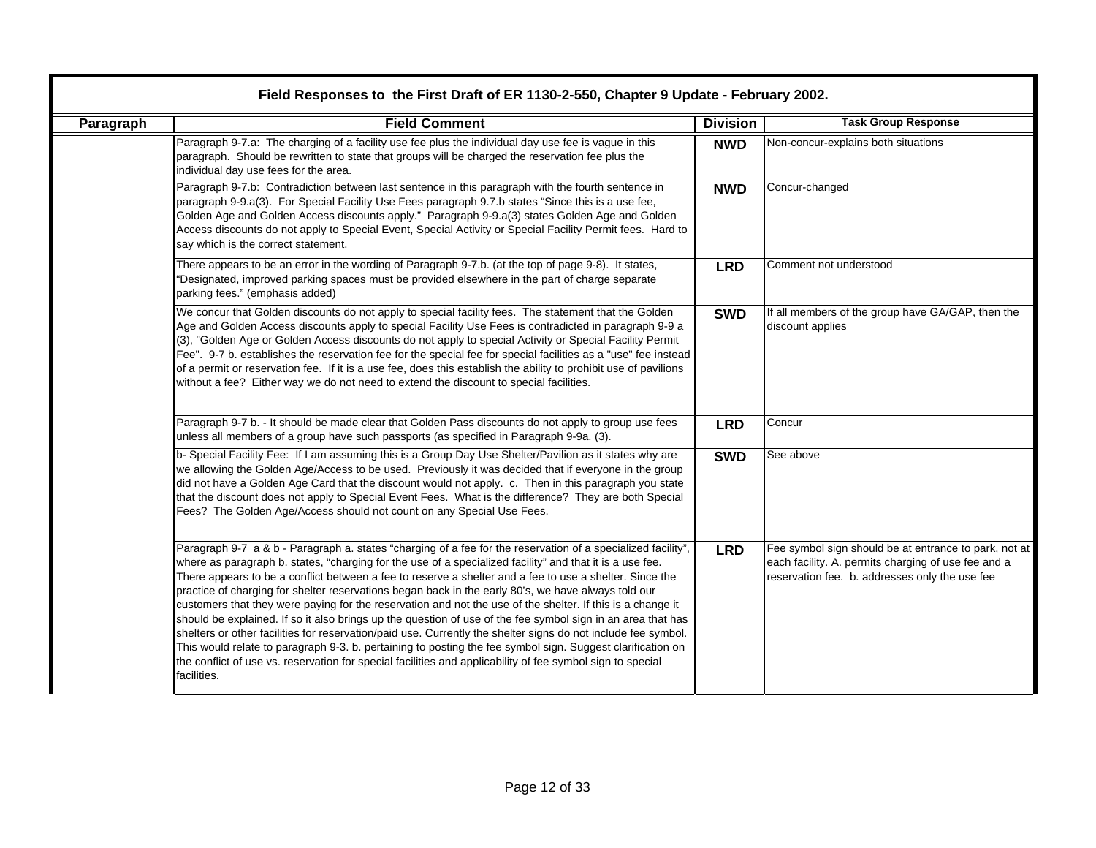| Paragraph | <b>Field Comment</b>                                                                                                                                                                                                                                                                                                                                                                                                                                                                                                                                                                                                                                                                                                                                                                                                                                                                                                                                                                                                                | <b>Division</b> | <b>Task Group Response</b>                                                                                                                                     |
|-----------|-------------------------------------------------------------------------------------------------------------------------------------------------------------------------------------------------------------------------------------------------------------------------------------------------------------------------------------------------------------------------------------------------------------------------------------------------------------------------------------------------------------------------------------------------------------------------------------------------------------------------------------------------------------------------------------------------------------------------------------------------------------------------------------------------------------------------------------------------------------------------------------------------------------------------------------------------------------------------------------------------------------------------------------|-----------------|----------------------------------------------------------------------------------------------------------------------------------------------------------------|
|           | Paragraph 9-7.a: The charging of a facility use fee plus the individual day use fee is vague in this<br>paragraph. Should be rewritten to state that groups will be charged the reservation fee plus the<br>individual day use fees for the area.                                                                                                                                                                                                                                                                                                                                                                                                                                                                                                                                                                                                                                                                                                                                                                                   | <b>NWD</b>      | Non-concur-explains both situations                                                                                                                            |
|           | Paragraph 9-7.b: Contradiction between last sentence in this paragraph with the fourth sentence in<br>paragraph 9-9.a(3). For Special Facility Use Fees paragraph 9.7.b states "Since this is a use fee,<br>Golden Age and Golden Access discounts apply." Paragraph 9-9.a(3) states Golden Age and Golden<br>Access discounts do not apply to Special Event, Special Activity or Special Facility Permit fees. Hard to<br>say which is the correct statement.                                                                                                                                                                                                                                                                                                                                                                                                                                                                                                                                                                      | <b>NWD</b>      | Concur-changed                                                                                                                                                 |
|           | There appears to be an error in the wording of Paragraph 9-7.b. (at the top of page 9-8). It states,<br>"Designated, improved parking spaces must be provided elsewhere in the part of charge separate<br>parking fees." (emphasis added)                                                                                                                                                                                                                                                                                                                                                                                                                                                                                                                                                                                                                                                                                                                                                                                           | <b>LRD</b>      | Comment not understood                                                                                                                                         |
|           | We concur that Golden discounts do not apply to special facility fees. The statement that the Golden<br>Age and Golden Access discounts apply to special Facility Use Fees is contradicted in paragraph 9-9 a<br>(3), "Golden Age or Golden Access discounts do not apply to special Activity or Special Facility Permit<br>Fee". 9-7 b. establishes the reservation fee for the special fee for special facilities as a "use" fee instead<br>of a permit or reservation fee. If it is a use fee, does this establish the ability to prohibit use of pavilions<br>without a fee? Either way we do not need to extend the discount to special facilities.                                                                                                                                                                                                                                                                                                                                                                            | <b>SWD</b>      | If all members of the group have GA/GAP, then the<br>discount applies                                                                                          |
|           | Paragraph 9-7 b. - It should be made clear that Golden Pass discounts do not apply to group use fees<br>unless all members of a group have such passports (as specified in Paragraph 9-9a. (3).                                                                                                                                                                                                                                                                                                                                                                                                                                                                                                                                                                                                                                                                                                                                                                                                                                     | <b>LRD</b>      | Concur                                                                                                                                                         |
|           | b- Special Facility Fee: If I am assuming this is a Group Day Use Shelter/Pavilion as it states why are<br>we allowing the Golden Age/Access to be used. Previously it was decided that if everyone in the group<br>did not have a Golden Age Card that the discount would not apply. c. Then in this paragraph you state<br>that the discount does not apply to Special Event Fees. What is the difference? They are both Special<br>Fees? The Golden Age/Access should not count on any Special Use Fees.                                                                                                                                                                                                                                                                                                                                                                                                                                                                                                                         | <b>SWD</b>      | See above                                                                                                                                                      |
|           | Paragraph 9-7 a & b - Paragraph a. states "charging of a fee for the reservation of a specialized facility",<br>where as paragraph b. states, "charging for the use of a specialized facility" and that it is a use fee.<br>There appears to be a conflict between a fee to reserve a shelter and a fee to use a shelter. Since the<br>practice of charging for shelter reservations began back in the early 80's, we have always told our<br>customers that they were paying for the reservation and not the use of the shelter. If this is a change it<br>should be explained. If so it also brings up the question of use of the fee symbol sign in an area that has<br>shelters or other facilities for reservation/paid use. Currently the shelter signs do not include fee symbol.<br>This would relate to paragraph 9-3. b. pertaining to posting the fee symbol sign. Suggest clarification on<br>the conflict of use vs. reservation for special facilities and applicability of fee symbol sign to special<br>facilities. | <b>LRD</b>      | Fee symbol sign should be at entrance to park, not at<br>each facility. A. permits charging of use fee and a<br>reservation fee. b. addresses only the use fee |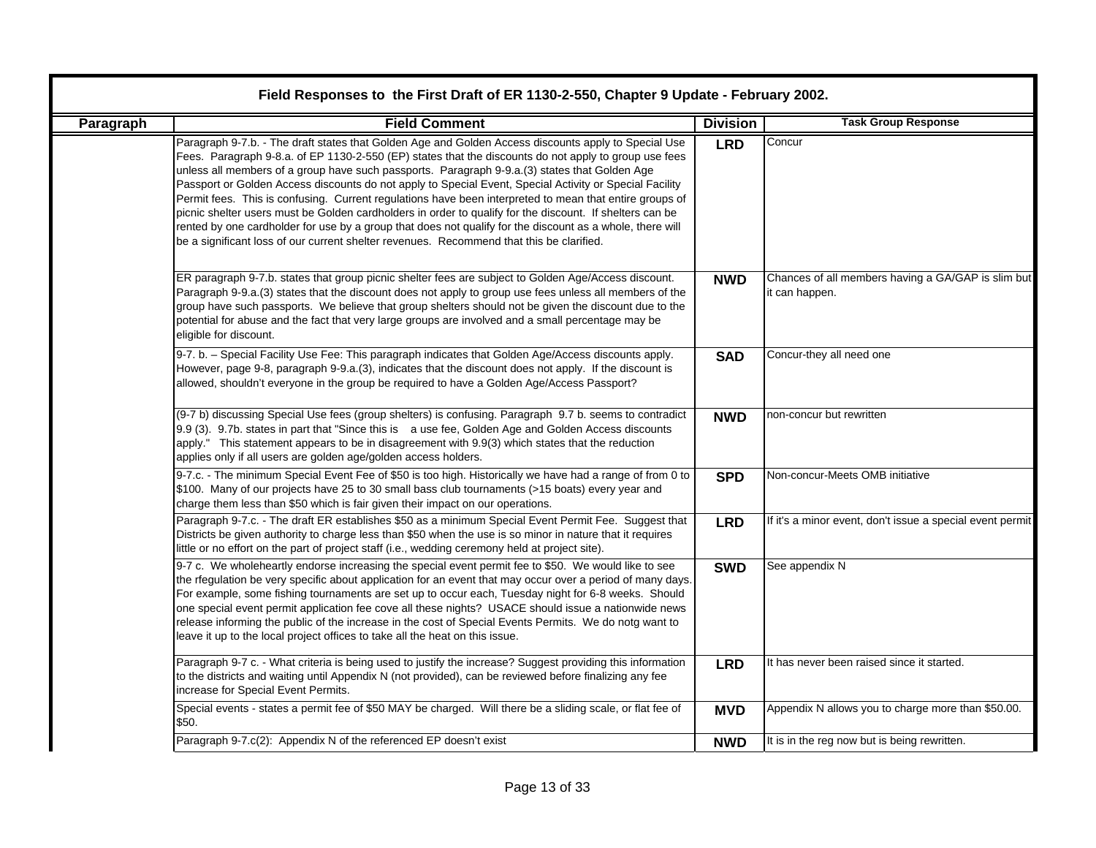|           | Field Responses to the First Draft of ER 1130-2-550, Chapter 9 Update - February 2002.                                                                                                                                                                                                                                                                                                                                                                                                                                                                                                                                                                                                                                                                                                                                                                    |                 |                                                                      |  |
|-----------|-----------------------------------------------------------------------------------------------------------------------------------------------------------------------------------------------------------------------------------------------------------------------------------------------------------------------------------------------------------------------------------------------------------------------------------------------------------------------------------------------------------------------------------------------------------------------------------------------------------------------------------------------------------------------------------------------------------------------------------------------------------------------------------------------------------------------------------------------------------|-----------------|----------------------------------------------------------------------|--|
| Paragraph | <b>Field Comment</b>                                                                                                                                                                                                                                                                                                                                                                                                                                                                                                                                                                                                                                                                                                                                                                                                                                      | <b>Division</b> | <b>Task Group Response</b>                                           |  |
|           | Paragraph 9-7.b. - The draft states that Golden Age and Golden Access discounts apply to Special Use<br>Fees. Paragraph 9-8.a. of EP 1130-2-550 (EP) states that the discounts do not apply to group use fees<br>unless all members of a group have such passports. Paragraph 9-9.a.(3) states that Golden Age<br>Passport or Golden Access discounts do not apply to Special Event, Special Activity or Special Facility<br>Permit fees. This is confusing. Current regulations have been interpreted to mean that entire groups of<br>picnic shelter users must be Golden cardholders in order to qualify for the discount. If shelters can be<br>rented by one cardholder for use by a group that does not qualify for the discount as a whole, there will<br>be a significant loss of our current shelter revenues. Recommend that this be clarified. | <b>LRD</b>      | Concur                                                               |  |
|           | ER paragraph 9-7.b. states that group picnic shelter fees are subject to Golden Age/Access discount.<br>Paragraph 9-9.a.(3) states that the discount does not apply to group use fees unless all members of the<br>group have such passports. We believe that group shelters should not be given the discount due to the<br>potential for abuse and the fact that very large groups are involved and a small percentage may be<br>eligible for discount.                                                                                                                                                                                                                                                                                                                                                                                                  | <b>NWD</b>      | Chances of all members having a GA/GAP is slim but<br>it can happen. |  |
|           | 9-7. b. - Special Facility Use Fee: This paragraph indicates that Golden Age/Access discounts apply.<br>However, page 9-8, paragraph 9-9.a.(3), indicates that the discount does not apply. If the discount is<br>allowed, shouldn't everyone in the group be required to have a Golden Age/Access Passport?                                                                                                                                                                                                                                                                                                                                                                                                                                                                                                                                              | <b>SAD</b>      | Concur-they all need one                                             |  |
|           | (9-7 b) discussing Special Use fees (group shelters) is confusing. Paragraph 9.7 b. seems to contradict<br>9.9 (3). 9.7b. states in part that "Since this is a use fee, Golden Age and Golden Access discounts<br>apply." This statement appears to be in disagreement with 9.9(3) which states that the reduction<br>applies only if all users are golden age/golden access holders.                                                                                                                                                                                                                                                                                                                                                                                                                                                                     | <b>NWD</b>      | non-concur but rewritten                                             |  |
|           | 9-7.c. - The minimum Special Event Fee of \$50 is too high. Historically we have had a range of from 0 to<br>\$100. Many of our projects have 25 to 30 small bass club tournaments (>15 boats) every year and<br>charge them less than \$50 which is fair given their impact on our operations.                                                                                                                                                                                                                                                                                                                                                                                                                                                                                                                                                           | <b>SPD</b>      | Non-concur-Meets OMB initiative                                      |  |
|           | Paragraph 9-7.c. - The draft ER establishes \$50 as a minimum Special Event Permit Fee. Suggest that<br>Districts be given authority to charge less than \$50 when the use is so minor in nature that it requires<br>little or no effort on the part of project staff (i.e., wedding ceremony held at project site).                                                                                                                                                                                                                                                                                                                                                                                                                                                                                                                                      | <b>LRD</b>      | If it's a minor event, don't issue a special event permit            |  |
|           | 9-7 c. We wholeheartly endorse increasing the special event permit fee to \$50. We would like to see<br>the rfegulation be very specific about application for an event that may occur over a period of many days.<br>For example, some fishing tournaments are set up to occur each, Tuesday night for 6-8 weeks. Should<br>one special event permit application fee cove all these nights? USACE should issue a nationwide news<br>release informing the public of the increase in the cost of Special Events Permits. We do notg want to<br>leave it up to the local project offices to take all the heat on this issue.                                                                                                                                                                                                                               | <b>SWD</b>      | See appendix N                                                       |  |
|           | Paragraph 9-7 c. - What criteria is being used to justify the increase? Suggest providing this information<br>to the districts and waiting until Appendix N (not provided), can be reviewed before finalizing any fee<br>increase for Special Event Permits.                                                                                                                                                                                                                                                                                                                                                                                                                                                                                                                                                                                              | <b>LRD</b>      | It has never been raised since it started.                           |  |
|           | Special events - states a permit fee of \$50 MAY be charged. Will there be a sliding scale, or flat fee of<br>\$50.                                                                                                                                                                                                                                                                                                                                                                                                                                                                                                                                                                                                                                                                                                                                       | <b>MVD</b>      | Appendix N allows you to charge more than \$50.00.                   |  |
|           | Paragraph 9-7.c(2): Appendix N of the referenced EP doesn't exist                                                                                                                                                                                                                                                                                                                                                                                                                                                                                                                                                                                                                                                                                                                                                                                         | <b>NWD</b>      | It is in the reg now but is being rewritten.                         |  |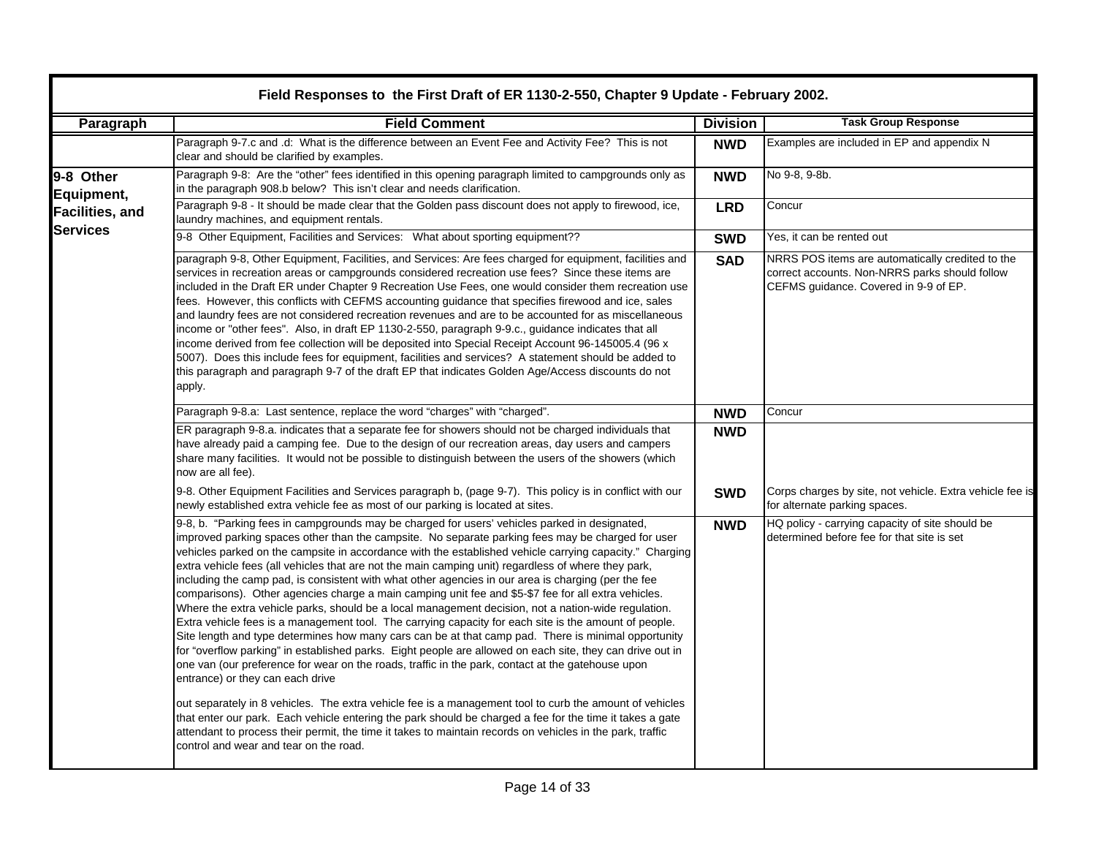|                                           | Field Responses to the First Draft of ER 1130-2-550, Chapter 9 Update - February 2002.                                                                                                                                                                                                                                                                                                                                                                                                                                                                                                                                                                                                                                                                                                                                                                                                                                                                                                                                                                                                                                                                                                                                                                                                                                                                                                                                                                                                                                                                                                        |                 |                                                                                                                                             |  |
|-------------------------------------------|-----------------------------------------------------------------------------------------------------------------------------------------------------------------------------------------------------------------------------------------------------------------------------------------------------------------------------------------------------------------------------------------------------------------------------------------------------------------------------------------------------------------------------------------------------------------------------------------------------------------------------------------------------------------------------------------------------------------------------------------------------------------------------------------------------------------------------------------------------------------------------------------------------------------------------------------------------------------------------------------------------------------------------------------------------------------------------------------------------------------------------------------------------------------------------------------------------------------------------------------------------------------------------------------------------------------------------------------------------------------------------------------------------------------------------------------------------------------------------------------------------------------------------------------------------------------------------------------------|-----------------|---------------------------------------------------------------------------------------------------------------------------------------------|--|
| Paragraph                                 | <b>Field Comment</b>                                                                                                                                                                                                                                                                                                                                                                                                                                                                                                                                                                                                                                                                                                                                                                                                                                                                                                                                                                                                                                                                                                                                                                                                                                                                                                                                                                                                                                                                                                                                                                          | <b>Division</b> | <b>Task Group Response</b>                                                                                                                  |  |
|                                           | Paragraph 9-7.c and .d: What is the difference between an Event Fee and Activity Fee? This is not<br>clear and should be clarified by examples.                                                                                                                                                                                                                                                                                                                                                                                                                                                                                                                                                                                                                                                                                                                                                                                                                                                                                                                                                                                                                                                                                                                                                                                                                                                                                                                                                                                                                                               | <b>NWD</b>      | Examples are included in EP and appendix N                                                                                                  |  |
| 9-8 Other<br>Equipment,                   | Paragraph 9-8: Are the "other" fees identified in this opening paragraph limited to campgrounds only as<br>in the paragraph 908.b below? This isn't clear and needs clarification.                                                                                                                                                                                                                                                                                                                                                                                                                                                                                                                                                                                                                                                                                                                                                                                                                                                                                                                                                                                                                                                                                                                                                                                                                                                                                                                                                                                                            | <b>NWD</b>      | No 9-8, 9-8b.                                                                                                                               |  |
| <b>Facilities, and</b><br><b>Services</b> | Paragraph 9-8 - It should be made clear that the Golden pass discount does not apply to firewood, ice,<br>laundry machines, and equipment rentals.                                                                                                                                                                                                                                                                                                                                                                                                                                                                                                                                                                                                                                                                                                                                                                                                                                                                                                                                                                                                                                                                                                                                                                                                                                                                                                                                                                                                                                            | <b>LRD</b>      | Concur                                                                                                                                      |  |
|                                           | 9-8 Other Equipment, Facilities and Services: What about sporting equipment??                                                                                                                                                                                                                                                                                                                                                                                                                                                                                                                                                                                                                                                                                                                                                                                                                                                                                                                                                                                                                                                                                                                                                                                                                                                                                                                                                                                                                                                                                                                 | <b>SWD</b>      | Yes, it can be rented out                                                                                                                   |  |
|                                           | paragraph 9-8, Other Equipment, Facilities, and Services: Are fees charged for equipment, facilities and<br>services in recreation areas or campgrounds considered recreation use fees? Since these items are<br>included in the Draft ER under Chapter 9 Recreation Use Fees, one would consider them recreation use<br>fees. However, this conflicts with CEFMS accounting guidance that specifies firewood and ice, sales<br>and laundry fees are not considered recreation revenues and are to be accounted for as miscellaneous<br>income or "other fees". Also, in draft EP 1130-2-550, paragraph 9-9.c., guidance indicates that all<br>income derived from fee collection will be deposited into Special Receipt Account 96-145005.4 (96 x<br>5007). Does this include fees for equipment, facilities and services? A statement should be added to<br>this paragraph and paragraph 9-7 of the draft EP that indicates Golden Age/Access discounts do not<br>apply.                                                                                                                                                                                                                                                                                                                                                                                                                                                                                                                                                                                                                    | <b>SAD</b>      | NRRS POS items are automatically credited to the<br>correct accounts. Non-NRRS parks should follow<br>CEFMS guidance. Covered in 9-9 of EP. |  |
|                                           | Paragraph 9-8.a: Last sentence, replace the word "charges" with "charged".                                                                                                                                                                                                                                                                                                                                                                                                                                                                                                                                                                                                                                                                                                                                                                                                                                                                                                                                                                                                                                                                                                                                                                                                                                                                                                                                                                                                                                                                                                                    | <b>NWD</b>      | Concur                                                                                                                                      |  |
|                                           | ER paragraph 9-8.a. indicates that a separate fee for showers should not be charged individuals that<br>have already paid a camping fee. Due to the design of our recreation areas, day users and campers<br>share many facilities. It would not be possible to distinguish between the users of the showers (which<br>now are all fee).                                                                                                                                                                                                                                                                                                                                                                                                                                                                                                                                                                                                                                                                                                                                                                                                                                                                                                                                                                                                                                                                                                                                                                                                                                                      | <b>NWD</b>      |                                                                                                                                             |  |
|                                           | 9-8. Other Equipment Facilities and Services paragraph b, (page 9-7). This policy is in conflict with our<br>newly established extra vehicle fee as most of our parking is located at sites.                                                                                                                                                                                                                                                                                                                                                                                                                                                                                                                                                                                                                                                                                                                                                                                                                                                                                                                                                                                                                                                                                                                                                                                                                                                                                                                                                                                                  | <b>SWD</b>      | Corps charges by site, not vehicle. Extra vehicle fee is<br>for alternate parking spaces.                                                   |  |
|                                           | 9-8, b. "Parking fees in campgrounds may be charged for users' vehicles parked in designated,<br>improved parking spaces other than the campsite. No separate parking fees may be charged for user<br>vehicles parked on the campsite in accordance with the established vehicle carrying capacity." Charging<br>extra vehicle fees (all vehicles that are not the main camping unit) regardless of where they park,<br>including the camp pad, is consistent with what other agencies in our area is charging (per the fee<br>comparisons). Other agencies charge a main camping unit fee and \$5-\$7 fee for all extra vehicles.<br>Where the extra vehicle parks, should be a local management decision, not a nation-wide regulation.<br>Extra vehicle fees is a management tool. The carrying capacity for each site is the amount of people.<br>Site length and type determines how many cars can be at that camp pad. There is minimal opportunity<br>for "overflow parking" in established parks. Eight people are allowed on each site, they can drive out in<br>one van (our preference for wear on the roads, traffic in the park, contact at the gatehouse upon<br>entrance) or they can each drive<br>out separately in 8 vehicles. The extra vehicle fee is a management tool to curb the amount of vehicles<br>that enter our park. Each vehicle entering the park should be charged a fee for the time it takes a gate<br>attendant to process their permit, the time it takes to maintain records on vehicles in the park, traffic<br>control and wear and tear on the road. | <b>NWD</b>      | HQ policy - carrying capacity of site should be<br>determined before fee for that site is set                                               |  |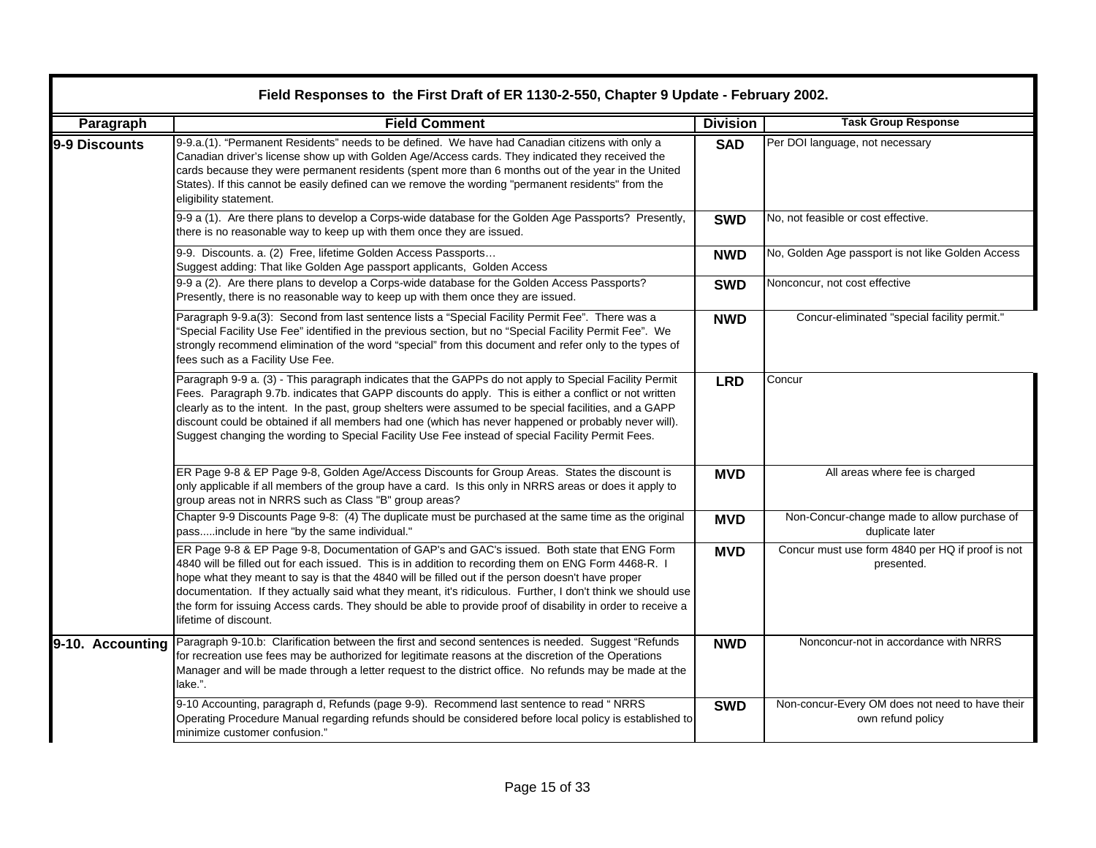| Field Responses to the First Draft of ER 1130-2-550, Chapter 9 Update - February 2002. |                                                                                                                                                                                                                                                                                                                                                                                                                                                                                                                                                                  |                 |                                                                      |  |
|----------------------------------------------------------------------------------------|------------------------------------------------------------------------------------------------------------------------------------------------------------------------------------------------------------------------------------------------------------------------------------------------------------------------------------------------------------------------------------------------------------------------------------------------------------------------------------------------------------------------------------------------------------------|-----------------|----------------------------------------------------------------------|--|
| Paragraph                                                                              | <b>Field Comment</b>                                                                                                                                                                                                                                                                                                                                                                                                                                                                                                                                             | <b>Division</b> | <b>Task Group Response</b>                                           |  |
| 9-9 Discounts                                                                          | 9-9.a.(1). "Permanent Residents" needs to be defined. We have had Canadian citizens with only a<br>Canadian driver's license show up with Golden Age/Access cards. They indicated they received the<br>cards because they were permanent residents (spent more than 6 months out of the year in the United<br>States). If this cannot be easily defined can we remove the wording "permanent residents" from the<br>eligibility statement.                                                                                                                       | <b>SAD</b>      | Per DOI language, not necessary                                      |  |
|                                                                                        | 9-9 a (1). Are there plans to develop a Corps-wide database for the Golden Age Passports? Presently,<br>there is no reasonable way to keep up with them once they are issued.                                                                                                                                                                                                                                                                                                                                                                                    | <b>SWD</b>      | No, not feasible or cost effective.                                  |  |
|                                                                                        | 9-9. Discounts. a. (2) Free, lifetime Golden Access Passports<br>Suggest adding: That like Golden Age passport applicants, Golden Access                                                                                                                                                                                                                                                                                                                                                                                                                         | <b>NWD</b>      | No, Golden Age passport is not like Golden Access                    |  |
|                                                                                        | 9-9 a (2). Are there plans to develop a Corps-wide database for the Golden Access Passports?<br>Presently, there is no reasonable way to keep up with them once they are issued.                                                                                                                                                                                                                                                                                                                                                                                 | <b>SWD</b>      | Nonconcur, not cost effective                                        |  |
|                                                                                        | Paragraph 9-9.a(3): Second from last sentence lists a "Special Facility Permit Fee". There was a<br>'Special Facility Use Fee" identified in the previous section, but no "Special Facility Permit Fee". We<br>strongly recommend elimination of the word "special" from this document and refer only to the types of<br>fees such as a Facility Use Fee.                                                                                                                                                                                                        | <b>NWD</b>      | Concur-eliminated "special facility permit."                         |  |
|                                                                                        | Paragraph 9-9 a. (3) - This paragraph indicates that the GAPPs do not apply to Special Facility Permit<br>Fees. Paragraph 9.7b. indicates that GAPP discounts do apply. This is either a conflict or not written<br>clearly as to the intent. In the past, group shelters were assumed to be special facilities, and a GAPP<br>discount could be obtained if all members had one (which has never happened or probably never will).<br>Suggest changing the wording to Special Facility Use Fee instead of special Facility Permit Fees.                         | <b>LRD</b>      | Concur                                                               |  |
|                                                                                        | ER Page 9-8 & EP Page 9-8, Golden Age/Access Discounts for Group Areas. States the discount is<br>only applicable if all members of the group have a card. Is this only in NRRS areas or does it apply to<br>group areas not in NRRS such as Class "B" group areas?                                                                                                                                                                                                                                                                                              | <b>MVD</b>      | All areas where fee is charged                                       |  |
|                                                                                        | Chapter 9-9 Discounts Page 9-8: (4) The duplicate must be purchased at the same time as the original<br>passinclude in here "by the same individual."                                                                                                                                                                                                                                                                                                                                                                                                            | <b>MVD</b>      | Non-Concur-change made to allow purchase of<br>duplicate later       |  |
|                                                                                        | ER Page 9-8 & EP Page 9-8, Documentation of GAP's and GAC's issued. Both state that ENG Form<br>4840 will be filled out for each issued. This is in addition to recording them on ENG Form 4468-R. I<br>hope what they meant to say is that the 4840 will be filled out if the person doesn't have proper<br>documentation. If they actually said what they meant, it's ridiculous. Further, I don't think we should use<br>the form for issuing Access cards. They should be able to provide proof of disability in order to receive a<br>lifetime of discount. | <b>MVD</b>      | Concur must use form 4840 per HQ if proof is not<br>presented.       |  |
| 9-10. Accounting                                                                       | Paragraph 9-10.b: Clarification between the first and second sentences is needed. Suggest "Refunds<br>for recreation use fees may be authorized for legitimate reasons at the discretion of the Operations<br>Manager and will be made through a letter request to the district office. No refunds may be made at the<br>lake.".                                                                                                                                                                                                                                 | <b>NWD</b>      | Nonconcur-not in accordance with NRRS                                |  |
|                                                                                        | 9-10 Accounting, paragraph d, Refunds (page 9-9). Recommend last sentence to read " NRRS<br>Operating Procedure Manual regarding refunds should be considered before local policy is established to<br>minimize customer confusion."                                                                                                                                                                                                                                                                                                                             | <b>SWD</b>      | Non-concur-Every OM does not need to have their<br>own refund policy |  |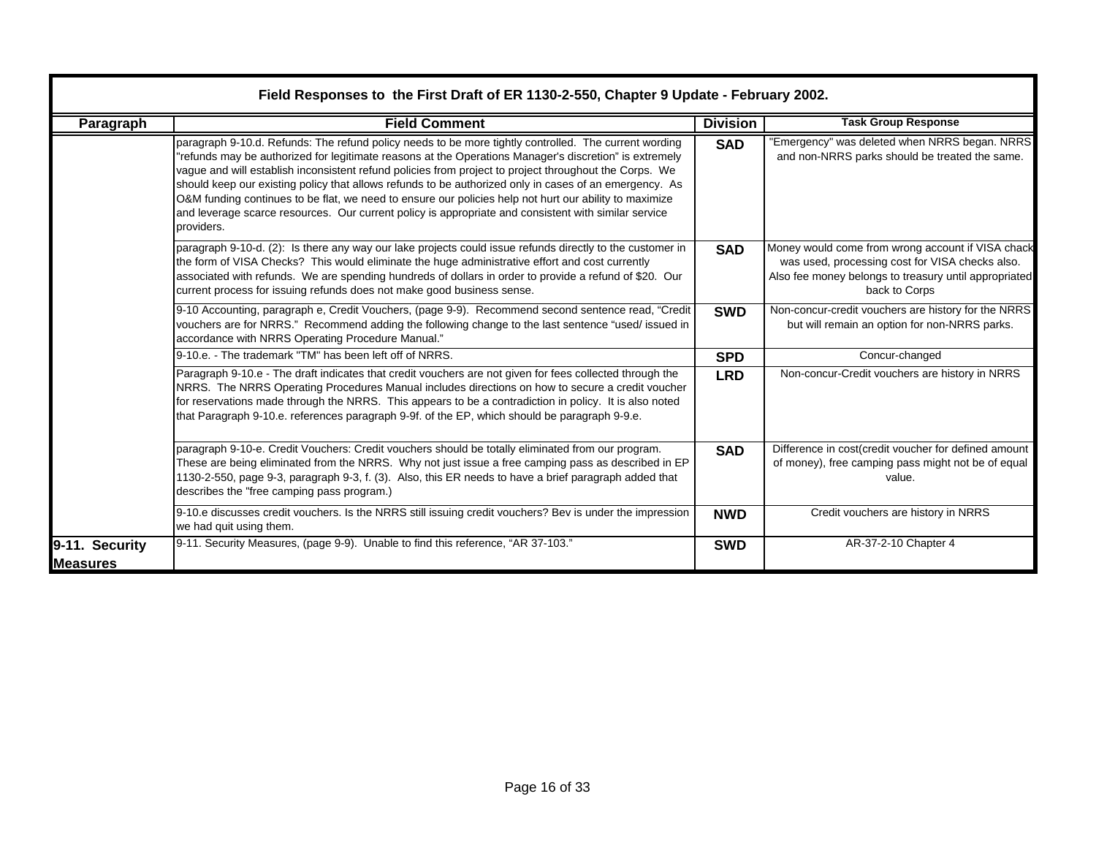|                                    | Field Responses to the First Draft of ER 1130-2-550, Chapter 9 Update - February 2002.<br><b>Field Comment</b>                                                                                                                                                                                                                                                                                                                                                                                                                                                                                                                                                      |                               | <b>Task Group Response</b>                                                                                                                                                     |
|------------------------------------|---------------------------------------------------------------------------------------------------------------------------------------------------------------------------------------------------------------------------------------------------------------------------------------------------------------------------------------------------------------------------------------------------------------------------------------------------------------------------------------------------------------------------------------------------------------------------------------------------------------------------------------------------------------------|-------------------------------|--------------------------------------------------------------------------------------------------------------------------------------------------------------------------------|
| Paragraph                          | paragraph 9-10.d. Refunds: The refund policy needs to be more tightly controlled. The current wording<br>refunds may be authorized for legitimate reasons at the Operations Manager's discretion" is extremely"<br>vague and will establish inconsistent refund policies from project to project throughout the Corps. We<br>should keep our existing policy that allows refunds to be authorized only in cases of an emergency. As<br>O&M funding continues to be flat, we need to ensure our policies help not hurt our ability to maximize<br>and leverage scarce resources. Our current policy is appropriate and consistent with similar service<br>providers. | <b>Division</b><br><b>SAD</b> | 'Emergency" was deleted when NRRS began. NRRS<br>and non-NRRS parks should be treated the same.                                                                                |
|                                    | paragraph 9-10-d. (2): Is there any way our lake projects could issue refunds directly to the customer in<br>the form of VISA Checks? This would eliminate the huge administrative effort and cost currently<br>associated with refunds. We are spending hundreds of dollars in order to provide a refund of \$20. Our<br>current process for issuing refunds does not make good business sense.                                                                                                                                                                                                                                                                    | <b>SAD</b>                    | Money would come from wrong account if VISA chack<br>was used, processing cost for VISA checks also.<br>Also fee money belongs to treasury until appropriated<br>back to Corps |
|                                    | 9-10 Accounting, paragraph e, Credit Vouchers, (page 9-9). Recommend second sentence read, "Credit<br>vouchers are for NRRS." Recommend adding the following change to the last sentence "used/ issued in<br>accordance with NRRS Operating Procedure Manual."                                                                                                                                                                                                                                                                                                                                                                                                      | <b>SWD</b>                    | Non-concur-credit vouchers are history for the NRRS<br>but will remain an option for non-NRRS parks.                                                                           |
|                                    | 9-10.e. - The trademark "TM" has been left off of NRRS.                                                                                                                                                                                                                                                                                                                                                                                                                                                                                                                                                                                                             | <b>SPD</b>                    | Concur-changed                                                                                                                                                                 |
|                                    | Paragraph 9-10.e - The draft indicates that credit vouchers are not given for fees collected through the<br>NRRS. The NRRS Operating Procedures Manual includes directions on how to secure a credit voucher<br>for reservations made through the NRRS. This appears to be a contradiction in policy. It is also noted<br>that Paragraph 9-10.e. references paragraph 9-9f. of the EP, which should be paragraph 9-9.e.                                                                                                                                                                                                                                             | <b>LRD</b>                    | Non-concur-Credit vouchers are history in NRRS                                                                                                                                 |
|                                    | paragraph 9-10-e. Credit Vouchers: Credit vouchers should be totally eliminated from our program.<br>These are being eliminated from the NRRS. Why not just issue a free camping pass as described in EP<br>1130-2-550, page 9-3, paragraph 9-3, f. (3). Also, this ER needs to have a brief paragraph added that<br>describes the "free camping pass program.)                                                                                                                                                                                                                                                                                                     | <b>SAD</b>                    | Difference in cost(credit voucher for defined amount<br>of money), free camping pass might not be of equal<br>value.                                                           |
|                                    | 9-10.e discusses credit vouchers. Is the NRRS still issuing credit vouchers? Bev is under the impression<br>we had quit using them.                                                                                                                                                                                                                                                                                                                                                                                                                                                                                                                                 | <b>NWD</b>                    | Credit vouchers are history in NRRS                                                                                                                                            |
| 9-11. Security<br><b>IMeasures</b> | 9-11. Security Measures, (page 9-9). Unable to find this reference, "AR 37-103."                                                                                                                                                                                                                                                                                                                                                                                                                                                                                                                                                                                    | <b>SWD</b>                    | AR-37-2-10 Chapter 4                                                                                                                                                           |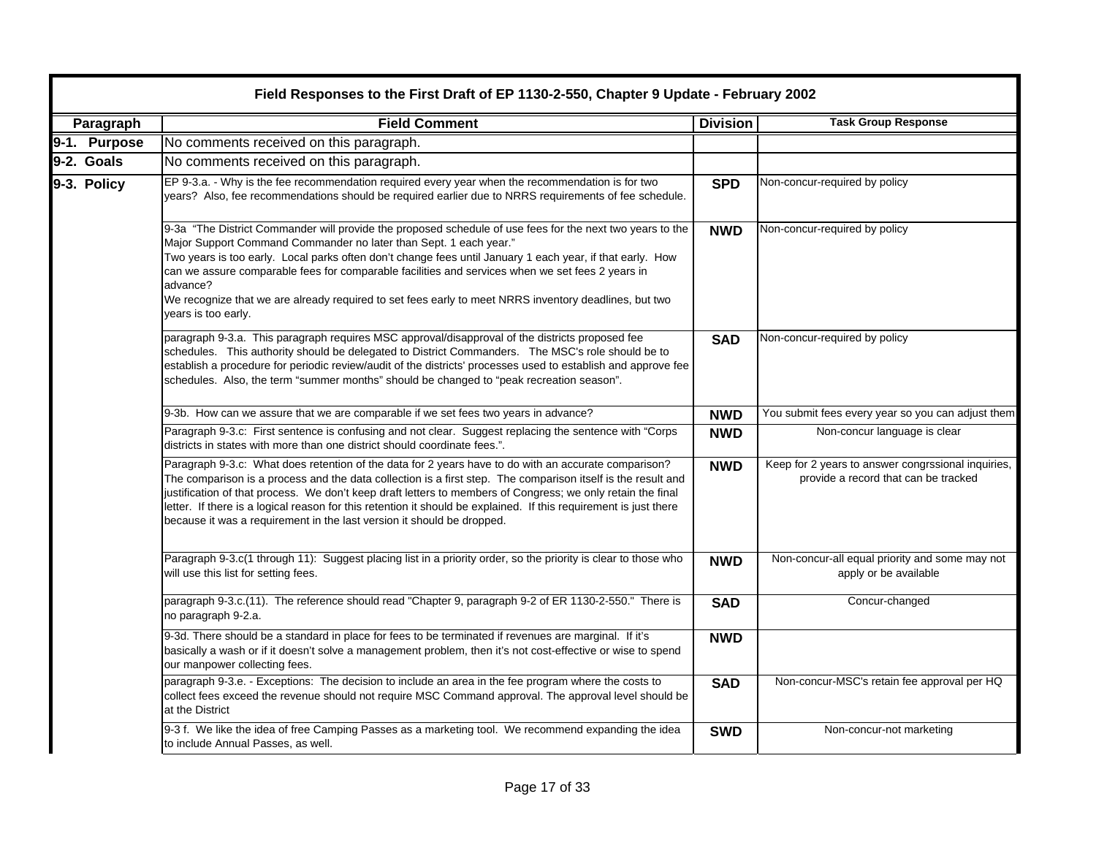| Field Responses to the First Draft of EP 1130-2-550, Chapter 9 Update - February 2002 |                                                                                                                                                                                                                                                                                                                                                                                                                                                                                                                                             |                 |                                                                                            |
|---------------------------------------------------------------------------------------|---------------------------------------------------------------------------------------------------------------------------------------------------------------------------------------------------------------------------------------------------------------------------------------------------------------------------------------------------------------------------------------------------------------------------------------------------------------------------------------------------------------------------------------------|-----------------|--------------------------------------------------------------------------------------------|
| Paragraph                                                                             | <b>Field Comment</b>                                                                                                                                                                                                                                                                                                                                                                                                                                                                                                                        | <b>Division</b> | <b>Task Group Response</b>                                                                 |
| 9-1. Purpose                                                                          | No comments received on this paragraph.                                                                                                                                                                                                                                                                                                                                                                                                                                                                                                     |                 |                                                                                            |
| 9-2. Goals                                                                            | No comments received on this paragraph.                                                                                                                                                                                                                                                                                                                                                                                                                                                                                                     |                 |                                                                                            |
| 9-3. Policy                                                                           | EP 9-3.a. - Why is the fee recommendation required every year when the recommendation is for two<br>years? Also, fee recommendations should be required earlier due to NRRS requirements of fee schedule.                                                                                                                                                                                                                                                                                                                                   | <b>SPD</b>      | Non-concur-required by policy                                                              |
|                                                                                       | 9-3a "The District Commander will provide the proposed schedule of use fees for the next two years to the<br>Major Support Command Commander no later than Sept. 1 each year."<br>Two years is too early. Local parks often don't change fees until January 1 each year, if that early. How<br>can we assure comparable fees for comparable facilities and services when we set fees 2 years in<br>advance?<br>We recognize that we are already required to set fees early to meet NRRS inventory deadlines, but two<br>years is too early. | <b>NWD</b>      | Non-concur-required by policy                                                              |
|                                                                                       | paragraph 9-3.a. This paragraph requires MSC approval/disapproval of the districts proposed fee<br>schedules. This authority should be delegated to District Commanders. The MSC's role should be to<br>establish a procedure for periodic review/audit of the districts' processes used to establish and approve fee<br>schedules. Also, the term "summer months" should be changed to "peak recreation season".                                                                                                                           | <b>SAD</b>      | Non-concur-required by policy                                                              |
|                                                                                       | 9-3b. How can we assure that we are comparable if we set fees two years in advance?                                                                                                                                                                                                                                                                                                                                                                                                                                                         | <b>NWD</b>      | You submit fees every year so you can adjust them                                          |
|                                                                                       | Paragraph 9-3.c: First sentence is confusing and not clear. Suggest replacing the sentence with "Corps<br>districts in states with more than one district should coordinate fees.".                                                                                                                                                                                                                                                                                                                                                         | <b>NWD</b>      | Non-concur language is clear                                                               |
|                                                                                       | Paragraph 9-3.c: What does retention of the data for 2 years have to do with an accurate comparison?<br>The comparison is a process and the data collection is a first step. The comparison itself is the result and<br>justification of that process. We don't keep draft letters to members of Congress; we only retain the final<br>letter. If there is a logical reason for this retention it should be explained. If this requirement is just there<br>because it was a requirement in the last version it should be dropped.          | <b>NWD</b>      | Keep for 2 years to answer congrssional inquiries,<br>provide a record that can be tracked |
|                                                                                       | Paragraph 9-3.c(1 through 11): Suggest placing list in a priority order, so the priority is clear to those who<br>will use this list for setting fees.                                                                                                                                                                                                                                                                                                                                                                                      | <b>NWD</b>      | Non-concur-all equal priority and some may not<br>apply or be available                    |
|                                                                                       | paragraph 9-3.c.(11). The reference should read "Chapter 9, paragraph 9-2 of ER 1130-2-550." There is<br>no paragraph 9-2.a.                                                                                                                                                                                                                                                                                                                                                                                                                | <b>SAD</b>      | Concur-changed                                                                             |
|                                                                                       | 9-3d. There should be a standard in place for fees to be terminated if revenues are marginal. If it's<br>basically a wash or if it doesn't solve a management problem, then it's not cost-effective or wise to spend<br>our manpower collecting fees.                                                                                                                                                                                                                                                                                       | <b>NWD</b>      |                                                                                            |
|                                                                                       | paragraph 9-3.e. - Exceptions: The decision to include an area in the fee program where the costs to<br>collect fees exceed the revenue should not require MSC Command approval. The approval level should be<br>at the District                                                                                                                                                                                                                                                                                                            | <b>SAD</b>      | Non-concur-MSC's retain fee approval per HQ                                                |
|                                                                                       | 9-3 f. We like the idea of free Camping Passes as a marketing tool. We recommend expanding the idea<br>to include Annual Passes, as well.                                                                                                                                                                                                                                                                                                                                                                                                   | <b>SWD</b>      | Non-concur-not marketing                                                                   |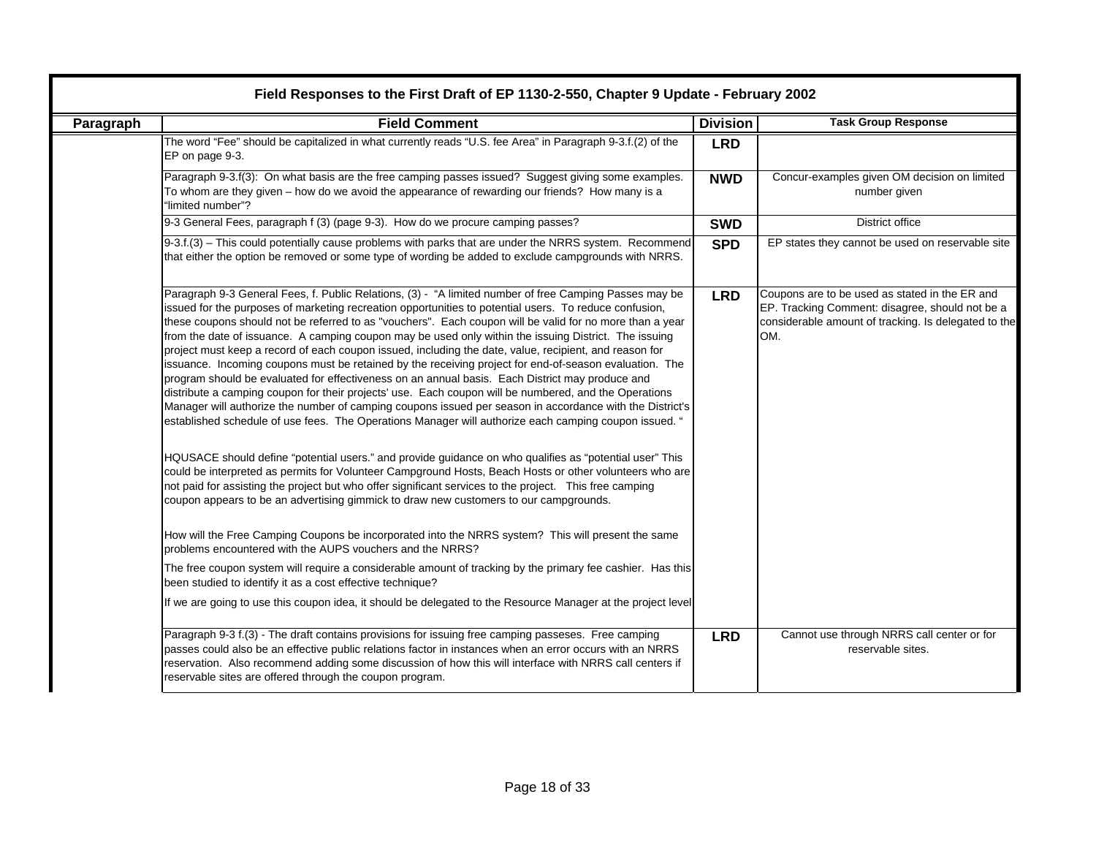|                  | Field Responses to the First Draft of EP 1130-2-550, Chapter 9 Update - February 2002                                                                                                                                                                                                                                                                                                                                                                                                                                                                                                                                                                                                                                                                                                                                                                                                                                                                                                                                                                                                                                                                                                                                                                                                                                                                                                                                                                                                                                |                 |                                                                                                                                                                  |  |  |
|------------------|----------------------------------------------------------------------------------------------------------------------------------------------------------------------------------------------------------------------------------------------------------------------------------------------------------------------------------------------------------------------------------------------------------------------------------------------------------------------------------------------------------------------------------------------------------------------------------------------------------------------------------------------------------------------------------------------------------------------------------------------------------------------------------------------------------------------------------------------------------------------------------------------------------------------------------------------------------------------------------------------------------------------------------------------------------------------------------------------------------------------------------------------------------------------------------------------------------------------------------------------------------------------------------------------------------------------------------------------------------------------------------------------------------------------------------------------------------------------------------------------------------------------|-----------------|------------------------------------------------------------------------------------------------------------------------------------------------------------------|--|--|
| <b>Paragraph</b> | <b>Field Comment</b>                                                                                                                                                                                                                                                                                                                                                                                                                                                                                                                                                                                                                                                                                                                                                                                                                                                                                                                                                                                                                                                                                                                                                                                                                                                                                                                                                                                                                                                                                                 | <b>Division</b> | <b>Task Group Response</b>                                                                                                                                       |  |  |
|                  | The word "Fee" should be capitalized in what currently reads "U.S. fee Area" in Paragraph 9-3.f.(2) of the<br>EP on page 9-3.                                                                                                                                                                                                                                                                                                                                                                                                                                                                                                                                                                                                                                                                                                                                                                                                                                                                                                                                                                                                                                                                                                                                                                                                                                                                                                                                                                                        | <b>LRD</b>      |                                                                                                                                                                  |  |  |
|                  | Paragraph 9-3.f(3): On what basis are the free camping passes issued? Suggest giving some examples.<br>To whom are they given – how do we avoid the appearance of rewarding our friends? How many is a<br>"limited number"?                                                                                                                                                                                                                                                                                                                                                                                                                                                                                                                                                                                                                                                                                                                                                                                                                                                                                                                                                                                                                                                                                                                                                                                                                                                                                          | <b>NWD</b>      | Concur-examples given OM decision on limited<br>number given                                                                                                     |  |  |
|                  | 9-3 General Fees, paragraph f (3) (page 9-3). How do we procure camping passes?                                                                                                                                                                                                                                                                                                                                                                                                                                                                                                                                                                                                                                                                                                                                                                                                                                                                                                                                                                                                                                                                                                                                                                                                                                                                                                                                                                                                                                      | <b>SWD</b>      | <b>District office</b>                                                                                                                                           |  |  |
|                  | 9-3.f.(3) - This could potentially cause problems with parks that are under the NRRS system. Recommend<br>that either the option be removed or some type of wording be added to exclude campgrounds with NRRS.                                                                                                                                                                                                                                                                                                                                                                                                                                                                                                                                                                                                                                                                                                                                                                                                                                                                                                                                                                                                                                                                                                                                                                                                                                                                                                       | <b>SPD</b>      | EP states they cannot be used on reservable site                                                                                                                 |  |  |
|                  | Paragraph 9-3 General Fees, f. Public Relations, (3) - "A limited number of free Camping Passes may be<br>issued for the purposes of marketing recreation opportunities to potential users. To reduce confusion,<br>these coupons should not be referred to as "vouchers". Each coupon will be valid for no more than a year<br>from the date of issuance. A camping coupon may be used only within the issuing District. The issuing<br>project must keep a record of each coupon issued, including the date, value, recipient, and reason for<br>issuance. Incoming coupons must be retained by the receiving project for end-of-season evaluation. The<br>program should be evaluated for effectiveness on an annual basis. Each District may produce and<br>distribute a camping coupon for their projects' use. Each coupon will be numbered, and the Operations<br>Manager will authorize the number of camping coupons issued per season in accordance with the District's<br>established schedule of use fees. The Operations Manager will authorize each camping coupon issued. "<br>HQUSACE should define "potential users." and provide guidance on who qualifies as "potential user" This<br>could be interpreted as permits for Volunteer Campground Hosts, Beach Hosts or other volunteers who are<br>not paid for assisting the project but who offer significant services to the project. This free camping<br>coupon appears to be an advertising gimmick to draw new customers to our campgrounds. | <b>LRD</b>      | Coupons are to be used as stated in the ER and<br>EP. Tracking Comment: disagree, should not be a<br>considerable amount of tracking. Is delegated to the<br>OM. |  |  |
|                  | How will the Free Camping Coupons be incorporated into the NRRS system? This will present the same<br>problems encountered with the AUPS vouchers and the NRRS?<br>The free coupon system will require a considerable amount of tracking by the primary fee cashier. Has this                                                                                                                                                                                                                                                                                                                                                                                                                                                                                                                                                                                                                                                                                                                                                                                                                                                                                                                                                                                                                                                                                                                                                                                                                                        |                 |                                                                                                                                                                  |  |  |
|                  | been studied to identify it as a cost effective technique?                                                                                                                                                                                                                                                                                                                                                                                                                                                                                                                                                                                                                                                                                                                                                                                                                                                                                                                                                                                                                                                                                                                                                                                                                                                                                                                                                                                                                                                           |                 |                                                                                                                                                                  |  |  |
|                  | If we are going to use this coupon idea, it should be delegated to the Resource Manager at the project level                                                                                                                                                                                                                                                                                                                                                                                                                                                                                                                                                                                                                                                                                                                                                                                                                                                                                                                                                                                                                                                                                                                                                                                                                                                                                                                                                                                                         |                 |                                                                                                                                                                  |  |  |
|                  | Paragraph 9-3 f.(3) - The draft contains provisions for issuing free camping passeses. Free camping<br>passes could also be an effective public relations factor in instances when an error occurs with an NRRS<br>reservation. Also recommend adding some discussion of how this will interface with NRRS call centers if<br>reservable sites are offered through the coupon program.                                                                                                                                                                                                                                                                                                                                                                                                                                                                                                                                                                                                                                                                                                                                                                                                                                                                                                                                                                                                                                                                                                                               | <b>LRD</b>      | Cannot use through NRRS call center or for<br>reservable sites.                                                                                                  |  |  |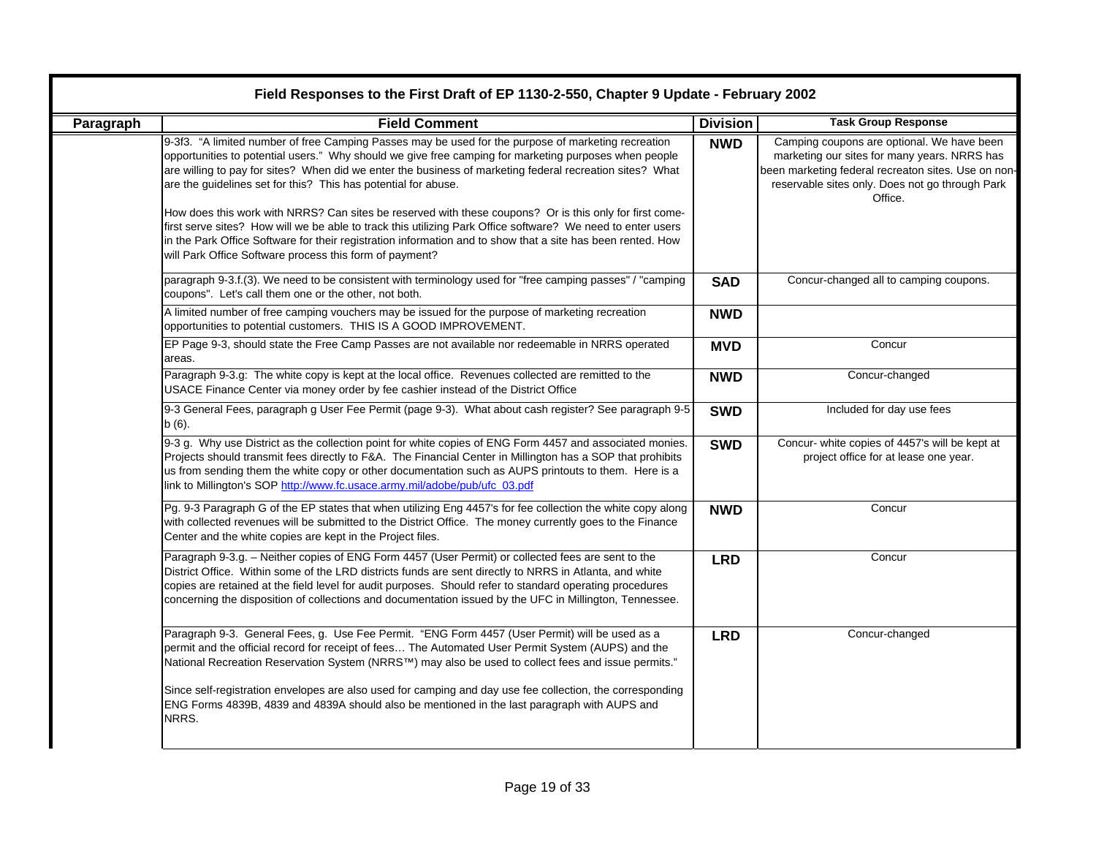|           | Field Responses to the First Draft of EP 1130-2-550, Chapter 9 Update - February 2002                                                                                                                                                                                                                                                                                                                                                                                                                                                                                                                                                                                                                                                                                                          |                 |                                                                                                                                                                                                                 |  |  |
|-----------|------------------------------------------------------------------------------------------------------------------------------------------------------------------------------------------------------------------------------------------------------------------------------------------------------------------------------------------------------------------------------------------------------------------------------------------------------------------------------------------------------------------------------------------------------------------------------------------------------------------------------------------------------------------------------------------------------------------------------------------------------------------------------------------------|-----------------|-----------------------------------------------------------------------------------------------------------------------------------------------------------------------------------------------------------------|--|--|
| Paragraph | <b>Field Comment</b>                                                                                                                                                                                                                                                                                                                                                                                                                                                                                                                                                                                                                                                                                                                                                                           | <b>Division</b> | <b>Task Group Response</b>                                                                                                                                                                                      |  |  |
|           | 9-3f3. "A limited number of free Camping Passes may be used for the purpose of marketing recreation<br>opportunities to potential users." Why should we give free camping for marketing purposes when people<br>are willing to pay for sites? When did we enter the business of marketing federal recreation sites? What<br>are the guidelines set for this? This has potential for abuse.<br>How does this work with NRRS? Can sites be reserved with these coupons? Or is this only for first come-<br>first serve sites? How will we be able to track this utilizing Park Office software? We need to enter users<br>in the Park Office Software for their registration information and to show that a site has been rented. How<br>will Park Office Software process this form of payment? | <b>NWD</b>      | Camping coupons are optional. We have been<br>marketing our sites for many years. NRRS has<br>been marketing federal recreaton sites. Use on non-<br>reservable sites only. Does not go through Park<br>Office. |  |  |
|           | paragraph 9-3.f.(3). We need to be consistent with terminology used for "free camping passes" / "camping<br>coupons". Let's call them one or the other, not both.                                                                                                                                                                                                                                                                                                                                                                                                                                                                                                                                                                                                                              | <b>SAD</b>      | Concur-changed all to camping coupons.                                                                                                                                                                          |  |  |
|           | A limited number of free camping vouchers may be issued for the purpose of marketing recreation<br>opportunities to potential customers. THIS IS A GOOD IMPROVEMENT.                                                                                                                                                                                                                                                                                                                                                                                                                                                                                                                                                                                                                           | <b>NWD</b>      |                                                                                                                                                                                                                 |  |  |
|           | EP Page 9-3, should state the Free Camp Passes are not available nor redeemable in NRRS operated<br>areas.                                                                                                                                                                                                                                                                                                                                                                                                                                                                                                                                                                                                                                                                                     | <b>MVD</b>      | Concur                                                                                                                                                                                                          |  |  |
|           | Paragraph 9-3.g: The white copy is kept at the local office. Revenues collected are remitted to the<br>USACE Finance Center via money order by fee cashier instead of the District Office                                                                                                                                                                                                                                                                                                                                                                                                                                                                                                                                                                                                      | <b>NWD</b>      | Concur-changed                                                                                                                                                                                                  |  |  |
|           | 9-3 General Fees, paragraph g User Fee Permit (page 9-3). What about cash register? See paragraph 9-5<br>$b(6)$ .                                                                                                                                                                                                                                                                                                                                                                                                                                                                                                                                                                                                                                                                              | <b>SWD</b>      | Included for day use fees                                                                                                                                                                                       |  |  |
|           | 9-3 g. Why use District as the collection point for white copies of ENG Form 4457 and associated monies.<br>Projects should transmit fees directly to F&A. The Financial Center in Millington has a SOP that prohibits<br>us from sending them the white copy or other documentation such as AUPS printouts to them. Here is a<br>link to Millington's SOP http://www.fc.usace.army.mil/adobe/pub/ufc_03.pdf                                                                                                                                                                                                                                                                                                                                                                                   | <b>SWD</b>      | Concur- white copies of 4457's will be kept at<br>project office for at lease one year.                                                                                                                         |  |  |
|           | Pg. 9-3 Paragraph G of the EP states that when utilizing Eng 4457's for fee collection the white copy along<br>with collected revenues will be submitted to the District Office. The money currently goes to the Finance<br>Center and the white copies are kept in the Project files.                                                                                                                                                                                                                                                                                                                                                                                                                                                                                                         | <b>NWD</b>      | Concur                                                                                                                                                                                                          |  |  |
|           | Paragraph 9-3.g. - Neither copies of ENG Form 4457 (User Permit) or collected fees are sent to the<br>District Office. Within some of the LRD districts funds are sent directly to NRRS in Atlanta, and white<br>copies are retained at the field level for audit purposes. Should refer to standard operating procedures<br>concerning the disposition of collections and documentation issued by the UFC in Millington, Tennessee.                                                                                                                                                                                                                                                                                                                                                           | <b>LRD</b>      | Concur                                                                                                                                                                                                          |  |  |
|           | Paragraph 9-3. General Fees, g. Use Fee Permit. "ENG Form 4457 (User Permit) will be used as a<br>permit and the official record for receipt of fees The Automated User Permit System (AUPS) and the<br>National Recreation Reservation System (NRRS™) may also be used to collect fees and issue permits."<br>Since self-registration envelopes are also used for camping and day use fee collection, the corresponding<br>ENG Forms 4839B, 4839 and 4839A should also be mentioned in the last paragraph with AUPS and<br>NRRS.                                                                                                                                                                                                                                                              | <b>LRD</b>      | Concur-changed                                                                                                                                                                                                  |  |  |
|           |                                                                                                                                                                                                                                                                                                                                                                                                                                                                                                                                                                                                                                                                                                                                                                                                |                 |                                                                                                                                                                                                                 |  |  |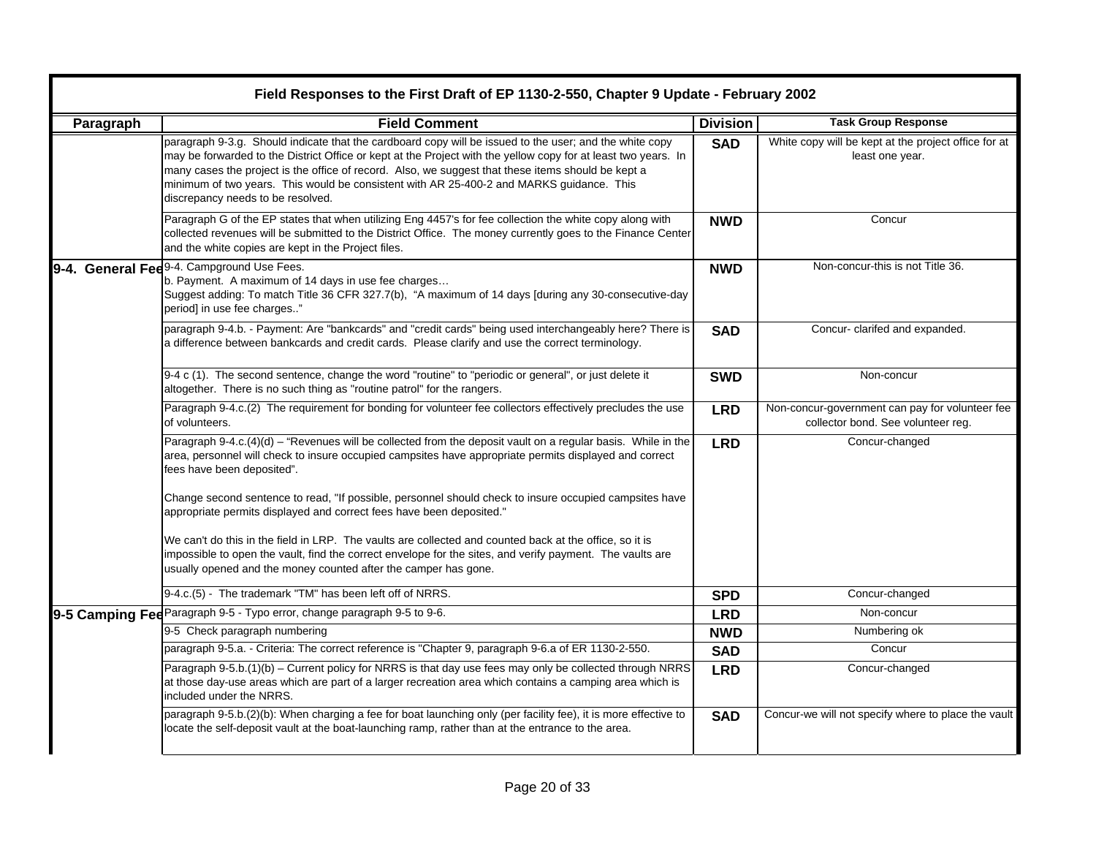|           | Field Responses to the First Draft of EP 1130-2-550, Chapter 9 Update - February 2002                                                                                                                                                                                                                                                                                                                                                                            |                 |                                                                                       |  |
|-----------|------------------------------------------------------------------------------------------------------------------------------------------------------------------------------------------------------------------------------------------------------------------------------------------------------------------------------------------------------------------------------------------------------------------------------------------------------------------|-----------------|---------------------------------------------------------------------------------------|--|
| Paragraph | <b>Field Comment</b>                                                                                                                                                                                                                                                                                                                                                                                                                                             | <b>Division</b> | <b>Task Group Response</b>                                                            |  |
|           | paragraph 9-3.g. Should indicate that the cardboard copy will be issued to the user; and the white copy<br>may be forwarded to the District Office or kept at the Project with the yellow copy for at least two years. In<br>many cases the project is the office of record. Also, we suggest that these items should be kept a<br>minimum of two years. This would be consistent with AR 25-400-2 and MARKS guidance. This<br>discrepancy needs to be resolved. | <b>SAD</b>      | White copy will be kept at the project office for at<br>least one year.               |  |
|           | Paragraph G of the EP states that when utilizing Eng 4457's for fee collection the white copy along with<br>collected revenues will be submitted to the District Office. The money currently goes to the Finance Center<br>and the white copies are kept in the Project files.                                                                                                                                                                                   | <b>NWD</b>      | Concur                                                                                |  |
|           | 9-4. General Fed <sup>9-4.</sup> Campground Use Fees.<br>b. Payment. A maximum of 14 days in use fee charges<br>Suggest adding: To match Title 36 CFR 327.7(b), "A maximum of 14 days [during any 30-consecutive-day<br>period] in use fee charges"                                                                                                                                                                                                              | <b>NWD</b>      | Non-concur-this is not Title 36.                                                      |  |
|           | paragraph 9-4.b. - Payment: Are "bankcards" and "credit cards" being used interchangeably here? There is<br>a difference between bankcards and credit cards. Please clarify and use the correct terminology.                                                                                                                                                                                                                                                     | <b>SAD</b>      | Concur- clarifed and expanded.                                                        |  |
|           | 9-4 c (1). The second sentence, change the word "routine" to "periodic or general", or just delete it<br>altogether. There is no such thing as "routine patrol" for the rangers.                                                                                                                                                                                                                                                                                 | <b>SWD</b>      | Non-concur                                                                            |  |
|           | Paragraph 9-4.c.(2) The requirement for bonding for volunteer fee collectors effectively precludes the use<br>of volunteers.                                                                                                                                                                                                                                                                                                                                     | <b>LRD</b>      | Non-concur-government can pay for volunteer fee<br>collector bond. See volunteer reg. |  |
|           | Paragraph 9-4.c.(4)(d) - "Revenues will be collected from the deposit vault on a regular basis. While in the<br>area, personnel will check to insure occupied campsites have appropriate permits displayed and correct<br>fees have been deposited".                                                                                                                                                                                                             | <b>LRD</b>      | Concur-changed                                                                        |  |
|           | Change second sentence to read, "If possible, personnel should check to insure occupied campsites have<br>appropriate permits displayed and correct fees have been deposited."                                                                                                                                                                                                                                                                                   |                 |                                                                                       |  |
|           | We can't do this in the field in LRP. The vaults are collected and counted back at the office, so it is<br>impossible to open the vault, find the correct envelope for the sites, and verify payment. The vaults are<br>usually opened and the money counted after the camper has gone.                                                                                                                                                                          |                 |                                                                                       |  |
|           | 9-4.c.(5) - The trademark "TM" has been left off of NRRS.                                                                                                                                                                                                                                                                                                                                                                                                        | <b>SPD</b>      | Concur-changed                                                                        |  |
|           | 9-5 Camping Fee Paragraph 9-5 - Typo error, change paragraph 9-5 to 9-6.                                                                                                                                                                                                                                                                                                                                                                                         | <b>LRD</b>      | Non-concur                                                                            |  |
|           | 9-5 Check paragraph numbering                                                                                                                                                                                                                                                                                                                                                                                                                                    | <b>NWD</b>      | Numbering ok                                                                          |  |
|           | paragraph 9-5.a. - Criteria: The correct reference is "Chapter 9, paragraph 9-6.a of ER 1130-2-550.                                                                                                                                                                                                                                                                                                                                                              | <b>SAD</b>      | Concur                                                                                |  |
|           | Paragraph 9-5.b.(1)(b) - Current policy for NRRS is that day use fees may only be collected through NRRS<br>at those day-use areas which are part of a larger recreation area which contains a camping area which is<br>included under the NRRS.                                                                                                                                                                                                                 | <b>LRD</b>      | Concur-changed                                                                        |  |
|           | paragraph 9-5.b.(2)(b): When charging a fee for boat launching only (per facility fee), it is more effective to<br>locate the self-deposit vault at the boat-launching ramp, rather than at the entrance to the area.                                                                                                                                                                                                                                            | <b>SAD</b>      | Concur-we will not specify where to place the vault                                   |  |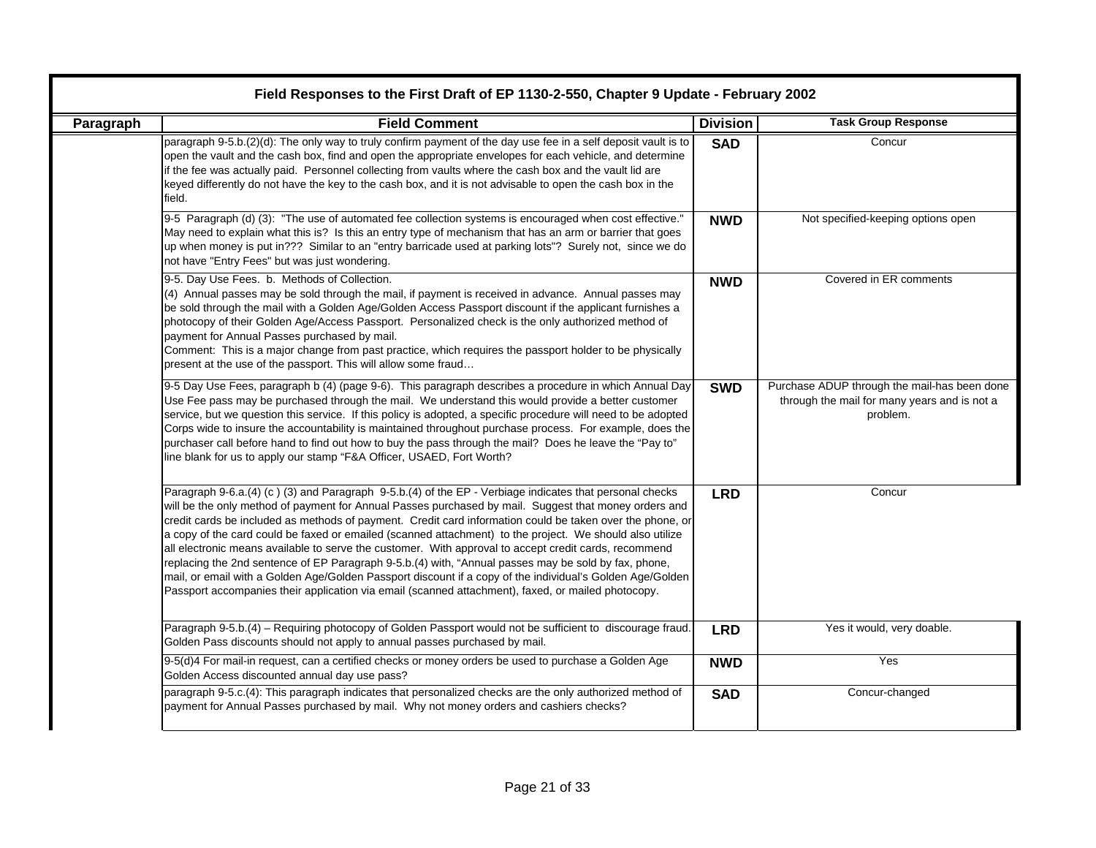|           | Field Responses to the First Draft of EP 1130-2-550, Chapter 9 Update - February 2002                                                                                                                                                                                                                                                                                                                                                                                                                                                                                                                                                                                                                                                                                                                                                                                         |                 |                                                                                                          |  |  |
|-----------|-------------------------------------------------------------------------------------------------------------------------------------------------------------------------------------------------------------------------------------------------------------------------------------------------------------------------------------------------------------------------------------------------------------------------------------------------------------------------------------------------------------------------------------------------------------------------------------------------------------------------------------------------------------------------------------------------------------------------------------------------------------------------------------------------------------------------------------------------------------------------------|-----------------|----------------------------------------------------------------------------------------------------------|--|--|
| Paragraph | <b>Field Comment</b>                                                                                                                                                                                                                                                                                                                                                                                                                                                                                                                                                                                                                                                                                                                                                                                                                                                          | <b>Division</b> | <b>Task Group Response</b>                                                                               |  |  |
|           | paragraph 9-5.b.(2)(d): The only way to truly confirm payment of the day use fee in a self deposit vault is to<br>open the vault and the cash box, find and open the appropriate envelopes for each vehicle, and determine<br>if the fee was actually paid. Personnel collecting from vaults where the cash box and the vault lid are<br>keyed differently do not have the key to the cash box, and it is not advisable to open the cash box in the<br>field.                                                                                                                                                                                                                                                                                                                                                                                                                 | <b>SAD</b>      | Concur                                                                                                   |  |  |
|           | 9-5 Paragraph (d) (3): "The use of automated fee collection systems is encouraged when cost effective."<br>May need to explain what this is? Is this an entry type of mechanism that has an arm or barrier that goes<br>up when money is put in??? Similar to an "entry barricade used at parking lots"? Surely not, since we do<br>not have "Entry Fees" but was just wondering.                                                                                                                                                                                                                                                                                                                                                                                                                                                                                             | <b>NWD</b>      | Not specified-keeping options open                                                                       |  |  |
|           | 9-5. Day Use Fees. b. Methods of Collection.<br>(4) Annual passes may be sold through the mail, if payment is received in advance. Annual passes may<br>be sold through the mail with a Golden Age/Golden Access Passport discount if the applicant furnishes a<br>photocopy of their Golden Age/Access Passport. Personalized check is the only authorized method of<br>payment for Annual Passes purchased by mail.<br>Comment: This is a major change from past practice, which requires the passport holder to be physically<br>present at the use of the passport. This will allow some fraud                                                                                                                                                                                                                                                                            | <b>NWD</b>      | Covered in ER comments                                                                                   |  |  |
|           | 9-5 Day Use Fees, paragraph b (4) (page 9-6). This paragraph describes a procedure in which Annual Day<br>Use Fee pass may be purchased through the mail. We understand this would provide a better customer<br>service, but we question this service. If this policy is adopted, a specific procedure will need to be adopted<br>Corps wide to insure the accountability is maintained throughout purchase process. For example, does the<br>purchaser call before hand to find out how to buy the pass through the mail? Does he leave the "Pay to"<br>line blank for us to apply our stamp "F&A Officer, USAED, Fort Worth?                                                                                                                                                                                                                                                | <b>SWD</b>      | Purchase ADUP through the mail-has been done<br>through the mail for many years and is not a<br>problem. |  |  |
|           | Paragraph 9-6.a.(4) (c) (3) and Paragraph 9-5.b.(4) of the EP - Verbiage indicates that personal checks<br>will be the only method of payment for Annual Passes purchased by mail. Suggest that money orders and<br>credit cards be included as methods of payment. Credit card information could be taken over the phone, or<br>a copy of the card could be faxed or emailed (scanned attachment) to the project. We should also utilize<br>all electronic means available to serve the customer. With approval to accept credit cards, recommend<br>replacing the 2nd sentence of EP Paragraph 9-5.b.(4) with, "Annual passes may be sold by fax, phone,<br>mail, or email with a Golden Age/Golden Passport discount if a copy of the individual's Golden Age/Golden<br>Passport accompanies their application via email (scanned attachment), faxed, or mailed photocopy. | <b>LRD</b>      | Concur                                                                                                   |  |  |
|           | Paragraph 9-5.b.(4) - Requiring photocopy of Golden Passport would not be sufficient to discourage fraud.<br>Golden Pass discounts should not apply to annual passes purchased by mail.                                                                                                                                                                                                                                                                                                                                                                                                                                                                                                                                                                                                                                                                                       | <b>LRD</b>      | Yes it would, very doable.                                                                               |  |  |
|           | 9-5(d)4 For mail-in request, can a certified checks or money orders be used to purchase a Golden Age<br>Golden Access discounted annual day use pass?                                                                                                                                                                                                                                                                                                                                                                                                                                                                                                                                                                                                                                                                                                                         | <b>NWD</b>      | Yes                                                                                                      |  |  |
|           | paragraph 9-5.c.(4): This paragraph indicates that personalized checks are the only authorized method of<br>payment for Annual Passes purchased by mail. Why not money orders and cashiers checks?                                                                                                                                                                                                                                                                                                                                                                                                                                                                                                                                                                                                                                                                            | <b>SAD</b>      | Concur-changed                                                                                           |  |  |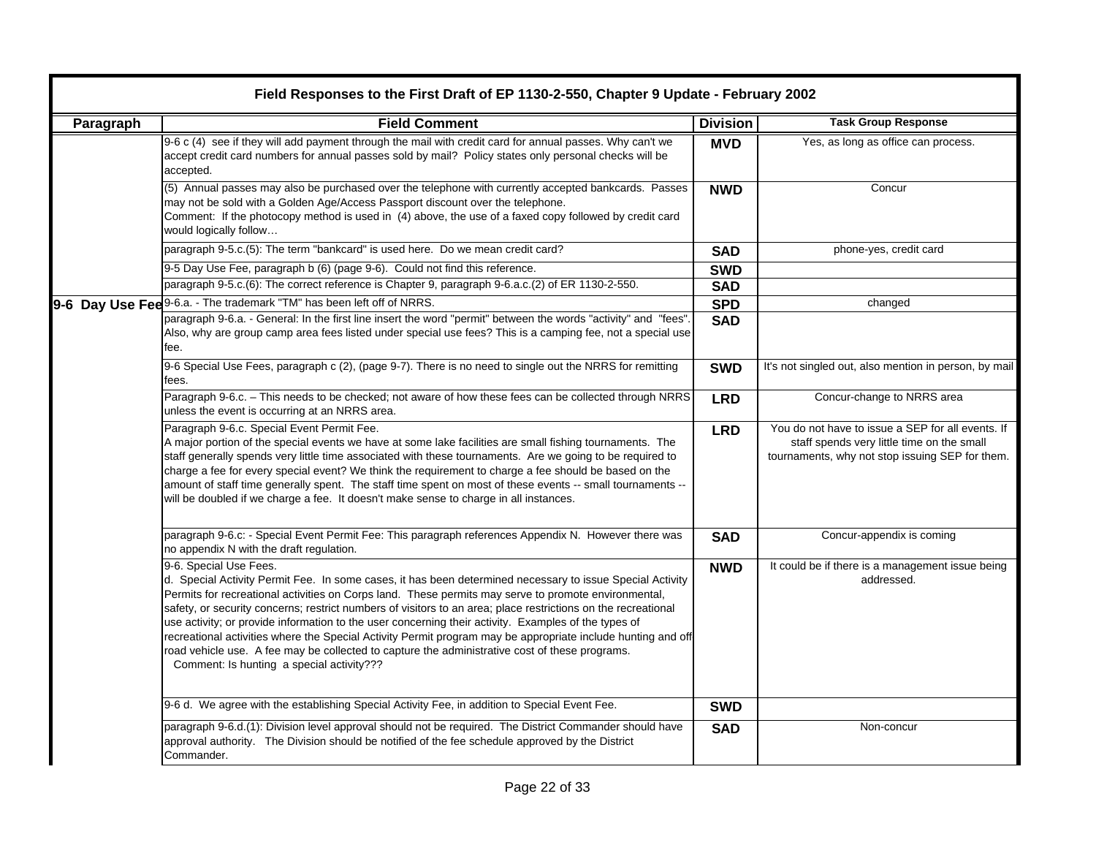|           | Field Responses to the First Draft of EP 1130-2-550, Chapter 9 Update - February 2002                                                                                                                                                                                                                                                                                                                                                                                                                                                                                                                                                                                                                                               |                 |                                                                                                                                                    |  |
|-----------|-------------------------------------------------------------------------------------------------------------------------------------------------------------------------------------------------------------------------------------------------------------------------------------------------------------------------------------------------------------------------------------------------------------------------------------------------------------------------------------------------------------------------------------------------------------------------------------------------------------------------------------------------------------------------------------------------------------------------------------|-----------------|----------------------------------------------------------------------------------------------------------------------------------------------------|--|
| Paragraph | <b>Field Comment</b>                                                                                                                                                                                                                                                                                                                                                                                                                                                                                                                                                                                                                                                                                                                | <b>Division</b> | <b>Task Group Response</b>                                                                                                                         |  |
|           | 9-6 c (4) see if they will add payment through the mail with credit card for annual passes. Why can't we<br>accept credit card numbers for annual passes sold by mail? Policy states only personal checks will be<br>accepted.                                                                                                                                                                                                                                                                                                                                                                                                                                                                                                      | <b>MVD</b>      | Yes, as long as office can process.                                                                                                                |  |
|           | (5) Annual passes may also be purchased over the telephone with currently accepted bankcards. Passes<br>may not be sold with a Golden Age/Access Passport discount over the telephone.<br>Comment: If the photocopy method is used in (4) above, the use of a faxed copy followed by credit card<br>would logically follow                                                                                                                                                                                                                                                                                                                                                                                                          | <b>NWD</b>      | Concur                                                                                                                                             |  |
|           | paragraph 9-5.c.(5): The term "bankcard" is used here. Do we mean credit card?                                                                                                                                                                                                                                                                                                                                                                                                                                                                                                                                                                                                                                                      | <b>SAD</b>      | phone-yes, credit card                                                                                                                             |  |
|           | 9-5 Day Use Fee, paragraph b (6) (page 9-6). Could not find this reference.                                                                                                                                                                                                                                                                                                                                                                                                                                                                                                                                                                                                                                                         | <b>SWD</b>      |                                                                                                                                                    |  |
|           | paragraph 9-5.c.(6): The correct reference is Chapter 9, paragraph 9-6.a.c.(2) of ER 1130-2-550.                                                                                                                                                                                                                                                                                                                                                                                                                                                                                                                                                                                                                                    | <b>SAD</b>      |                                                                                                                                                    |  |
|           | 9-6 Day Use Fee 9-6.a. - The trademark "TM" has been left off of NRRS.                                                                                                                                                                                                                                                                                                                                                                                                                                                                                                                                                                                                                                                              | <b>SPD</b>      | changed                                                                                                                                            |  |
|           | paragraph 9-6.a. - General: In the first line insert the word "permit" between the words "activity" and "fees"<br>Also, why are group camp area fees listed under special use fees? This is a camping fee, not a special use<br>fee.                                                                                                                                                                                                                                                                                                                                                                                                                                                                                                | <b>SAD</b>      |                                                                                                                                                    |  |
|           | 9-6 Special Use Fees, paragraph c (2), (page 9-7). There is no need to single out the NRRS for remitting<br>fees.                                                                                                                                                                                                                                                                                                                                                                                                                                                                                                                                                                                                                   | <b>SWD</b>      | It's not singled out, also mention in person, by mail                                                                                              |  |
|           | Paragraph 9-6.c. - This needs to be checked; not aware of how these fees can be collected through NRRS<br>unless the event is occurring at an NRRS area.                                                                                                                                                                                                                                                                                                                                                                                                                                                                                                                                                                            | <b>LRD</b>      | Concur-change to NRRS area                                                                                                                         |  |
|           | Paragraph 9-6.c. Special Event Permit Fee.<br>A major portion of the special events we have at some lake facilities are small fishing tournaments. The<br>staff generally spends very little time associated with these tournaments. Are we going to be required to<br>charge a fee for every special event? We think the requirement to charge a fee should be based on the<br>amount of staff time generally spent. The staff time spent on most of these events -- small tournaments --<br>will be doubled if we charge a fee. It doesn't make sense to charge in all instances.                                                                                                                                                 | <b>LRD</b>      | You do not have to issue a SEP for all events. If<br>staff spends very little time on the small<br>tournaments, why not stop issuing SEP for them. |  |
|           | paragraph 9-6.c: - Special Event Permit Fee: This paragraph references Appendix N. However there was<br>no appendix N with the draft regulation.                                                                                                                                                                                                                                                                                                                                                                                                                                                                                                                                                                                    | <b>SAD</b>      | Concur-appendix is coming                                                                                                                          |  |
|           | 9-6. Special Use Fees.<br>d. Special Activity Permit Fee. In some cases, it has been determined necessary to issue Special Activity<br>Permits for recreational activities on Corps land. These permits may serve to promote environmental,<br>safety, or security concerns; restrict numbers of visitors to an area; place restrictions on the recreational<br>use activity; or provide information to the user concerning their activity. Examples of the types of<br>recreational activities where the Special Activity Permit program may be appropriate include hunting and off<br>road vehicle use. A fee may be collected to capture the administrative cost of these programs.<br>Comment: Is hunting a special activity??? | <b>NWD</b>      | It could be if there is a management issue being<br>addressed.                                                                                     |  |
|           | 9-6 d. We agree with the establishing Special Activity Fee, in addition to Special Event Fee.                                                                                                                                                                                                                                                                                                                                                                                                                                                                                                                                                                                                                                       | <b>SWD</b>      |                                                                                                                                                    |  |
|           | paragraph 9-6.d.(1): Division level approval should not be required. The District Commander should have<br>approval authority. The Division should be notified of the fee schedule approved by the District<br>Commander.                                                                                                                                                                                                                                                                                                                                                                                                                                                                                                           | <b>SAD</b>      | Non-concur                                                                                                                                         |  |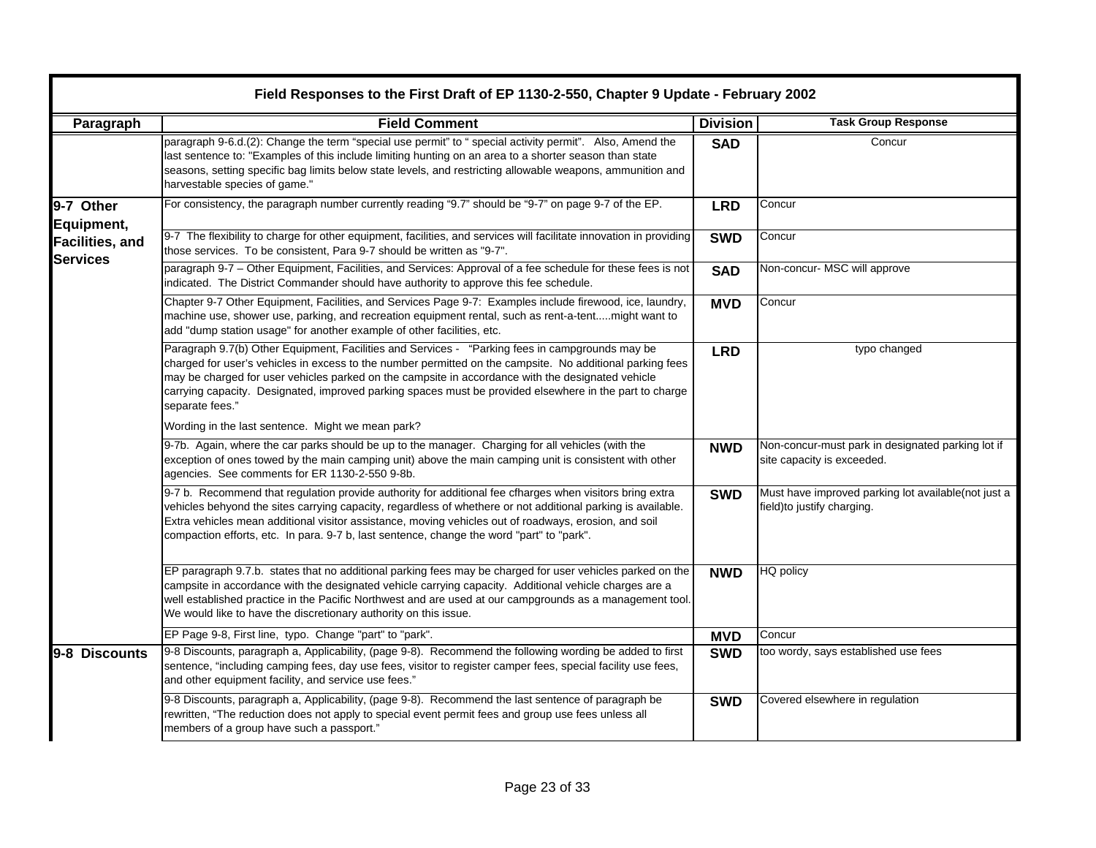|                                                         | Field Responses to the First Draft of EP 1130-2-550, Chapter 9 Update - February 2002                                                                                                                                                                                                                                                                                                                                                           |                 |                                                                                    |  |
|---------------------------------------------------------|-------------------------------------------------------------------------------------------------------------------------------------------------------------------------------------------------------------------------------------------------------------------------------------------------------------------------------------------------------------------------------------------------------------------------------------------------|-----------------|------------------------------------------------------------------------------------|--|
| Paragraph                                               | <b>Field Comment</b>                                                                                                                                                                                                                                                                                                                                                                                                                            | <b>Division</b> | <b>Task Group Response</b>                                                         |  |
|                                                         | paragraph 9-6.d.(2): Change the term "special use permit" to " special activity permit". Also, Amend the<br>last sentence to: "Examples of this include limiting hunting on an area to a shorter season than state<br>seasons, setting specific bag limits below state levels, and restricting allowable weapons, ammunition and<br>harvestable species of game."                                                                               | <b>SAD</b>      | Concur                                                                             |  |
| 9-7 Other                                               | For consistency, the paragraph number currently reading "9.7" should be "9-7" on page 9-7 of the EP.                                                                                                                                                                                                                                                                                                                                            | <b>LRD</b>      | Concur                                                                             |  |
| Equipment,<br><b>Facilities, and</b><br><b>Services</b> | 9-7 The flexibility to charge for other equipment, facilities, and services will facilitate innovation in providing<br>those services. To be consistent, Para 9-7 should be written as "9-7".                                                                                                                                                                                                                                                   | <b>SWD</b>      | Concur                                                                             |  |
|                                                         | paragraph 9-7 - Other Equipment, Facilities, and Services: Approval of a fee schedule for these fees is not<br>indicated. The District Commander should have authority to approve this fee schedule.                                                                                                                                                                                                                                            | <b>SAD</b>      | Non-concur- MSC will approve                                                       |  |
|                                                         | Chapter 9-7 Other Equipment, Facilities, and Services Page 9-7: Examples include firewood, ice, laundry,<br>machine use, shower use, parking, and recreation equipment rental, such as rent-a-tentmight want to<br>add "dump station usage" for another example of other facilities, etc.                                                                                                                                                       | <b>MVD</b>      | Concur                                                                             |  |
|                                                         | Paragraph 9.7(b) Other Equipment, Facilities and Services - "Parking fees in campgrounds may be<br>charged for user's vehicles in excess to the number permitted on the campsite. No additional parking fees<br>may be charged for user vehicles parked on the campsite in accordance with the designated vehicle<br>carrying capacity. Designated, improved parking spaces must be provided elsewhere in the part to charge<br>separate fees." | <b>LRD</b>      | typo changed                                                                       |  |
|                                                         | Wording in the last sentence. Might we mean park?                                                                                                                                                                                                                                                                                                                                                                                               |                 |                                                                                    |  |
|                                                         | 9-7b. Again, where the car parks should be up to the manager. Charging for all vehicles (with the<br>exception of ones towed by the main camping unit) above the main camping unit is consistent with other<br>agencies. See comments for ER 1130-2-550 9-8b.                                                                                                                                                                                   | <b>NWD</b>      | Non-concur-must park in designated parking lot if<br>site capacity is exceeded.    |  |
|                                                         | 9-7 b. Recommend that regulation provide authority for additional fee cfharges when visitors bring extra<br>vehicles behyond the sites carrying capacity, regardless of whethere or not additional parking is available.<br>Extra vehicles mean additional visitor assistance, moving vehicles out of roadways, erosion, and soil<br>compaction efforts, etc. In para. 9-7 b, last sentence, change the word "part" to "park".                  | <b>SWD</b>      | Must have improved parking lot available(not just a<br>field) to justify charging. |  |
|                                                         | EP paragraph 9.7.b. states that no additional parking fees may be charged for user vehicles parked on the<br>campsite in accordance with the designated vehicle carrying capacity. Additional vehicle charges are a<br>well established practice in the Pacific Northwest and are used at our campgrounds as a management tool.<br>We would like to have the discretionary authority on this issue.                                             | <b>NWD</b>      | HQ policy                                                                          |  |
|                                                         | EP Page 9-8, First line, typo. Change "part" to "park".                                                                                                                                                                                                                                                                                                                                                                                         | <b>MVD</b>      | Concur                                                                             |  |
| 9-8 Discounts                                           | 9-8 Discounts, paragraph a, Applicability, (page 9-8). Recommend the following wording be added to first<br>sentence, "including camping fees, day use fees, visitor to register camper fees, special facility use fees,<br>and other equipment facility, and service use fees."                                                                                                                                                                | <b>SWD</b>      | too wordy, says established use fees                                               |  |
|                                                         | 9-8 Discounts, paragraph a, Applicability, (page 9-8). Recommend the last sentence of paragraph be<br>rewritten, "The reduction does not apply to special event permit fees and group use fees unless all<br>members of a group have such a passport."                                                                                                                                                                                          | <b>SWD</b>      | Covered elsewhere in regulation                                                    |  |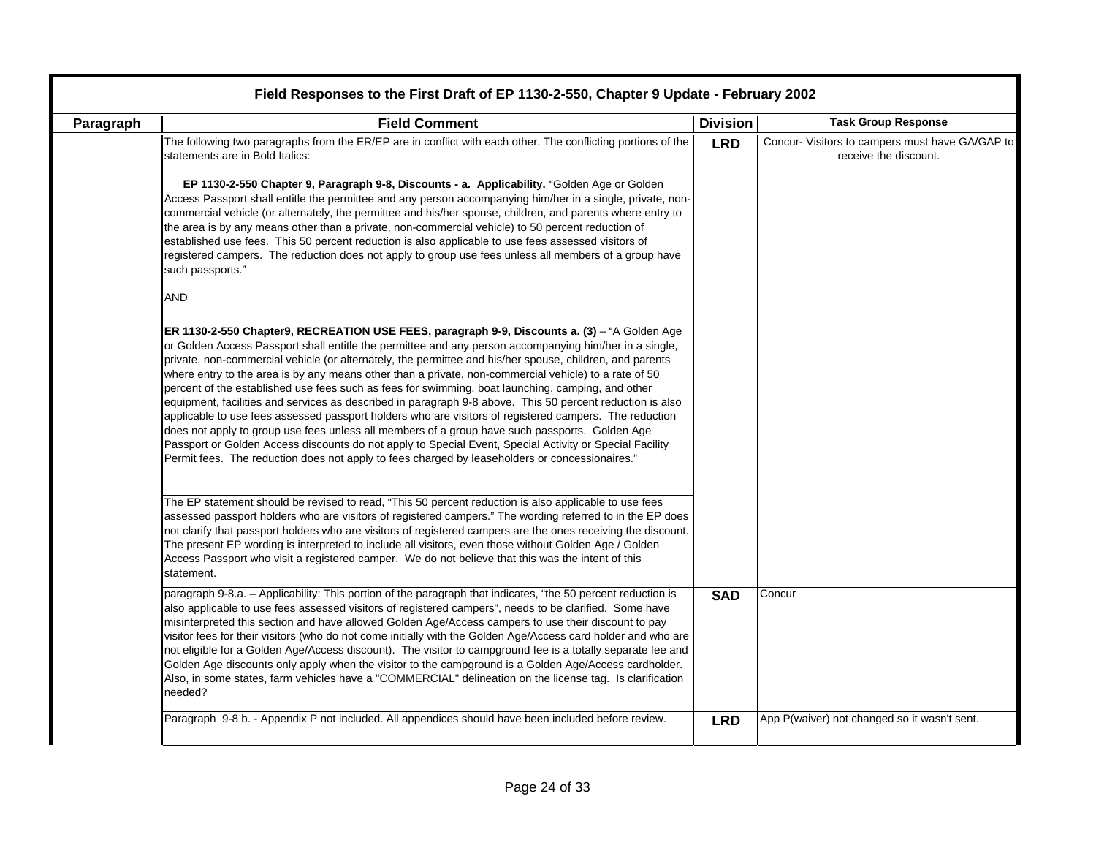| Paragraph | <b>Field Comment</b>                                                                                                                                                                                                                                                                                                                                                                                                                                                                                                                                                                                                                                                                                                                                                                                                                                                                                                                                                                                                                                                   | <b>Division</b> | <b>Task Group Response</b>                                               |
|-----------|------------------------------------------------------------------------------------------------------------------------------------------------------------------------------------------------------------------------------------------------------------------------------------------------------------------------------------------------------------------------------------------------------------------------------------------------------------------------------------------------------------------------------------------------------------------------------------------------------------------------------------------------------------------------------------------------------------------------------------------------------------------------------------------------------------------------------------------------------------------------------------------------------------------------------------------------------------------------------------------------------------------------------------------------------------------------|-----------------|--------------------------------------------------------------------------|
|           | The following two paragraphs from the ER/EP are in conflict with each other. The conflicting portions of the<br>statements are in Bold Italics:                                                                                                                                                                                                                                                                                                                                                                                                                                                                                                                                                                                                                                                                                                                                                                                                                                                                                                                        | <b>LRD</b>      | Concur- Visitors to campers must have GA/GAP to<br>receive the discount. |
|           | EP 1130-2-550 Chapter 9, Paragraph 9-8, Discounts - a. Applicability. "Golden Age or Golden<br>Access Passport shall entitle the permittee and any person accompanying him/her in a single, private, non-<br>commercial vehicle (or alternately, the permittee and his/her spouse, children, and parents where entry to<br>the area is by any means other than a private, non-commercial vehicle) to 50 percent reduction of<br>established use fees. This 50 percent reduction is also applicable to use fees assessed visitors of<br>registered campers. The reduction does not apply to group use fees unless all members of a group have<br>such passports."                                                                                                                                                                                                                                                                                                                                                                                                       |                 |                                                                          |
|           | <b>AND</b>                                                                                                                                                                                                                                                                                                                                                                                                                                                                                                                                                                                                                                                                                                                                                                                                                                                                                                                                                                                                                                                             |                 |                                                                          |
|           | ER 1130-2-550 Chapter9, RECREATION USE FEES, paragraph 9-9, Discounts a. (3) - "A Golden Age<br>or Golden Access Passport shall entitle the permittee and any person accompanying him/her in a single,<br>private, non-commercial vehicle (or alternately, the permittee and his/her spouse, children, and parents<br>where entry to the area is by any means other than a private, non-commercial vehicle) to a rate of 50<br>percent of the established use fees such as fees for swimming, boat launching, camping, and other<br>equipment, facilities and services as described in paragraph 9-8 above. This 50 percent reduction is also<br>applicable to use fees assessed passport holders who are visitors of registered campers. The reduction<br>does not apply to group use fees unless all members of a group have such passports. Golden Age<br>Passport or Golden Access discounts do not apply to Special Event, Special Activity or Special Facility<br>Permit fees. The reduction does not apply to fees charged by leaseholders or concessionaires." |                 |                                                                          |
|           | The EP statement should be revised to read, "This 50 percent reduction is also applicable to use fees<br>assessed passport holders who are visitors of registered campers." The wording referred to in the EP does<br>not clarify that passport holders who are visitors of registered campers are the ones receiving the discount.<br>The present EP wording is interpreted to include all visitors, even those without Golden Age / Golden<br>Access Passport who visit a registered camper. We do not believe that this was the intent of this<br>statement.                                                                                                                                                                                                                                                                                                                                                                                                                                                                                                        |                 |                                                                          |
|           | paragraph 9-8.a. - Applicability: This portion of the paragraph that indicates, "the 50 percent reduction is<br>also applicable to use fees assessed visitors of registered campers", needs to be clarified. Some have<br>misinterpreted this section and have allowed Golden Age/Access campers to use their discount to pay<br>visitor fees for their visitors (who do not come initially with the Golden Age/Access card holder and who are<br>not eligible for a Golden Age/Access discount). The visitor to campground fee is a totally separate fee and<br>Golden Age discounts only apply when the visitor to the campground is a Golden Age/Access cardholder.<br>Also, in some states, farm vehicles have a "COMMERCIAL" delineation on the license tag. Is clarification<br>needed?                                                                                                                                                                                                                                                                          | <b>SAD</b>      | Concur                                                                   |
|           | Paragraph 9-8 b. - Appendix P not included. All appendices should have been included before review.                                                                                                                                                                                                                                                                                                                                                                                                                                                                                                                                                                                                                                                                                                                                                                                                                                                                                                                                                                    | <b>LRD</b>      | App P(waiver) not changed so it wasn't sent.                             |

۰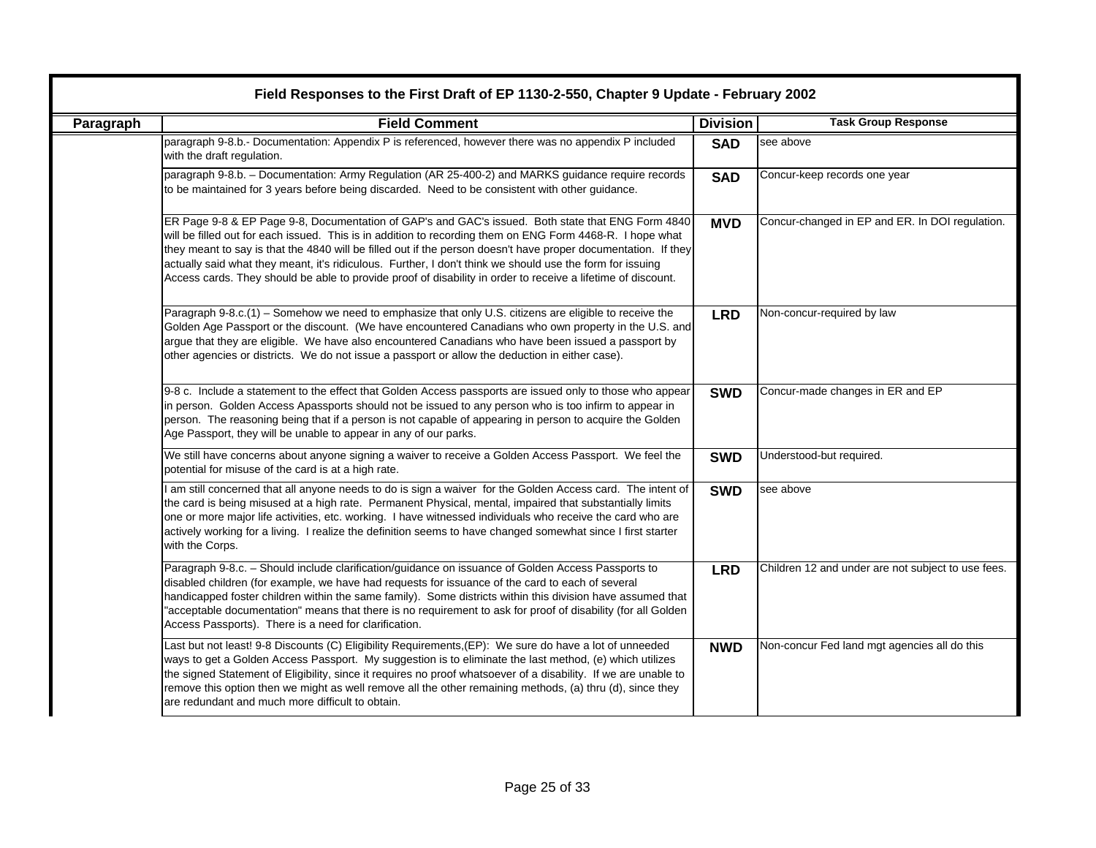| Field Responses to the First Draft of EP 1130-2-550, Chapter 9 Update - February 2002 |                                                                                                                                                                                                                                                                                                                                                                                                                                                                                                                                                               |                 |                                                    |
|---------------------------------------------------------------------------------------|---------------------------------------------------------------------------------------------------------------------------------------------------------------------------------------------------------------------------------------------------------------------------------------------------------------------------------------------------------------------------------------------------------------------------------------------------------------------------------------------------------------------------------------------------------------|-----------------|----------------------------------------------------|
| Paragraph                                                                             | <b>Field Comment</b>                                                                                                                                                                                                                                                                                                                                                                                                                                                                                                                                          | <b>Division</b> | <b>Task Group Response</b>                         |
|                                                                                       | paragraph 9-8.b.- Documentation: Appendix P is referenced, however there was no appendix P included<br>with the draft regulation.                                                                                                                                                                                                                                                                                                                                                                                                                             | <b>SAD</b>      | see above                                          |
|                                                                                       | paragraph 9-8.b. - Documentation: Army Regulation (AR 25-400-2) and MARKS guidance require records<br>to be maintained for 3 years before being discarded. Need to be consistent with other guidance.                                                                                                                                                                                                                                                                                                                                                         | <b>SAD</b>      | Concur-keep records one year                       |
|                                                                                       | ER Page 9-8 & EP Page 9-8, Documentation of GAP's and GAC's issued. Both state that ENG Form 4840<br>will be filled out for each issued. This is in addition to recording them on ENG Form 4468-R. I hope what<br>they meant to say is that the 4840 will be filled out if the person doesn't have proper documentation. If they<br>actually said what they meant, it's ridiculous. Further, I don't think we should use the form for issuing<br>Access cards. They should be able to provide proof of disability in order to receive a lifetime of discount. | <b>MVD</b>      | Concur-changed in EP and ER. In DOI regulation.    |
|                                                                                       | Paragraph 9-8.c.(1) - Somehow we need to emphasize that only U.S. citizens are eligible to receive the<br>Golden Age Passport or the discount. (We have encountered Canadians who own property in the U.S. and<br>argue that they are eligible. We have also encountered Canadians who have been issued a passport by<br>other agencies or districts. We do not issue a passport or allow the deduction in either case).                                                                                                                                      | <b>LRD</b>      | Non-concur-required by law                         |
|                                                                                       | 9-8 c. Include a statement to the effect that Golden Access passports are issued only to those who appear<br>in person. Golden Access Apassports should not be issued to any person who is too infirm to appear in<br>person. The reasoning being that if a person is not capable of appearing in person to acquire the Golden<br>Age Passport, they will be unable to appear in any of our parks.                                                                                                                                                            | <b>SWD</b>      | Concur-made changes in ER and EP                   |
|                                                                                       | We still have concerns about anyone signing a waiver to receive a Golden Access Passport. We feel the<br>potential for misuse of the card is at a high rate.                                                                                                                                                                                                                                                                                                                                                                                                  | <b>SWD</b>      | Understood-but required.                           |
|                                                                                       | I am still concerned that all anyone needs to do is sign a waiver for the Golden Access card. The intent of<br>the card is being misused at a high rate. Permanent Physical, mental, impaired that substantially limits<br>one or more major life activities, etc. working. I have witnessed individuals who receive the card who are<br>actively working for a living. I realize the definition seems to have changed somewhat since I first starter<br>with the Corps.                                                                                      | <b>SWD</b>      | see above                                          |
|                                                                                       | Paragraph 9-8.c. - Should include clarification/guidance on issuance of Golden Access Passports to<br>disabled children (for example, we have had requests for issuance of the card to each of several<br>handicapped foster children within the same family). Some districts within this division have assumed that<br>"acceptable documentation" means that there is no requirement to ask for proof of disability (for all Golden<br>Access Passports). There is a need for clarification.                                                                 | <b>LRD</b>      | Children 12 and under are not subject to use fees. |
|                                                                                       | Last but not least! 9-8 Discounts (C) Eligibility Requirements, (EP): We sure do have a lot of unneeded<br>ways to get a Golden Access Passport. My suggestion is to eliminate the last method, (e) which utilizes<br>the signed Statement of Eligibility, since it requires no proof whatsoever of a disability. If we are unable to<br>remove this option then we might as well remove all the other remaining methods, (a) thru (d), since they<br>are redundant and much more difficult to obtain.                                                        | <b>NWD</b>      | Non-concur Fed land mgt agencies all do this       |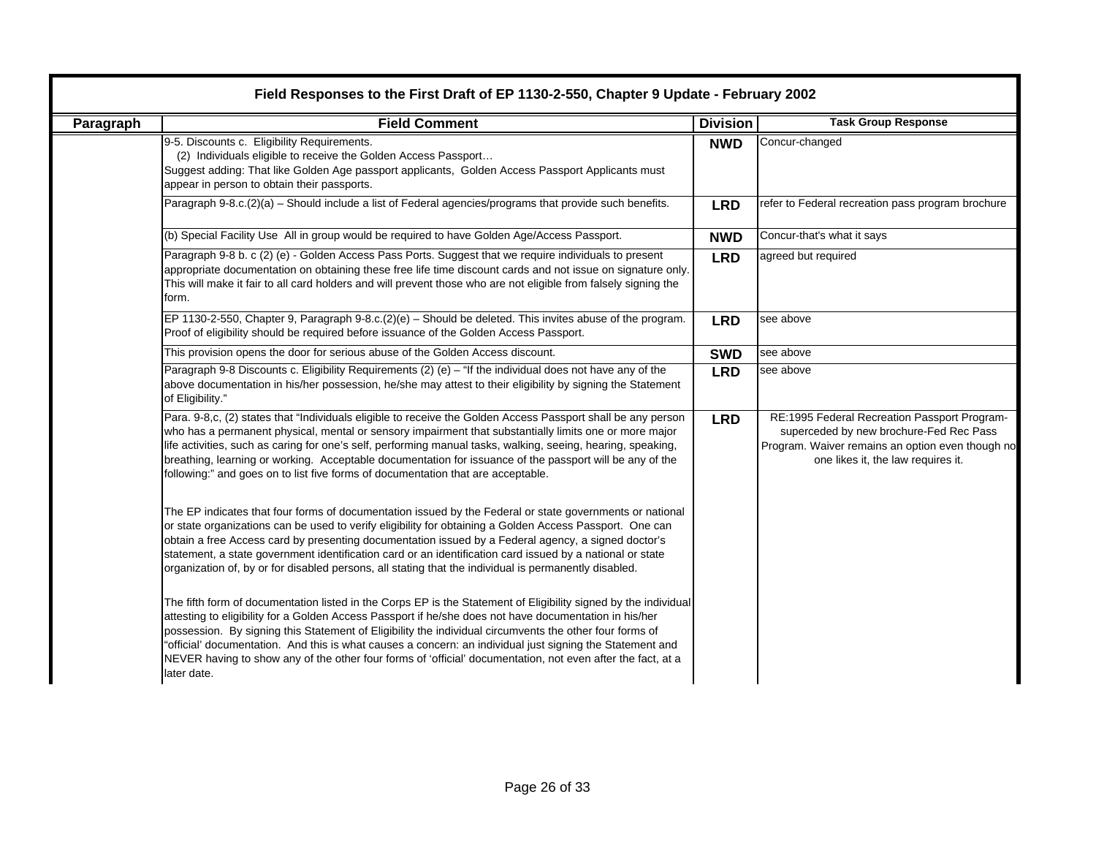| <b>Paragraph</b> | Field Responses to the First Draft of EP 1130-2-550, Chapter 9 Update - February 2002<br><b>Field Comment</b>                                                                                                                                                                                                                                                                                                                                                                                                                                                                   | <b>Division</b> | <b>Task Group Response</b>                                                                                                                                                        |
|------------------|---------------------------------------------------------------------------------------------------------------------------------------------------------------------------------------------------------------------------------------------------------------------------------------------------------------------------------------------------------------------------------------------------------------------------------------------------------------------------------------------------------------------------------------------------------------------------------|-----------------|-----------------------------------------------------------------------------------------------------------------------------------------------------------------------------------|
|                  | 9-5. Discounts c. Eligibility Requirements.<br>(2) Individuals eligible to receive the Golden Access Passport<br>Suggest adding: That like Golden Age passport applicants, Golden Access Passport Applicants must<br>appear in person to obtain their passports.                                                                                                                                                                                                                                                                                                                | <b>NWD</b>      | Concur-changed                                                                                                                                                                    |
|                  | Paragraph 9-8.c.(2)(a) - Should include a list of Federal agencies/programs that provide such benefits.                                                                                                                                                                                                                                                                                                                                                                                                                                                                         | <b>LRD</b>      | refer to Federal recreation pass program brochure                                                                                                                                 |
|                  | (b) Special Facility Use All in group would be required to have Golden Age/Access Passport.                                                                                                                                                                                                                                                                                                                                                                                                                                                                                     | <b>NWD</b>      | Concur-that's what it says                                                                                                                                                        |
|                  | Paragraph 9-8 b. c (2) (e) - Golden Access Pass Ports. Suggest that we require individuals to present<br>appropriate documentation on obtaining these free life time discount cards and not issue on signature only.<br>This will make it fair to all card holders and will prevent those who are not eligible from falsely signing the<br>form.                                                                                                                                                                                                                                | <b>LRD</b>      | agreed but required                                                                                                                                                               |
|                  | EP 1130-2-550, Chapter 9, Paragraph 9-8.c.(2)(e) - Should be deleted. This invites abuse of the program.<br>Proof of eligibility should be required before issuance of the Golden Access Passport.                                                                                                                                                                                                                                                                                                                                                                              | <b>LRD</b>      | see above                                                                                                                                                                         |
|                  | This provision opens the door for serious abuse of the Golden Access discount.                                                                                                                                                                                                                                                                                                                                                                                                                                                                                                  | <b>SWD</b>      | see above                                                                                                                                                                         |
|                  | Paragraph 9-8 Discounts c. Eligibility Requirements (2) (e) - "If the individual does not have any of the<br>above documentation in his/her possession, he/she may attest to their eligibility by signing the Statement<br>of Eligibility."                                                                                                                                                                                                                                                                                                                                     | <b>LRD</b>      | see above                                                                                                                                                                         |
|                  | Para. 9-8,c, (2) states that "Individuals eligible to receive the Golden Access Passport shall be any person<br>who has a permanent physical, mental or sensory impairment that substantially limits one or more major<br>life activities, such as caring for one's self, performing manual tasks, walking, seeing, hearing, speaking,<br>breathing, learning or working. Acceptable documentation for issuance of the passport will be any of the<br>following:" and goes on to list five forms of documentation that are acceptable.                                          | <b>LRD</b>      | RE:1995 Federal Recreation Passport Program-<br>superceded by new brochure-Fed Rec Pass<br>Program. Waiver remains an option even though no<br>one likes it, the law requires it. |
|                  | The EP indicates that four forms of documentation issued by the Federal or state governments or national<br>or state organizations can be used to verify eligibility for obtaining a Golden Access Passport. One can<br>obtain a free Access card by presenting documentation issued by a Federal agency, a signed doctor's<br>statement, a state government identification card or an identification card issued by a national or state<br>organization of, by or for disabled persons, all stating that the individual is permanently disabled.                               |                 |                                                                                                                                                                                   |
|                  | The fifth form of documentation listed in the Corps EP is the Statement of Eligibility signed by the individual<br>attesting to eligibility for a Golden Access Passport if he/she does not have documentation in his/her<br>possession. By signing this Statement of Eligibility the individual circumvents the other four forms of<br>"official' documentation. And this is what causes a concern: an individual just signing the Statement and<br>NEVER having to show any of the other four forms of 'official' documentation, not even after the fact, at a<br>later date. |                 |                                                                                                                                                                                   |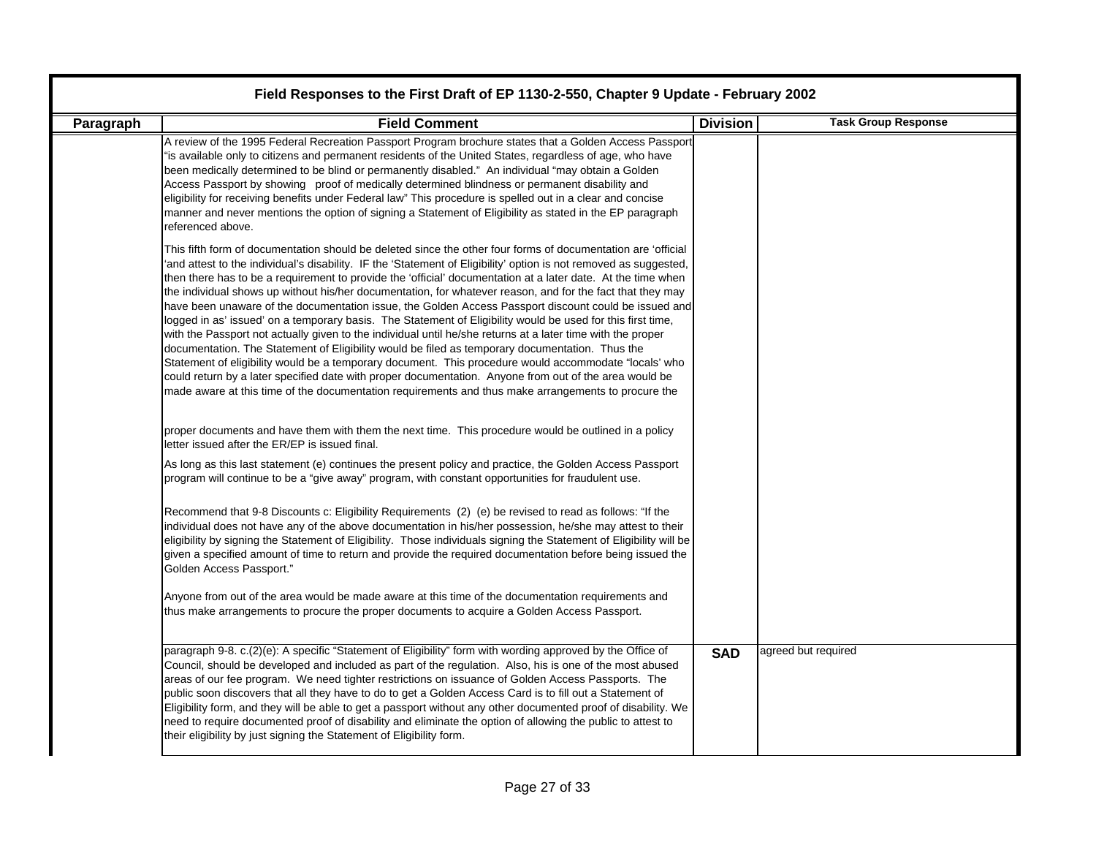| Paragraph | <b>Field Comment</b>                                                                                                                                                                                                                                                                                                                                                                                                                                                                                                                                                                                                                                                                                                                                                                                                                                                                                                                                                                                                                                                                                                                                                                                                                | <b>Division</b> | <b>Task Group Response</b> |
|-----------|-------------------------------------------------------------------------------------------------------------------------------------------------------------------------------------------------------------------------------------------------------------------------------------------------------------------------------------------------------------------------------------------------------------------------------------------------------------------------------------------------------------------------------------------------------------------------------------------------------------------------------------------------------------------------------------------------------------------------------------------------------------------------------------------------------------------------------------------------------------------------------------------------------------------------------------------------------------------------------------------------------------------------------------------------------------------------------------------------------------------------------------------------------------------------------------------------------------------------------------|-----------------|----------------------------|
|           | A review of the 1995 Federal Recreation Passport Program brochure states that a Golden Access Passport<br>"is available only to citizens and permanent residents of the United States, regardless of age, who have<br>been medically determined to be blind or permanently disabled." An individual "may obtain a Golden<br>Access Passport by showing proof of medically determined blindness or permanent disability and<br>eligibility for receiving benefits under Federal law" This procedure is spelled out in a clear and concise<br>manner and never mentions the option of signing a Statement of Eligibility as stated in the EP paragraph<br>referenced above.                                                                                                                                                                                                                                                                                                                                                                                                                                                                                                                                                           |                 |                            |
|           | This fifth form of documentation should be deleted since the other four forms of documentation are 'official<br>'and attest to the individual's disability. IF the 'Statement of Eligibility' option is not removed as suggested,<br>then there has to be a requirement to provide the 'official' documentation at a later date. At the time when<br>the individual shows up without his/her documentation, for whatever reason, and for the fact that they may<br>have been unaware of the documentation issue, the Golden Access Passport discount could be issued and<br>logged in as' issued' on a temporary basis. The Statement of Eligibility would be used for this first time,<br>with the Passport not actually given to the individual until he/she returns at a later time with the proper<br>documentation. The Statement of Eligibility would be filed as temporary documentation. Thus the<br>Statement of eligibility would be a temporary document. This procedure would accommodate "locals' who<br>could return by a later specified date with proper documentation. Anyone from out of the area would be<br>made aware at this time of the documentation requirements and thus make arrangements to procure the |                 |                            |
|           | proper documents and have them with them the next time. This procedure would be outlined in a policy<br>letter issued after the ER/EP is issued final.                                                                                                                                                                                                                                                                                                                                                                                                                                                                                                                                                                                                                                                                                                                                                                                                                                                                                                                                                                                                                                                                              |                 |                            |
|           | As long as this last statement (e) continues the present policy and practice, the Golden Access Passport<br>program will continue to be a "give away" program, with constant opportunities for fraudulent use.                                                                                                                                                                                                                                                                                                                                                                                                                                                                                                                                                                                                                                                                                                                                                                                                                                                                                                                                                                                                                      |                 |                            |
|           | Recommend that 9-8 Discounts c: Eligibility Requirements (2) (e) be revised to read as follows: "If the<br>individual does not have any of the above documentation in his/her possession, he/she may attest to their<br>eligibility by signing the Statement of Eligibility. Those individuals signing the Statement of Eligibility will be<br>given a specified amount of time to return and provide the required documentation before being issued the<br>Golden Access Passport."                                                                                                                                                                                                                                                                                                                                                                                                                                                                                                                                                                                                                                                                                                                                                |                 |                            |
|           | Anyone from out of the area would be made aware at this time of the documentation requirements and<br>thus make arrangements to procure the proper documents to acquire a Golden Access Passport.                                                                                                                                                                                                                                                                                                                                                                                                                                                                                                                                                                                                                                                                                                                                                                                                                                                                                                                                                                                                                                   |                 |                            |
|           | paragraph 9-8. c.(2)(e): A specific "Statement of Eligibility" form with wording approved by the Office of<br>Council, should be developed and included as part of the regulation. Also, his is one of the most abused<br>areas of our fee program. We need tighter restrictions on issuance of Golden Access Passports. The<br>public soon discovers that all they have to do to get a Golden Access Card is to fill out a Statement of<br>Eligibility form, and they will be able to get a passport without any other documented proof of disability. We<br>need to require documented proof of disability and eliminate the option of allowing the public to attest to<br>their eligibility by just signing the Statement of Eligibility form.                                                                                                                                                                                                                                                                                                                                                                                                                                                                                   | <b>SAD</b>      | agreed but required        |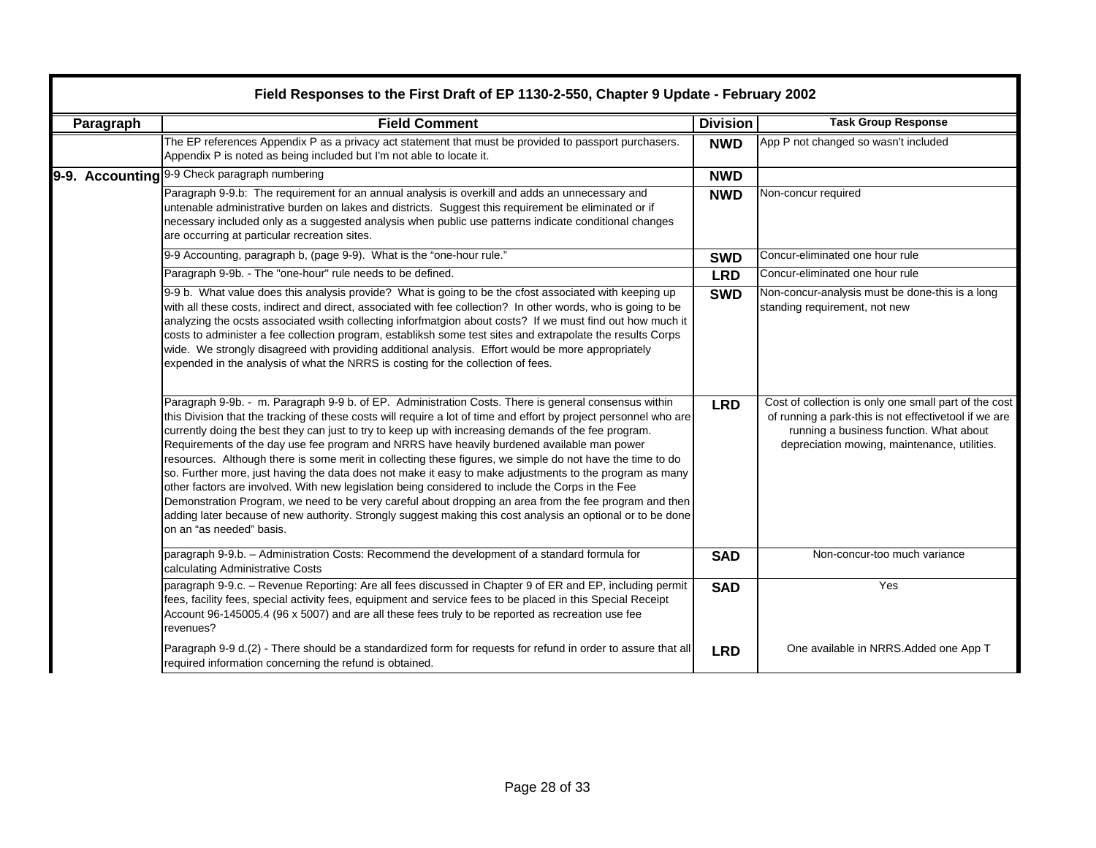| Paragraph | <b>Field Comment</b>                                                                                                                                                                                                                                                                                                                                                                                                                                                                                                                                                                                                                                                                                                                                                                                                                                                                                                                                                                                              | <b>Division</b> | <b>Task Group Response</b>                                                                                                                                                                                |
|-----------|-------------------------------------------------------------------------------------------------------------------------------------------------------------------------------------------------------------------------------------------------------------------------------------------------------------------------------------------------------------------------------------------------------------------------------------------------------------------------------------------------------------------------------------------------------------------------------------------------------------------------------------------------------------------------------------------------------------------------------------------------------------------------------------------------------------------------------------------------------------------------------------------------------------------------------------------------------------------------------------------------------------------|-----------------|-----------------------------------------------------------------------------------------------------------------------------------------------------------------------------------------------------------|
|           | The EP references Appendix P as a privacy act statement that must be provided to passport purchasers.<br>Appendix P is noted as being included but I'm not able to locate it.                                                                                                                                                                                                                                                                                                                                                                                                                                                                                                                                                                                                                                                                                                                                                                                                                                     | <b>NWD</b>      | App P not changed so wasn't included                                                                                                                                                                      |
|           | 9-9. Accounting 9-9 Check paragraph numbering                                                                                                                                                                                                                                                                                                                                                                                                                                                                                                                                                                                                                                                                                                                                                                                                                                                                                                                                                                     | <b>NWD</b>      |                                                                                                                                                                                                           |
|           | Paragraph 9-9.b: The requirement for an annual analysis is overkill and adds an unnecessary and<br>untenable administrative burden on lakes and districts. Suggest this requirement be eliminated or if<br>necessary included only as a suggested analysis when public use patterns indicate conditional changes<br>are occurring at particular recreation sites.                                                                                                                                                                                                                                                                                                                                                                                                                                                                                                                                                                                                                                                 | <b>NWD</b>      | Non-concur required                                                                                                                                                                                       |
|           | 9-9 Accounting, paragraph b, (page 9-9). What is the "one-hour rule."                                                                                                                                                                                                                                                                                                                                                                                                                                                                                                                                                                                                                                                                                                                                                                                                                                                                                                                                             | <b>SWD</b>      | Concur-eliminated one hour rule                                                                                                                                                                           |
|           | Paragraph 9-9b. - The "one-hour" rule needs to be defined.                                                                                                                                                                                                                                                                                                                                                                                                                                                                                                                                                                                                                                                                                                                                                                                                                                                                                                                                                        | <b>LRD</b>      | Concur-eliminated one hour rule                                                                                                                                                                           |
|           | 9-9 b. What value does this analysis provide? What is going to be the cfost associated with keeping up<br>with all these costs, indirect and direct, associated with fee collection? In other words, who is going to be<br>analyzing the ocsts associated wsith collecting inforfmatgion about costs? If we must find out how much it<br>costs to administer a fee collection program, establiksh some test sites and extrapolate the results Corps<br>wide. We strongly disagreed with providing additional analysis. Effort would be more appropriately<br>expended in the analysis of what the NRRS is costing for the collection of fees.                                                                                                                                                                                                                                                                                                                                                                     | <b>SWD</b>      | Non-concur-analysis must be done-this is a long<br>standing requirement, not new                                                                                                                          |
|           | Paragraph 9-9b. - m. Paragraph 9-9 b. of EP. Administration Costs. There is general consensus within<br>this Division that the tracking of these costs will require a lot of time and effort by project personnel who are<br>currently doing the best they can just to try to keep up with increasing demands of the fee program.<br>Requirements of the day use fee program and NRRS have heavily burdened available man power<br>resources. Although there is some merit in collecting these figures, we simple do not have the time to do<br>so. Further more, just having the data does not make it easy to make adjustments to the program as many<br>other factors are involved. With new legislation being considered to include the Corps in the Fee<br>Demonstration Program, we need to be very careful about dropping an area from the fee program and then<br>adding later because of new authority. Strongly suggest making this cost analysis an optional or to be done<br>on an "as needed" basis. | <b>LRD</b>      | Cost of collection is only one small part of the cost<br>of running a park-this is not effectivetool if we are<br>running a business function. What about<br>depreciation mowing, maintenance, utilities. |
|           | paragraph 9-9.b. - Administration Costs: Recommend the development of a standard formula for<br>calculating Administrative Costs                                                                                                                                                                                                                                                                                                                                                                                                                                                                                                                                                                                                                                                                                                                                                                                                                                                                                  | <b>SAD</b>      | Non-concur-too much variance                                                                                                                                                                              |
|           | paragraph 9-9.c. - Revenue Reporting: Are all fees discussed in Chapter 9 of ER and EP, including permit<br>fees, facility fees, special activity fees, equipment and service fees to be placed in this Special Receipt<br>Account 96-145005.4 (96 x 5007) and are all these fees truly to be reported as recreation use fee<br>revenues?                                                                                                                                                                                                                                                                                                                                                                                                                                                                                                                                                                                                                                                                         | <b>SAD</b>      | Yes                                                                                                                                                                                                       |
|           | Paragraph 9-9 d.(2) - There should be a standardized form for requests for refund in order to assure that all<br>required information concerning the refund is obtained.                                                                                                                                                                                                                                                                                                                                                                                                                                                                                                                                                                                                                                                                                                                                                                                                                                          | <b>LRD</b>      | One available in NRRS.Added one App T                                                                                                                                                                     |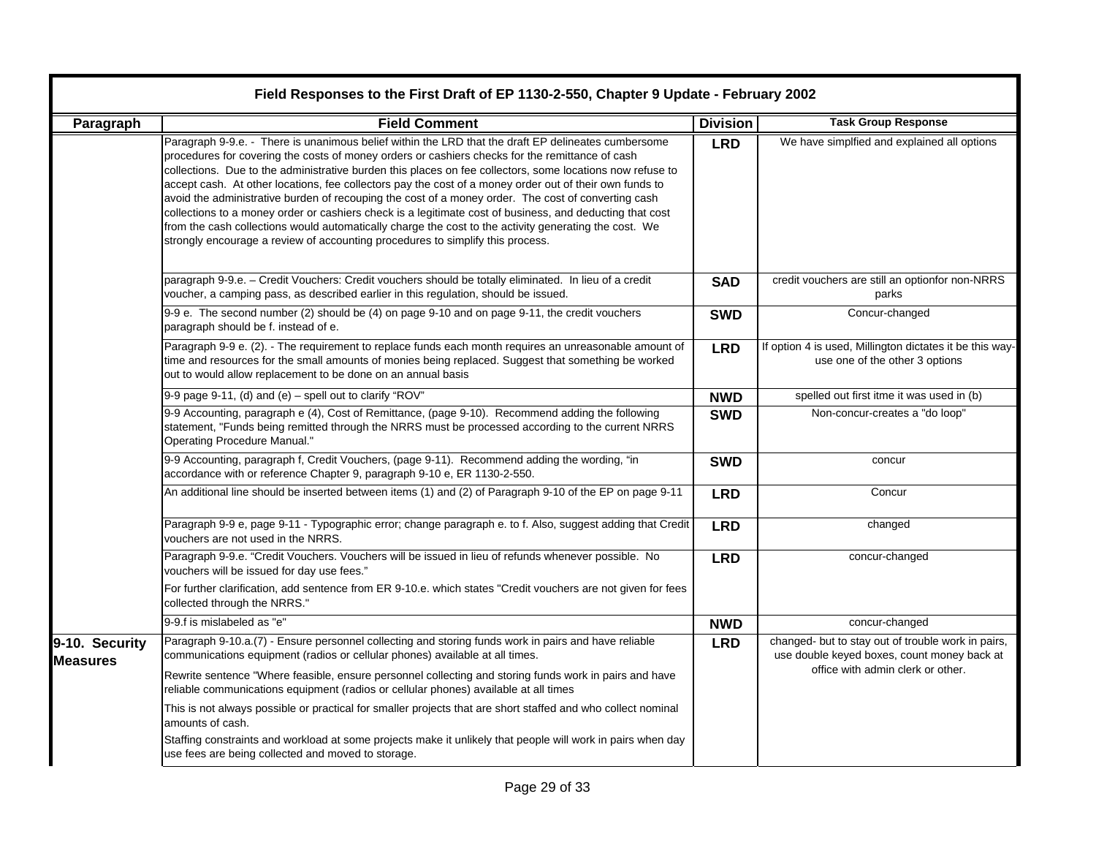| Field Responses to the First Draft of EP 1130-2-550, Chapter 9 Update - February 2002 |                                                                                                                                                                                                                                                                                                                                                                                                                                                                                                                                                                                                                                                                                                                                                                                                                                              |                 |                                                                                                   |
|---------------------------------------------------------------------------------------|----------------------------------------------------------------------------------------------------------------------------------------------------------------------------------------------------------------------------------------------------------------------------------------------------------------------------------------------------------------------------------------------------------------------------------------------------------------------------------------------------------------------------------------------------------------------------------------------------------------------------------------------------------------------------------------------------------------------------------------------------------------------------------------------------------------------------------------------|-----------------|---------------------------------------------------------------------------------------------------|
| Paragraph                                                                             | <b>Field Comment</b>                                                                                                                                                                                                                                                                                                                                                                                                                                                                                                                                                                                                                                                                                                                                                                                                                         | <b>Division</b> | <b>Task Group Response</b>                                                                        |
|                                                                                       | Paragraph 9-9.e. - There is unanimous belief within the LRD that the draft EP delineates cumbersome<br>procedures for covering the costs of money orders or cashiers checks for the remittance of cash<br>collections. Due to the administrative burden this places on fee collectors, some locations now refuse to<br>accept cash. At other locations, fee collectors pay the cost of a money order out of their own funds to<br>avoid the administrative burden of recouping the cost of a money order. The cost of converting cash<br>collections to a money order or cashiers check is a legitimate cost of business, and deducting that cost<br>from the cash collections would automatically charge the cost to the activity generating the cost. We<br>strongly encourage a review of accounting procedures to simplify this process. | <b>LRD</b>      | We have simplfied and explained all options                                                       |
|                                                                                       | paragraph 9-9.e. - Credit Vouchers: Credit vouchers should be totally eliminated. In lieu of a credit<br>voucher, a camping pass, as described earlier in this regulation, should be issued.                                                                                                                                                                                                                                                                                                                                                                                                                                                                                                                                                                                                                                                 | <b>SAD</b>      | credit vouchers are still an optionfor non-NRRS<br>parks                                          |
|                                                                                       | 9-9 e. The second number (2) should be (4) on page 9-10 and on page 9-11, the credit vouchers<br>paragraph should be f. instead of e.                                                                                                                                                                                                                                                                                                                                                                                                                                                                                                                                                                                                                                                                                                        | <b>SWD</b>      | Concur-changed                                                                                    |
|                                                                                       | Paragraph 9-9 e. (2). - The requirement to replace funds each month requires an unreasonable amount of<br>time and resources for the small amounts of monies being replaced. Suggest that something be worked<br>out to would allow replacement to be done on an annual basis                                                                                                                                                                                                                                                                                                                                                                                                                                                                                                                                                                | <b>LRD</b>      | If option 4 is used, Millington dictates it be this way-<br>use one of the other 3 options        |
|                                                                                       | 9-9 page 9-11, (d) and (e) - spell out to clarify "ROV"                                                                                                                                                                                                                                                                                                                                                                                                                                                                                                                                                                                                                                                                                                                                                                                      | <b>NWD</b>      | spelled out first itme it was used in (b)                                                         |
|                                                                                       | 9-9 Accounting, paragraph e (4), Cost of Remittance, (page 9-10). Recommend adding the following<br>statement, "Funds being remitted through the NRRS must be processed according to the current NRRS<br><b>Operating Procedure Manual."</b>                                                                                                                                                                                                                                                                                                                                                                                                                                                                                                                                                                                                 | <b>SWD</b>      | Non-concur-creates a "do loop"                                                                    |
|                                                                                       | 9-9 Accounting, paragraph f, Credit Vouchers, (page 9-11). Recommend adding the wording, "in<br>accordance with or reference Chapter 9, paragraph 9-10 e, ER 1130-2-550.                                                                                                                                                                                                                                                                                                                                                                                                                                                                                                                                                                                                                                                                     | <b>SWD</b>      | concur                                                                                            |
|                                                                                       | An additional line should be inserted between items (1) and (2) of Paragraph 9-10 of the EP on page 9-11                                                                                                                                                                                                                                                                                                                                                                                                                                                                                                                                                                                                                                                                                                                                     | <b>LRD</b>      | Concur                                                                                            |
|                                                                                       | Paragraph 9-9 e, page 9-11 - Typographic error; change paragraph e. to f. Also, suggest adding that Credit<br>vouchers are not used in the NRRS.                                                                                                                                                                                                                                                                                                                                                                                                                                                                                                                                                                                                                                                                                             | <b>LRD</b>      | changed                                                                                           |
|                                                                                       | Paragraph 9-9.e. "Credit Vouchers. Vouchers will be issued in lieu of refunds whenever possible. No<br>vouchers will be issued for day use fees."                                                                                                                                                                                                                                                                                                                                                                                                                                                                                                                                                                                                                                                                                            | <b>LRD</b>      | concur-changed                                                                                    |
|                                                                                       | For further clarification, add sentence from ER 9-10.e. which states "Credit vouchers are not given for fees<br>collected through the NRRS."                                                                                                                                                                                                                                                                                                                                                                                                                                                                                                                                                                                                                                                                                                 |                 |                                                                                                   |
|                                                                                       | 9-9.f is mislabeled as "e"                                                                                                                                                                                                                                                                                                                                                                                                                                                                                                                                                                                                                                                                                                                                                                                                                   | <b>NWD</b>      | concur-changed                                                                                    |
| 9-10. Security<br><b>Measures</b>                                                     | Paragraph 9-10.a.(7) - Ensure personnel collecting and storing funds work in pairs and have reliable<br>communications equipment (radios or cellular phones) available at all times.                                                                                                                                                                                                                                                                                                                                                                                                                                                                                                                                                                                                                                                         | <b>LRD</b>      | changed- but to stay out of trouble work in pairs,<br>use double keyed boxes, count money back at |
|                                                                                       | Rewrite sentence "Where feasible, ensure personnel collecting and storing funds work in pairs and have<br>reliable communications equipment (radios or cellular phones) available at all times                                                                                                                                                                                                                                                                                                                                                                                                                                                                                                                                                                                                                                               |                 | office with admin clerk or other.                                                                 |
|                                                                                       | This is not always possible or practical for smaller projects that are short staffed and who collect nominal<br>amounts of cash.                                                                                                                                                                                                                                                                                                                                                                                                                                                                                                                                                                                                                                                                                                             |                 |                                                                                                   |
|                                                                                       | Staffing constraints and workload at some projects make it unlikely that people will work in pairs when day<br>use fees are being collected and moved to storage.                                                                                                                                                                                                                                                                                                                                                                                                                                                                                                                                                                                                                                                                            |                 |                                                                                                   |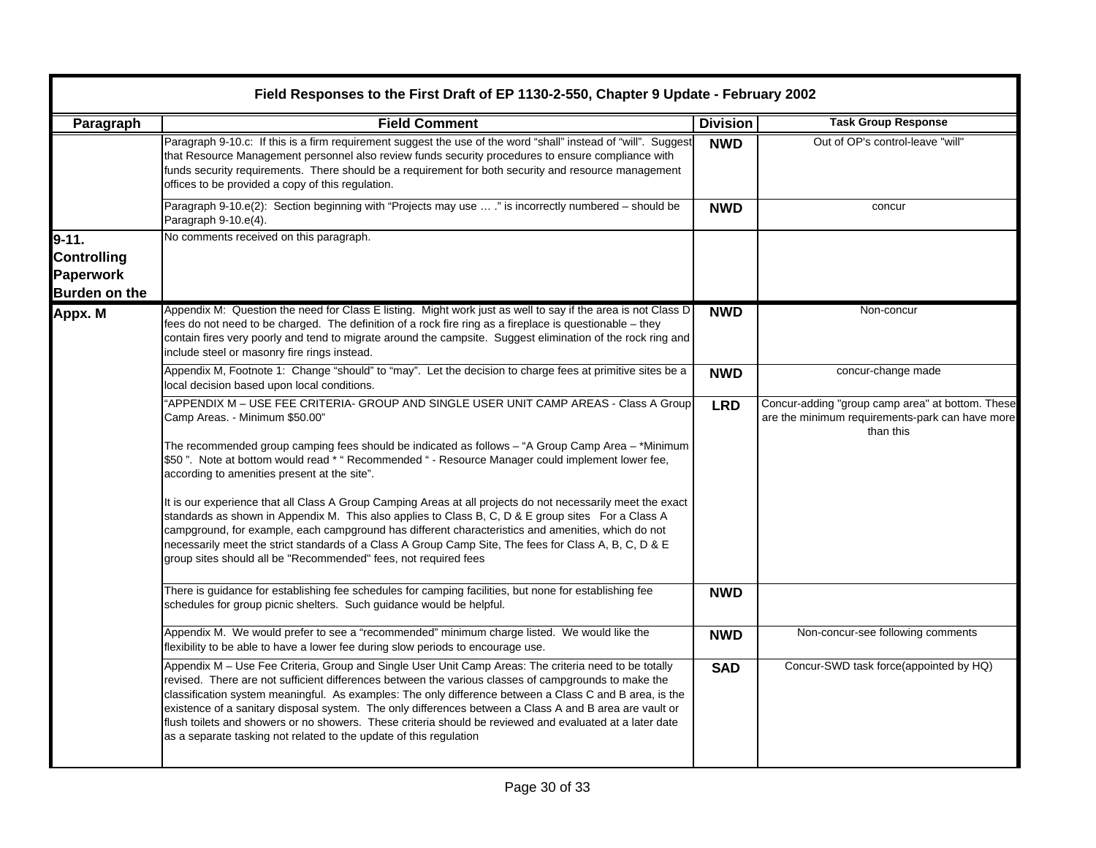| Paragraph                                                            | <b>Field Comment</b>                                                                                                                                                                                                                                                                                                                                                                                                                                                                                                                                                                                                  | <b>Division</b> | <b>Task Group Response</b>                                                                                       |
|----------------------------------------------------------------------|-----------------------------------------------------------------------------------------------------------------------------------------------------------------------------------------------------------------------------------------------------------------------------------------------------------------------------------------------------------------------------------------------------------------------------------------------------------------------------------------------------------------------------------------------------------------------------------------------------------------------|-----------------|------------------------------------------------------------------------------------------------------------------|
|                                                                      | Paragraph 9-10.c: If this is a firm requirement suggest the use of the word "shall" instead of "will". Suggest<br>that Resource Management personnel also review funds security procedures to ensure compliance with<br>funds security requirements. There should be a requirement for both security and resource management<br>offices to be provided a copy of this regulation.                                                                                                                                                                                                                                     | <b>NWD</b>      | Out of OP's control-leave "will"                                                                                 |
|                                                                      | Paragraph 9-10.e(2): Section beginning with "Projects may use  ." is incorrectly numbered - should be<br>Paragraph 9-10.e(4).                                                                                                                                                                                                                                                                                                                                                                                                                                                                                         | <b>NWD</b>      | concur                                                                                                           |
| $9 - 11.$<br><b>Controlling</b><br>Paperwork<br><b>Burden on the</b> | No comments received on this paragraph.                                                                                                                                                                                                                                                                                                                                                                                                                                                                                                                                                                               |                 |                                                                                                                  |
| Appx. M                                                              | Appendix M: Question the need for Class E listing. Might work just as well to say if the area is not Class D<br>fees do not need to be charged. The definition of a rock fire ring as a fireplace is questionable - they<br>contain fires very poorly and tend to migrate around the campsite. Suggest elimination of the rock ring and<br>include steel or masonry fire rings instead.                                                                                                                                                                                                                               | <b>NWD</b>      | Non-concur                                                                                                       |
|                                                                      | Appendix M, Footnote 1: Change "should" to "may". Let the decision to charge fees at primitive sites be a<br>local decision based upon local conditions.                                                                                                                                                                                                                                                                                                                                                                                                                                                              | <b>NWD</b>      | concur-change made                                                                                               |
|                                                                      | "APPENDIX M - USE FEE CRITERIA- GROUP AND SINGLE USER UNIT CAMP AREAS - Class A Group<br>Camp Areas. - Minimum \$50.00"                                                                                                                                                                                                                                                                                                                                                                                                                                                                                               | <b>LRD</b>      | Concur-adding "group camp area" at bottom. These<br>are the minimum requirements-park can have more<br>than this |
|                                                                      | The recommended group camping fees should be indicated as follows - "A Group Camp Area - *Minimum<br>\$50". Note at bottom would read * " Recommended " - Resource Manager could implement lower fee,<br>according to amenities present at the site".                                                                                                                                                                                                                                                                                                                                                                 |                 |                                                                                                                  |
|                                                                      | It is our experience that all Class A Group Camping Areas at all projects do not necessarily meet the exact<br>standards as shown in Appendix M. This also applies to Class B, C, D & E group sites For a Class A<br>campground, for example, each campground has different characteristics and amenities, which do not<br>necessarily meet the strict standards of a Class A Group Camp Site, The fees for Class A, B, C, D & E<br>group sites should all be "Recommended" fees, not required fees                                                                                                                   |                 |                                                                                                                  |
|                                                                      | There is guidance for establishing fee schedules for camping facilities, but none for establishing fee<br>schedules for group picnic shelters. Such guidance would be helpful.                                                                                                                                                                                                                                                                                                                                                                                                                                        | <b>NWD</b>      |                                                                                                                  |
|                                                                      | Appendix M. We would prefer to see a "recommended" minimum charge listed. We would like the<br>flexibility to be able to have a lower fee during slow periods to encourage use.                                                                                                                                                                                                                                                                                                                                                                                                                                       | <b>NWD</b>      | Non-concur-see following comments                                                                                |
|                                                                      | Appendix M - Use Fee Criteria, Group and Single User Unit Camp Areas: The criteria need to be totally<br>revised. There are not sufficient differences between the various classes of campgrounds to make the<br>classification system meaningful. As examples: The only difference between a Class C and B area, is the<br>existence of a sanitary disposal system. The only differences between a Class A and B area are vault or<br>flush toilets and showers or no showers. These criteria should be reviewed and evaluated at a later date<br>as a separate tasking not related to the update of this regulation | <b>SAD</b>      | Concur-SWD task force(appointed by HQ)                                                                           |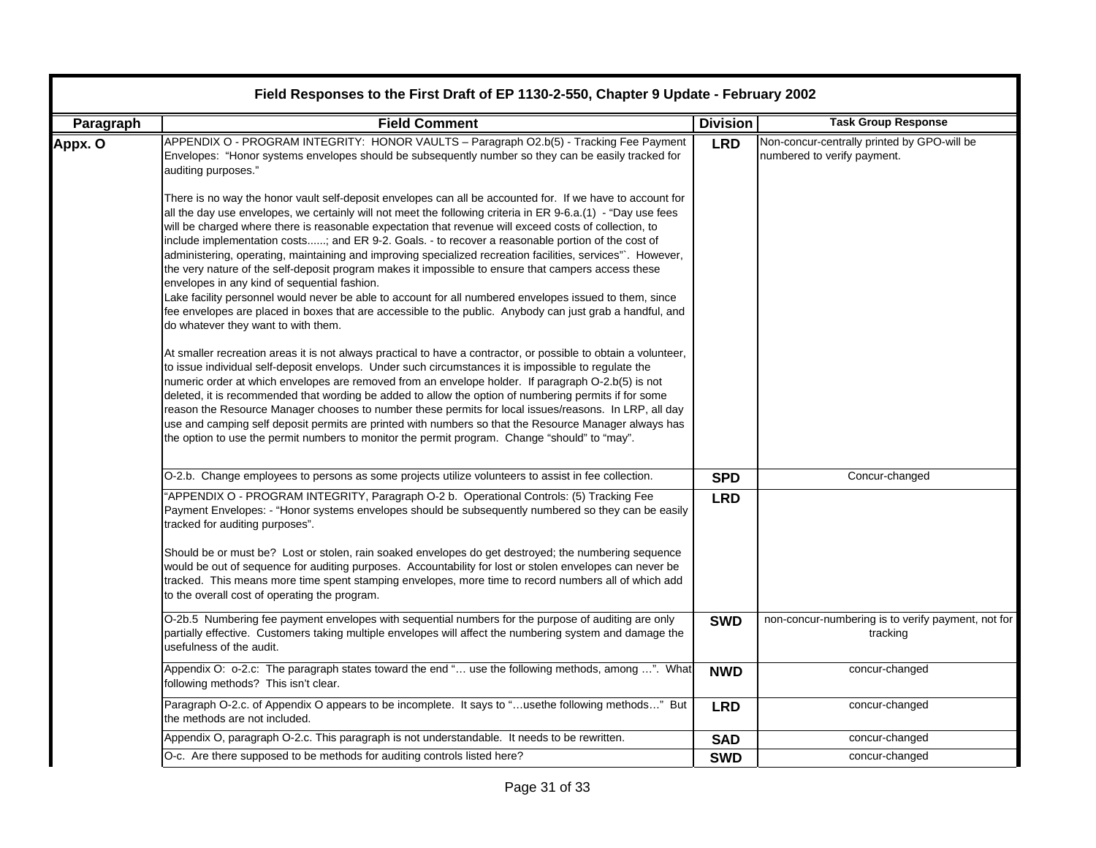| Paragraph | <b>Field Comment</b>                                                                                                                                                                                                                                                                                                                                                                                                                                                                                                                                                                                                                                                                                                                                                                                                                                                                                                                                                          | <b>Division</b> | <b>Task Group Response</b>                                                 |
|-----------|-------------------------------------------------------------------------------------------------------------------------------------------------------------------------------------------------------------------------------------------------------------------------------------------------------------------------------------------------------------------------------------------------------------------------------------------------------------------------------------------------------------------------------------------------------------------------------------------------------------------------------------------------------------------------------------------------------------------------------------------------------------------------------------------------------------------------------------------------------------------------------------------------------------------------------------------------------------------------------|-----------------|----------------------------------------------------------------------------|
| Appx. O   | APPENDIX O - PROGRAM INTEGRITY: HONOR VAULTS - Paragraph O2.b(5) - Tracking Fee Payment<br>Envelopes: "Honor systems envelopes should be subsequently number so they can be easily tracked for<br>auditing purposes."                                                                                                                                                                                                                                                                                                                                                                                                                                                                                                                                                                                                                                                                                                                                                         | <b>LRD</b>      | Non-concur-centrally printed by GPO-will be<br>numbered to verify payment. |
|           | There is no way the honor vault self-deposit envelopes can all be accounted for. If we have to account for<br>all the day use envelopes, we certainly will not meet the following criteria in ER 9-6.a.(1) - "Day use fees<br>will be charged where there is reasonable expectation that revenue will exceed costs of collection, to<br>include implementation costs; and ER 9-2. Goals. - to recover a reasonable portion of the cost of<br>administering, operating, maintaining and improving specialized recreation facilities, services". However,<br>the very nature of the self-deposit program makes it impossible to ensure that campers access these<br>envelopes in any kind of sequential fashion.<br>Lake facility personnel would never be able to account for all numbered envelopes issued to them, since<br>fee envelopes are placed in boxes that are accessible to the public. Anybody can just grab a handful, and<br>do whatever they want to with them. |                 |                                                                            |
|           | At smaller recreation areas it is not always practical to have a contractor, or possible to obtain a volunteer,<br>to issue individual self-deposit envelops. Under such circumstances it is impossible to regulate the<br>numeric order at which envelopes are removed from an envelope holder. If paragraph O-2.b(5) is not<br>deleted, it is recommended that wording be added to allow the option of numbering permits if for some<br>reason the Resource Manager chooses to number these permits for local issues/reasons. In LRP, all day<br>use and camping self deposit permits are printed with numbers so that the Resource Manager always has<br>the option to use the permit numbers to monitor the permit program. Change "should" to "may".                                                                                                                                                                                                                     |                 |                                                                            |
|           | O-2.b. Change employees to persons as some projects utilize volunteers to assist in fee collection.                                                                                                                                                                                                                                                                                                                                                                                                                                                                                                                                                                                                                                                                                                                                                                                                                                                                           | <b>SPD</b>      | Concur-changed                                                             |
|           | "APPENDIX O - PROGRAM INTEGRITY, Paragraph O-2 b. Operational Controls: (5) Tracking Fee<br>Payment Envelopes: - "Honor systems envelopes should be subsequently numbered so they can be easily<br>tracked for auditing purposes".                                                                                                                                                                                                                                                                                                                                                                                                                                                                                                                                                                                                                                                                                                                                            | <b>LRD</b>      |                                                                            |
|           | Should be or must be? Lost or stolen, rain soaked envelopes do get destroyed; the numbering sequence<br>would be out of sequence for auditing purposes. Accountability for lost or stolen envelopes can never be<br>tracked. This means more time spent stamping envelopes, more time to record numbers all of which add<br>to the overall cost of operating the program.                                                                                                                                                                                                                                                                                                                                                                                                                                                                                                                                                                                                     |                 |                                                                            |
|           | O-2b.5 Numbering fee payment envelopes with sequential numbers for the purpose of auditing are only<br>partially effective. Customers taking multiple envelopes will affect the numbering system and damage the<br>usefulness of the audit.                                                                                                                                                                                                                                                                                                                                                                                                                                                                                                                                                                                                                                                                                                                                   | <b>SWD</b>      | non-concur-numbering is to verify payment, not for<br>tracking             |
|           | Appendix O: o-2.c: The paragraph states toward the end " use the following methods, among ". What<br>following methods? This isn't clear.                                                                                                                                                                                                                                                                                                                                                                                                                                                                                                                                                                                                                                                                                                                                                                                                                                     | <b>NWD</b>      | concur-changed                                                             |
|           | Paragraph O-2.c. of Appendix O appears to be incomplete. It says to "usethe following methods" But<br>the methods are not included.                                                                                                                                                                                                                                                                                                                                                                                                                                                                                                                                                                                                                                                                                                                                                                                                                                           | <b>LRD</b>      | concur-changed                                                             |
|           | Appendix O, paragraph O-2.c. This paragraph is not understandable. It needs to be rewritten.                                                                                                                                                                                                                                                                                                                                                                                                                                                                                                                                                                                                                                                                                                                                                                                                                                                                                  | <b>SAD</b>      | concur-changed                                                             |
|           | O-c. Are there supposed to be methods for auditing controls listed here?                                                                                                                                                                                                                                                                                                                                                                                                                                                                                                                                                                                                                                                                                                                                                                                                                                                                                                      | <b>SWD</b>      | concur-changed                                                             |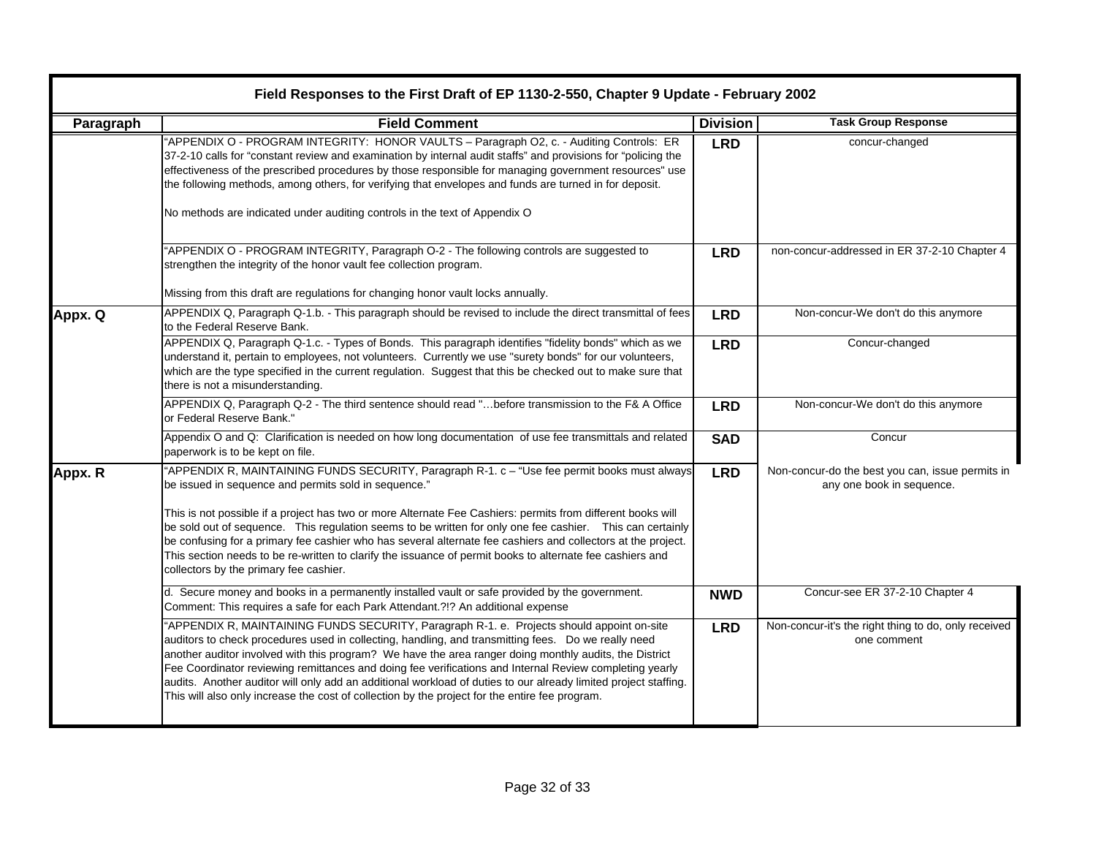| Field Responses to the First Draft of EP 1130-2-550, Chapter 9 Update - February 2002 |                                                                                                                                                                                                                                                                                                                                                                                                                                                                                                                                                                                                                                                          |                 |                                                                               |
|---------------------------------------------------------------------------------------|----------------------------------------------------------------------------------------------------------------------------------------------------------------------------------------------------------------------------------------------------------------------------------------------------------------------------------------------------------------------------------------------------------------------------------------------------------------------------------------------------------------------------------------------------------------------------------------------------------------------------------------------------------|-----------------|-------------------------------------------------------------------------------|
| Paragraph                                                                             | <b>Field Comment</b>                                                                                                                                                                                                                                                                                                                                                                                                                                                                                                                                                                                                                                     | <b>Division</b> | <b>Task Group Response</b>                                                    |
|                                                                                       | "APPENDIX O - PROGRAM INTEGRITY: HONOR VAULTS - Paragraph O2, c. - Auditing Controls: ER<br>37-2-10 calls for "constant review and examination by internal audit staffs" and provisions for "policing the<br>effectiveness of the prescribed procedures by those responsible for managing government resources" use<br>the following methods, among others, for verifying that envelopes and funds are turned in for deposit.<br>No methods are indicated under auditing controls in the text of Appendix O                                                                                                                                              | <b>LRD</b>      | concur-changed                                                                |
|                                                                                       | "APPENDIX O - PROGRAM INTEGRITY, Paragraph O-2 - The following controls are suggested to<br>strengthen the integrity of the honor vault fee collection program.<br>Missing from this draft are regulations for changing honor vault locks annually.                                                                                                                                                                                                                                                                                                                                                                                                      | <b>LRD</b>      | non-concur-addressed in ER 37-2-10 Chapter 4                                  |
| Appx. Q                                                                               | APPENDIX Q, Paragraph Q-1.b. - This paragraph should be revised to include the direct transmittal of fees<br>to the Federal Reserve Bank.                                                                                                                                                                                                                                                                                                                                                                                                                                                                                                                | <b>LRD</b>      | Non-concur-We don't do this anymore                                           |
|                                                                                       | APPENDIX Q, Paragraph Q-1.c. - Types of Bonds. This paragraph identifies "fidelity bonds" which as we<br>understand it, pertain to employees, not volunteers. Currently we use "surety bonds" for our volunteers,<br>which are the type specified in the current regulation. Suggest that this be checked out to make sure that<br>there is not a misunderstanding.                                                                                                                                                                                                                                                                                      | <b>LRD</b>      | Concur-changed                                                                |
|                                                                                       | APPENDIX Q, Paragraph Q-2 - The third sentence should read "before transmission to the F& A Office<br>or Federal Reserve Bank."                                                                                                                                                                                                                                                                                                                                                                                                                                                                                                                          | <b>LRD</b>      | Non-concur-We don't do this anymore                                           |
|                                                                                       | Appendix O and Q: Clarification is needed on how long documentation of use fee transmittals and related<br>paperwork is to be kept on file.                                                                                                                                                                                                                                                                                                                                                                                                                                                                                                              | <b>SAD</b>      | Concur                                                                        |
| Appx. R                                                                               | "APPENDIX R, MAINTAINING FUNDS SECURITY, Paragraph R-1. c - "Use fee permit books must always<br>be issued in sequence and permits sold in sequence."<br>This is not possible if a project has two or more Alternate Fee Cashiers: permits from different books will<br>be sold out of sequence. This regulation seems to be written for only one fee cashier. This can certainly<br>be confusing for a primary fee cashier who has several alternate fee cashiers and collectors at the project.<br>This section needs to be re-written to clarify the issuance of permit books to alternate fee cashiers and<br>collectors by the primary fee cashier. | <b>LRD</b>      | Non-concur-do the best you can, issue permits in<br>any one book in sequence. |
|                                                                                       | d. Secure money and books in a permanently installed vault or safe provided by the government.<br>Comment: This requires a safe for each Park Attendant. ?!? An additional expense                                                                                                                                                                                                                                                                                                                                                                                                                                                                       | <b>NWD</b>      | Concur-see ER 37-2-10 Chapter 4                                               |
|                                                                                       | "APPENDIX R, MAINTAINING FUNDS SECURITY, Paragraph R-1. e. Projects should appoint on-site<br>auditors to check procedures used in collecting, handling, and transmitting fees.  Do we really need<br>another auditor involved with this program? We have the area ranger doing monthly audits, the District<br>Fee Coordinator reviewing remittances and doing fee verifications and Internal Review completing yearly<br>audits. Another auditor will only add an additional workload of duties to our already limited project staffing.<br>This will also only increase the cost of collection by the project for the entire fee program.             | <b>LRD</b>      | Non-concur-it's the right thing to do, only received<br>one comment           |